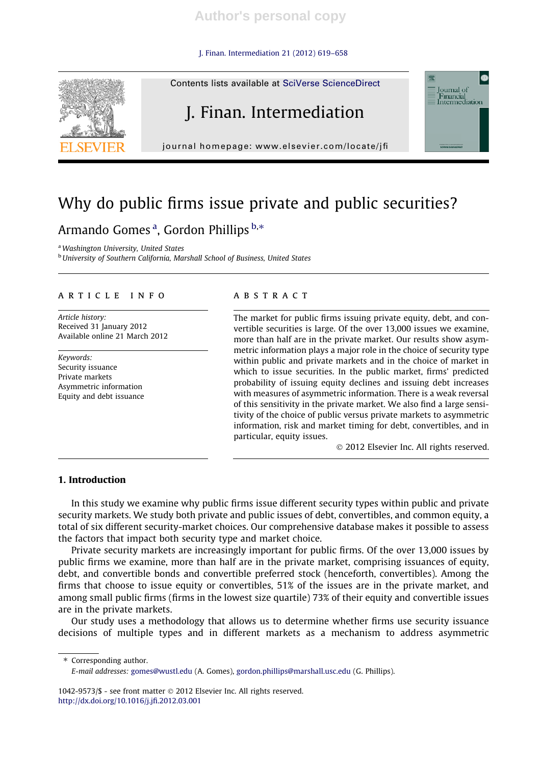J. Finan. Intermediation 21 (2012) 619–658



Contents lists available at SciVerse ScienceDirect

# J. Finan. Intermediation

journal homepage: www.elsevier.com/locate/jfi

# Why do public firms issue private and public securities?

Armando Gomes <sup>a</sup>, Gordon Phillips <sup>b,</sup>\*

<sup>a</sup> Washington University, United States

**b University of Southern California, Marshall School of Business, United States** 

# article info

Article history: Received 31 January 2012 Available online 21 March 2012

Keywords: Security issuance Private markets Asymmetric information Equity and debt issuance

# **ABSTRACT**

The market for public firms issuing private equity, debt, and convertible securities is large. Of the over 13,000 issues we examine, more than half are in the private market. Our results show asymmetric information plays a major role in the choice of security type within public and private markets and in the choice of market in which to issue securities. In the public market, firms' predicted probability of issuing equity declines and issuing debt increases with measures of asymmetric information. There is a weak reversal of this sensitivity in the private market. We also find a large sensitivity of the choice of public versus private markets to asymmetric information, risk and market timing for debt, convertibles, and in particular, equity issues.

- 2012 Elsevier Inc. All rights reserved.

 $\bullet$ 

**Journal** of Financial<br>Intermediation

# 1. Introduction

In this study we examine why public firms issue different security types within public and private security markets. We study both private and public issues of debt, convertibles, and common equity, a total of six different security-market choices. Our comprehensive database makes it possible to assess the factors that impact both security type and market choice.

Private security markets are increasingly important for public firms. Of the over 13,000 issues by public firms we examine, more than half are in the private market, comprising issuances of equity, debt, and convertible bonds and convertible preferred stock (henceforth, convertibles). Among the firms that choose to issue equity or convertibles, 51% of the issues are in the private market, and among small public firms (firms in the lowest size quartile) 73% of their equity and convertible issues are in the private markets.

Our study uses a methodology that allows us to determine whether firms use security issuance decisions of multiple types and in different markets as a mechanism to address asymmetric

⇑ Corresponding author.

1042-9573/\$ - see front matter © 2012 Elsevier Inc. All rights reserved. http://dx.doi.org/10.1016/j.jfi.2012.03.001

E-mail addresses: gomes@wustl.edu (A. Gomes), gordon.phillips@marshall.usc.edu (G. Phillips).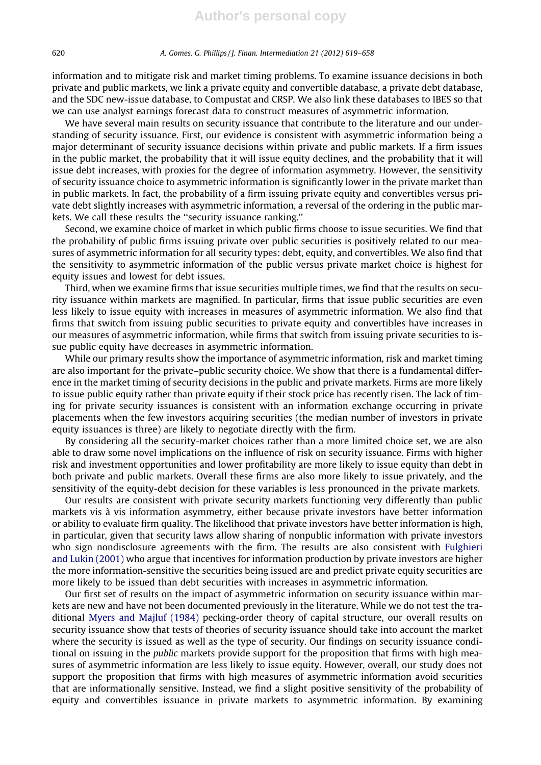information and to mitigate risk and market timing problems. To examine issuance decisions in both private and public markets, we link a private equity and convertible database, a private debt database, and the SDC new-issue database, to Compustat and CRSP. We also link these databases to IBES so that we can use analyst earnings forecast data to construct measures of asymmetric information.

We have several main results on security issuance that contribute to the literature and our understanding of security issuance. First, our evidence is consistent with asymmetric information being a major determinant of security issuance decisions within private and public markets. If a firm issues in the public market, the probability that it will issue equity declines, and the probability that it will issue debt increases, with proxies for the degree of information asymmetry. However, the sensitivity of security issuance choice to asymmetric information is significantly lower in the private market than in public markets. In fact, the probability of a firm issuing private equity and convertibles versus private debt slightly increases with asymmetric information, a reversal of the ordering in the public markets. We call these results the ''security issuance ranking.''

Second, we examine choice of market in which public firms choose to issue securities. We find that the probability of public firms issuing private over public securities is positively related to our measures of asymmetric information for all security types: debt, equity, and convertibles. We also find that the sensitivity to asymmetric information of the public versus private market choice is highest for equity issues and lowest for debt issues.

Third, when we examine firms that issue securities multiple times, we find that the results on security issuance within markets are magnified. In particular, firms that issue public securities are even less likely to issue equity with increases in measures of asymmetric information. We also find that firms that switch from issuing public securities to private equity and convertibles have increases in our measures of asymmetric information, while firms that switch from issuing private securities to issue public equity have decreases in asymmetric information.

While our primary results show the importance of asymmetric information, risk and market timing are also important for the private–public security choice. We show that there is a fundamental difference in the market timing of security decisions in the public and private markets. Firms are more likely to issue public equity rather than private equity if their stock price has recently risen. The lack of timing for private security issuances is consistent with an information exchange occurring in private placements when the few investors acquiring securities (the median number of investors in private equity issuances is three) are likely to negotiate directly with the firm.

By considering all the security-market choices rather than a more limited choice set, we are also able to draw some novel implications on the influence of risk on security issuance. Firms with higher risk and investment opportunities and lower profitability are more likely to issue equity than debt in both private and public markets. Overall these firms are also more likely to issue privately, and the sensitivity of the equity-debt decision for these variables is less pronounced in the private markets.

Our results are consistent with private security markets functioning very differently than public markets vis à vis information asymmetry, either because private investors have better information or ability to evaluate firm quality. The likelihood that private investors have better information is high, in particular, given that security laws allow sharing of nonpublic information with private investors who sign nondisclosure agreements with the firm. The results are also consistent with Fulghieri and Lukin (2001) who argue that incentives for information production by private investors are higher the more information-sensitive the securities being issued are and predict private equity securities are more likely to be issued than debt securities with increases in asymmetric information.

Our first set of results on the impact of asymmetric information on security issuance within markets are new and have not been documented previously in the literature. While we do not test the traditional Myers and Majluf (1984) pecking-order theory of capital structure, our overall results on security issuance show that tests of theories of security issuance should take into account the market where the security is issued as well as the type of security. Our findings on security issuance conditional on issuing in the *public* markets provide support for the proposition that firms with high measures of asymmetric information are less likely to issue equity. However, overall, our study does not support the proposition that firms with high measures of asymmetric information avoid securities that are informationally sensitive. Instead, we find a slight positive sensitivity of the probability of equity and convertibles issuance in private markets to asymmetric information. By examining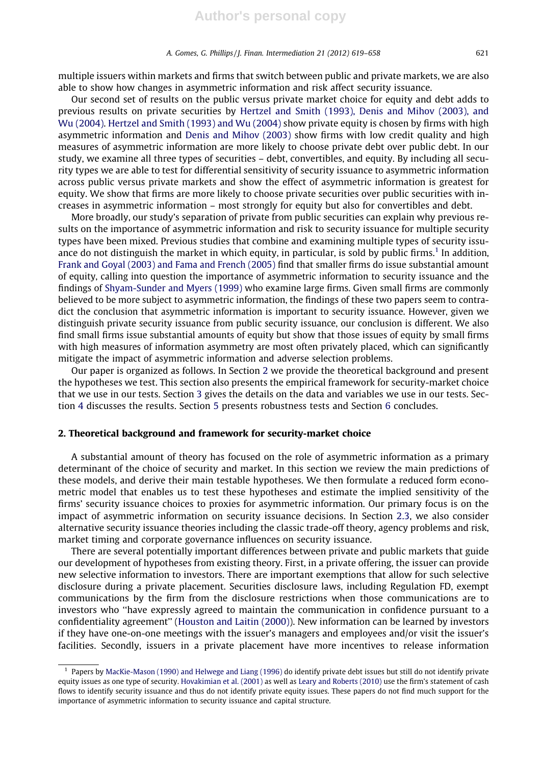multiple issuers within markets and firms that switch between public and private markets, we are also able to show how changes in asymmetric information and risk affect security issuance.

Our second set of results on the public versus private market choice for equity and debt adds to previous results on private securities by Hertzel and Smith (1993), Denis and Mihov (2003), and Wu (2004). Hertzel and Smith (1993) and Wu (2004) show private equity is chosen by firms with high asymmetric information and Denis and Mihov (2003) show firms with low credit quality and high measures of asymmetric information are more likely to choose private debt over public debt. In our study, we examine all three types of securities – debt, convertibles, and equity. By including all security types we are able to test for differential sensitivity of security issuance to asymmetric information across public versus private markets and show the effect of asymmetric information is greatest for equity. We show that firms are more likely to choose private securities over public securities with increases in asymmetric information – most strongly for equity but also for convertibles and debt.

More broadly, our study's separation of private from public securities can explain why previous results on the importance of asymmetric information and risk to security issuance for multiple security types have been mixed. Previous studies that combine and examining multiple types of security issuance do not distinguish the market in which equity, in particular, is sold by public firms.<sup>1</sup> In addition, Frank and Goyal (2003) and Fama and French (2005) find that smaller firms do issue substantial amount of equity, calling into question the importance of asymmetric information to security issuance and the findings of Shyam-Sunder and Myers (1999) who examine large firms. Given small firms are commonly believed to be more subject to asymmetric information, the findings of these two papers seem to contradict the conclusion that asymmetric information is important to security issuance. However, given we distinguish private security issuance from public security issuance, our conclusion is different. We also find small firms issue substantial amounts of equity but show that those issues of equity by small firms with high measures of information asymmetry are most often privately placed, which can significantly mitigate the impact of asymmetric information and adverse selection problems.

Our paper is organized as follows. In Section 2 we provide the theoretical background and present the hypotheses we test. This section also presents the empirical framework for security-market choice that we use in our tests. Section 3 gives the details on the data and variables we use in our tests. Section 4 discusses the results. Section 5 presents robustness tests and Section 6 concludes.

# 2. Theoretical background and framework for security-market choice

A substantial amount of theory has focused on the role of asymmetric information as a primary determinant of the choice of security and market. In this section we review the main predictions of these models, and derive their main testable hypotheses. We then formulate a reduced form econometric model that enables us to test these hypotheses and estimate the implied sensitivity of the firms' security issuance choices to proxies for asymmetric information. Our primary focus is on the impact of asymmetric information on security issuance decisions. In Section 2.3, we also consider alternative security issuance theories including the classic trade-off theory, agency problems and risk, market timing and corporate governance influences on security issuance.

There are several potentially important differences between private and public markets that guide our development of hypotheses from existing theory. First, in a private offering, the issuer can provide new selective information to investors. There are important exemptions that allow for such selective disclosure during a private placement. Securities disclosure laws, including Regulation FD, exempt communications by the firm from the disclosure restrictions when those communications are to investors who ''have expressly agreed to maintain the communication in confidence pursuant to a confidentiality agreement'' (Houston and Laitin (2000)). New information can be learned by investors if they have one-on-one meetings with the issuer's managers and employees and/or visit the issuer's facilities. Secondly, issuers in a private placement have more incentives to release information

 $1$  Papers by MacKie-Mason (1990) and Helwege and Liang (1996) do identify private debt issues but still do not identify private equity issues as one type of security. Hovakimian et al. (2001) as well as Leary and Roberts (2010) use the firm's statement of cash flows to identify security issuance and thus do not identify private equity issues. These papers do not find much support for the importance of asymmetric information to security issuance and capital structure.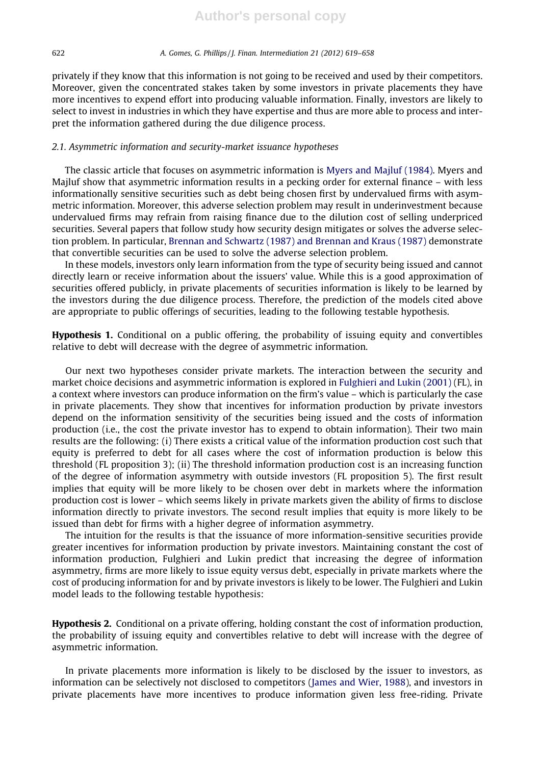privately if they know that this information is not going to be received and used by their competitors. Moreover, given the concentrated stakes taken by some investors in private placements they have more incentives to expend effort into producing valuable information. Finally, investors are likely to select to invest in industries in which they have expertise and thus are more able to process and interpret the information gathered during the due diligence process.

# 2.1. Asymmetric information and security-market issuance hypotheses

The classic article that focuses on asymmetric information is Myers and Majluf (1984). Myers and Majluf show that asymmetric information results in a pecking order for external finance – with less informationally sensitive securities such as debt being chosen first by undervalued firms with asymmetric information. Moreover, this adverse selection problem may result in underinvestment because undervalued firms may refrain from raising finance due to the dilution cost of selling underpriced securities. Several papers that follow study how security design mitigates or solves the adverse selection problem. In particular, Brennan and Schwartz (1987) and Brennan and Kraus (1987) demonstrate that convertible securities can be used to solve the adverse selection problem.

In these models, investors only learn information from the type of security being issued and cannot directly learn or receive information about the issuers' value. While this is a good approximation of securities offered publicly, in private placements of securities information is likely to be learned by the investors during the due diligence process. Therefore, the prediction of the models cited above are appropriate to public offerings of securities, leading to the following testable hypothesis.

Hypothesis 1. Conditional on a public offering, the probability of issuing equity and convertibles relative to debt will decrease with the degree of asymmetric information.

Our next two hypotheses consider private markets. The interaction between the security and market choice decisions and asymmetric information is explored in Fulghieri and Lukin (2001) (FL), in a context where investors can produce information on the firm's value – which is particularly the case in private placements. They show that incentives for information production by private investors depend on the information sensitivity of the securities being issued and the costs of information production (i.e., the cost the private investor has to expend to obtain information). Their two main results are the following: (i) There exists a critical value of the information production cost such that equity is preferred to debt for all cases where the cost of information production is below this threshold (FL proposition 3); (ii) The threshold information production cost is an increasing function of the degree of information asymmetry with outside investors (FL proposition 5). The first result implies that equity will be more likely to be chosen over debt in markets where the information production cost is lower – which seems likely in private markets given the ability of firms to disclose information directly to private investors. The second result implies that equity is more likely to be issued than debt for firms with a higher degree of information asymmetry.

The intuition for the results is that the issuance of more information-sensitive securities provide greater incentives for information production by private investors. Maintaining constant the cost of information production, Fulghieri and Lukin predict that increasing the degree of information asymmetry, firms are more likely to issue equity versus debt, especially in private markets where the cost of producing information for and by private investors is likely to be lower. The Fulghieri and Lukin model leads to the following testable hypothesis:

Hypothesis 2. Conditional on a private offering, holding constant the cost of information production, the probability of issuing equity and convertibles relative to debt will increase with the degree of asymmetric information.

In private placements more information is likely to be disclosed by the issuer to investors, as information can be selectively not disclosed to competitors (James and Wier, 1988), and investors in private placements have more incentives to produce information given less free-riding. Private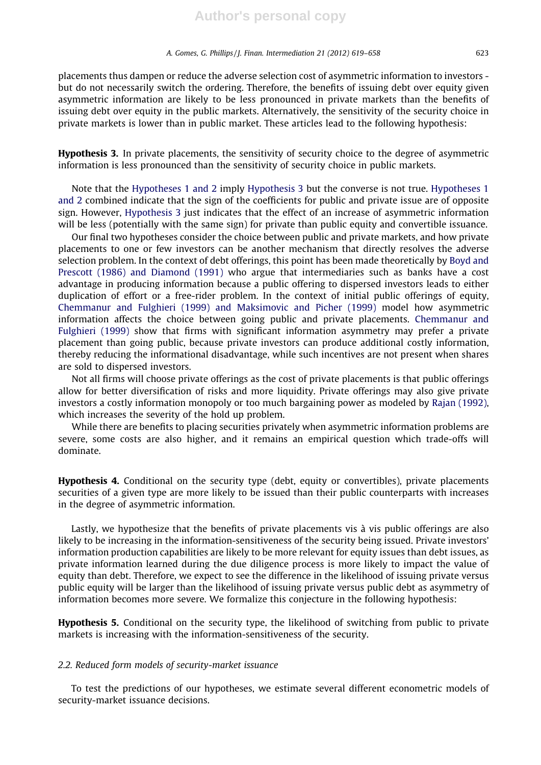placements thus dampen or reduce the adverse selection cost of asymmetric information to investors but do not necessarily switch the ordering. Therefore, the benefits of issuing debt over equity given asymmetric information are likely to be less pronounced in private markets than the benefits of issuing debt over equity in the public markets. Alternatively, the sensitivity of the security choice in private markets is lower than in public market. These articles lead to the following hypothesis:

Hypothesis 3. In private placements, the sensitivity of security choice to the degree of asymmetric information is less pronounced than the sensitivity of security choice in public markets.

Note that the Hypotheses 1 and 2 imply Hypothesis 3 but the converse is not true. Hypotheses 1 and 2 combined indicate that the sign of the coefficients for public and private issue are of opposite sign. However, Hypothesis 3 just indicates that the effect of an increase of asymmetric information will be less (potentially with the same sign) for private than public equity and convertible issuance.

Our final two hypotheses consider the choice between public and private markets, and how private placements to one or few investors can be another mechanism that directly resolves the adverse selection problem. In the context of debt offerings, this point has been made theoretically by Boyd and Prescott (1986) and Diamond (1991) who argue that intermediaries such as banks have a cost advantage in producing information because a public offering to dispersed investors leads to either duplication of effort or a free-rider problem. In the context of initial public offerings of equity, Chemmanur and Fulghieri (1999) and Maksimovic and Picher (1999) model how asymmetric information affects the choice between going public and private placements. Chemmanur and Fulghieri (1999) show that firms with significant information asymmetry may prefer a private placement than going public, because private investors can produce additional costly information, thereby reducing the informational disadvantage, while such incentives are not present when shares are sold to dispersed investors.

Not all firms will choose private offerings as the cost of private placements is that public offerings allow for better diversification of risks and more liquidity. Private offerings may also give private investors a costly information monopoly or too much bargaining power as modeled by Rajan (1992), which increases the severity of the hold up problem.

While there are benefits to placing securities privately when asymmetric information problems are severe, some costs are also higher, and it remains an empirical question which trade-offs will dominate.

Hypothesis 4. Conditional on the security type (debt, equity or convertibles), private placements securities of a given type are more likely to be issued than their public counterparts with increases in the degree of asymmetric information.

Lastly, we hypothesize that the benefits of private placements vis à vis public offerings are also likely to be increasing in the information-sensitiveness of the security being issued. Private investors' information production capabilities are likely to be more relevant for equity issues than debt issues, as private information learned during the due diligence process is more likely to impact the value of equity than debt. Therefore, we expect to see the difference in the likelihood of issuing private versus public equity will be larger than the likelihood of issuing private versus public debt as asymmetry of information becomes more severe. We formalize this conjecture in the following hypothesis:

Hypothesis 5. Conditional on the security type, the likelihood of switching from public to private markets is increasing with the information-sensitiveness of the security.

# 2.2. Reduced form models of security-market issuance

To test the predictions of our hypotheses, we estimate several different econometric models of security-market issuance decisions.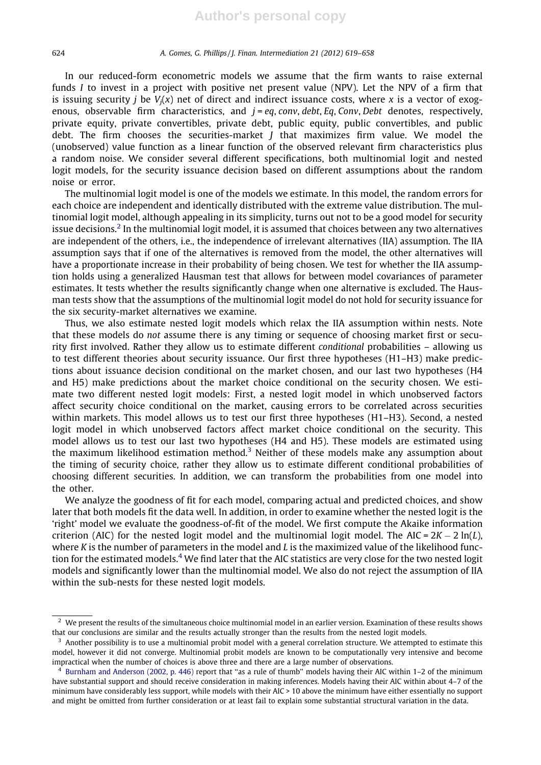In our reduced-form econometric models we assume that the firm wants to raise external funds I to invest in a project with positive net present value (NPV). Let the NPV of a firm that is issuing security *j* be  $V_i(x)$  net of direct and indirect issuance costs, where x is a vector of exogenous, observable firm characteristics, and  $j = eq$ , conv, debt, Eq, Conv, Debt denotes, respectively, private equity, private convertibles, private debt, public equity, public convertibles, and public debt. The firm chooses the securities-market J that maximizes firm value. We model the (unobserved) value function as a linear function of the observed relevant firm characteristics plus a random noise. We consider several different specifications, both multinomial logit and nested logit models, for the security issuance decision based on different assumptions about the random noise or error.

The multinomial logit model is one of the models we estimate. In this model, the random errors for each choice are independent and identically distributed with the extreme value distribution. The multinomial logit model, although appealing in its simplicity, turns out not to be a good model for security issue decisions.<sup>2</sup> In the multinomial logit model, it is assumed that choices between any two alternatives are independent of the others, i.e., the independence of irrelevant alternatives (IIA) assumption. The IIA assumption says that if one of the alternatives is removed from the model, the other alternatives will have a proportionate increase in their probability of being chosen. We test for whether the IIA assumption holds using a generalized Hausman test that allows for between model covariances of parameter estimates. It tests whether the results significantly change when one alternative is excluded. The Hausman tests show that the assumptions of the multinomial logit model do not hold for security issuance for the six security-market alternatives we examine.

Thus, we also estimate nested logit models which relax the IIA assumption within nests. Note that these models do not assume there is any timing or sequence of choosing market first or security first involved. Rather they allow us to estimate different conditional probabilities – allowing us to test different theories about security issuance. Our first three hypotheses (H1–H3) make predictions about issuance decision conditional on the market chosen, and our last two hypotheses (H4 and H5) make predictions about the market choice conditional on the security chosen. We estimate two different nested logit models: First, a nested logit model in which unobserved factors affect security choice conditional on the market, causing errors to be correlated across securities within markets. This model allows us to test our first three hypotheses (H1–H3). Second, a nested logit model in which unobserved factors affect market choice conditional on the security. This model allows us to test our last two hypotheses (H4 and H5). These models are estimated using the maximum likelihood estimation method.<sup>3</sup> Neither of these models make any assumption about the timing of security choice, rather they allow us to estimate different conditional probabilities of choosing different securities. In addition, we can transform the probabilities from one model into the other.

We analyze the goodness of fit for each model, comparing actual and predicted choices, and show later that both models fit the data well. In addition, in order to examine whether the nested logit is the 'right' model we evaluate the goodness-of-fit of the model. We first compute the Akaike information criterion (AIC) for the nested logit model and the multinomial logit model. The AIC =  $2K - 2 \ln(L)$ , where K is the number of parameters in the model and  $L$  is the maximized value of the likelihood function for the estimated models.<sup>4</sup> We find later that the AIC statistics are very close for the two nested logit models and significantly lower than the multinomial model. We also do not reject the assumption of IIA within the sub-nests for these nested logit models.

<sup>&</sup>lt;sup>2</sup> We present the results of the simultaneous choice multinomial model in an earlier version. Examination of these results shows that our conclusions are similar and the results actually stronger than the results from the nested logit models.

 $3$  Another possibility is to use a multinomial probit model with a general correlation structure. We attempted to estimate this model, however it did not converge. Multinomial probit models are known to be computationally very intensive and become impractical when the number of choices is above three and there are a large number of observations.

<sup>4</sup> Burnham and Anderson (2002, p. 446) report that ''as a rule of thumb'' models having their AIC within 1–2 of the minimum have substantial support and should receive consideration in making inferences. Models having their AIC within about 4–7 of the minimum have considerably less support, while models with their AIC > 10 above the minimum have either essentially no support and might be omitted from further consideration or at least fail to explain some substantial structural variation in the data.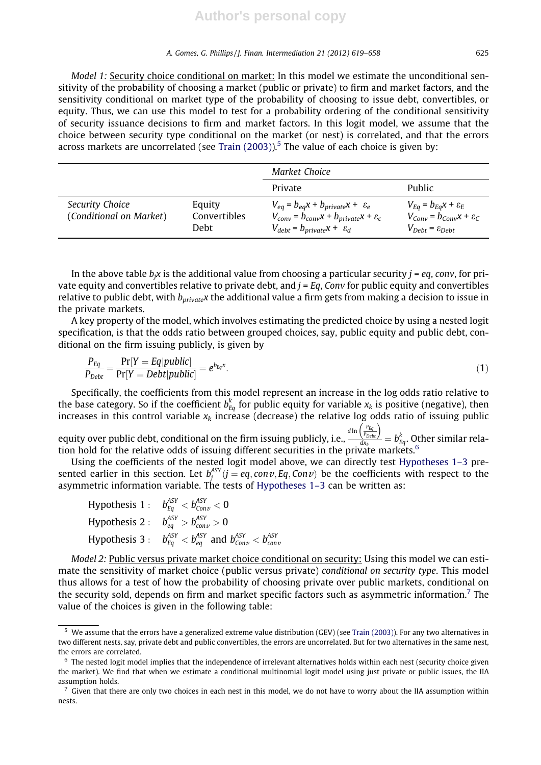Model 1: Security choice conditional on market: In this model we estimate the unconditional sensitivity of the probability of choosing a market (public or private) to firm and market factors, and the sensitivity conditional on market type of the probability of choosing to issue debt, convertibles, or equity. Thus, we can use this model to test for a probability ordering of the conditional sensitivity of security issuance decisions to firm and market factors. In this logit model, we assume that the choice between security type conditional on the market (or nest) is correlated, and that the errors across markets are uncorrelated (see Train  $(2003)$ ).<sup>5</sup> The value of each choice is given by:

|                                            |                                | Market Choice                                                                                                                                           |                                                                                                                 |
|--------------------------------------------|--------------------------------|---------------------------------------------------------------------------------------------------------------------------------------------------------|-----------------------------------------------------------------------------------------------------------------|
|                                            |                                | Private                                                                                                                                                 | <b>Public</b>                                                                                                   |
| Security Choice<br>(Conditional on Market) | Equity<br>Convertibles<br>Debt | $V_{eq} = b_{eq}x + b_{private}x + \varepsilon_e$<br>$V_{conv} = b_{conv}x + b_{private}x + \varepsilon_c$<br>$V_{debt} = b_{private}x + \varepsilon_d$ | $V_{Eq} = b_{Eq}x + \varepsilon_E$<br>$V_{Conv} = b_{Conv}x + \varepsilon_C$<br>$V_{Debt} = \varepsilon_{Debt}$ |

In the above table  $b_i x$  is the additional value from choosing a particular security  $j = eq$ , conv, for private equity and convertibles relative to private debt, and  $j = Eq$ , Conv for public equity and convertibles relative to public debt, with  $b_{private}$  the additional value a firm gets from making a decision to issue in the private markets.

A key property of the model, which involves estimating the predicted choice by using a nested logit specification, is that the odds ratio between grouped choices, say, public equity and public debt, conditional on the firm issuing publicly, is given by

$$
\frac{P_{Eq}}{P_{Debt}} = \frac{\Pr[Y = Eq | public]}{\Pr[Y = Debt | public]} = e^{b_{Eq}x}.\tag{1}
$$

Specifically, the coefficients from this model represent an increase in the log odds ratio relative to the base category. So if the coefficient  $b_{Eq}^k$  for public equity for variable  $x_k$  is positive (negative), then increases in this control variable  $x_k$  increase (decrease) the relative log odds ratio of issuing public

equity over public debt, conditional on the firm issuing publicly, i.e.,  $\frac{d \ln \left(\frac{P_{Eq}}{P_{lolet}}\right)}{d x}$  $\frac{N_{\textit{Debt}}}{dx_k} = b_{\textit{Eq}}^k$ . Other similar relation hold for the relative odds of issuing different securities in the private markets.<sup>6</sup>

Using the coefficients of the nested logit model above, we can directly test Hypotheses 1–3 presented earlier in this section. Let  $b^{\rm ASY}_j(j=eq, conv, Eq, Conv)$  be the coefficients with respect to the asymmetric information variable. The tests of Hypotheses 1–3 can be written as:

| Hypothesis 1 : $b_{Eq}^{ASY} < b_{Conv}^{ASY} < 0$                                 |
|------------------------------------------------------------------------------------|
| Hypothesis 2 : $b_{eq}^{ASY} > b_{conv}^{ASY} > 0$                                 |
| Hypothesis 3 : $b_{Eq}^{ASY} < b_{eq}^{ASY}$ and $b_{Conv}^{ASY} < b_{conv}^{ASY}$ |

Model 2: Public versus private market choice conditional on security: Using this model we can estimate the sensitivity of market choice (public versus private) conditional on security type. This model thus allows for a test of how the probability of choosing private over public markets, conditional on the security sold, depends on firm and market specific factors such as asymmetric information.<sup>7</sup> The value of the choices is given in the following table:

We assume that the errors have a generalized extreme value distribution (GEV) (see Train (2003)). For any two alternatives in two different nests, say, private debt and public convertibles, the errors are uncorrelated. But for two alternatives in the same nest, the errors are correlated.

 $6$  The nested logit model implies that the independence of irrelevant alternatives holds within each nest (security choice given the market). We find that when we estimate a conditional multinomial logit model using just private or public issues, the IIA assumption holds.

 $7\,$  Given that there are only two choices in each nest in this model, we do not have to worry about the IIA assumption within nests.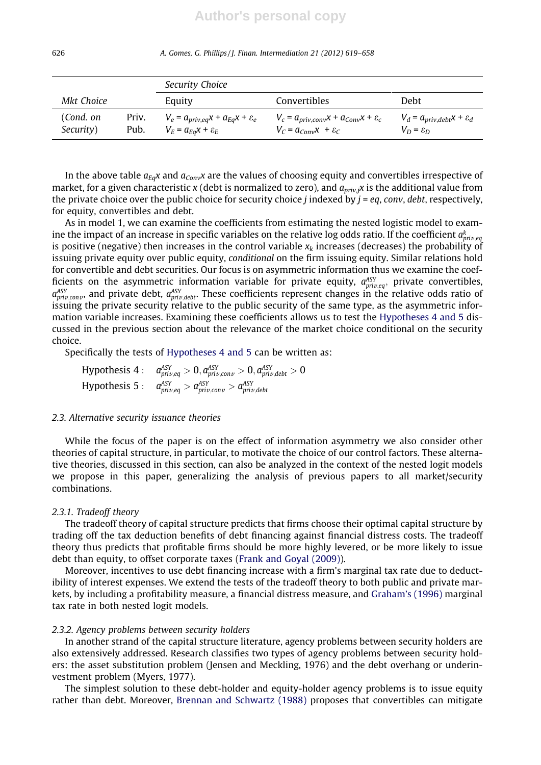|                        |               | Security Choice                                                                   |                                                                                         |                                                                 |
|------------------------|---------------|-----------------------------------------------------------------------------------|-----------------------------------------------------------------------------------------|-----------------------------------------------------------------|
| Mkt Choice             |               | Equity                                                                            | Convertibles                                                                            | Debt                                                            |
| (Cond. on<br>Security) | Priv.<br>Pub. | $V_e = a_{priv,eq}x + a_{Eq}x + \varepsilon_e$<br>$V_E = a_{Eq}x + \varepsilon_E$ | $V_c = a_{priv,conv}x + a_{Conv}x + \varepsilon_c$<br>$V_C = a_{Conv}x + \varepsilon_C$ | $V_d = a_{priv,debt}x + \varepsilon_d$<br>$V_D = \varepsilon_D$ |

In the above table  $a_{Eq}x$  and  $a_{Conv}x$  are the values of choosing equity and convertibles irrespective of market, for a given characteristic x (debt is normalized to zero), and  $a_{\text{priv}}$  x is the additional value from the private choice over the public choice for security choice *j* indexed by  $j = eq$ , conv, debt, respectively, for equity, convertibles and debt.

As in model 1, we can examine the coefficients from estimating the nested logistic model to examine the impact of an increase in specific variables on the relative log odds ratio. If the coefficient  $a^k_{priv,eq}$ is positive (negative) then increases in the control variable  $x<sub>k</sub>$  increases (decreases) the probability of issuing private equity over public equity, conditional on the firm issuing equity. Similar relations hold for convertible and debt securities. Our focus is on asymmetric information thus we examine the coefficients on the asymmetric information variable for private equity,  $a_{priv,eq}^{ASY}$ , private convertibles,  $a_{priv,conv}^{ASY}$ , and private debt,  $a_{priv,debt}^{ASY}$ . These coefficients represent changes in the relative odds ratio of issuing the private security relative to the public security of the same type, as the asymmetric information variable increases. Examining these coefficients allows us to test the Hypotheses 4 and 5 discussed in the previous section about the relevance of the market choice conditional on the security choice.

Specifically the tests of Hypotheses 4 and 5 can be written as:

$$
\text{Hypothesis 4:} \quad a_{\text{priv,eq}}^{\text{ASY}} > 0, a_{\text{priv,conv}}^{\text{ASY}} > 0, a_{\text{priv,debt}}^{\text{ASY}} > 0
$$
\n
$$
\text{Hypothesis 5:} \quad a_{\text{priv,eq}}^{\text{ASY}} > a_{\text{priv,conv}}^{\text{ASY}} > a_{\text{priv,debt}}^{\text{AY}}
$$

### 2.3. Alternative security issuance theories

While the focus of the paper is on the effect of information asymmetry we also consider other theories of capital structure, in particular, to motivate the choice of our control factors. These alternative theories, discussed in this section, can also be analyzed in the context of the nested logit models we propose in this paper, generalizing the analysis of previous papers to all market/security combinations.

# 2.3.1. Tradeoff theory

The tradeoff theory of capital structure predicts that firms choose their optimal capital structure by trading off the tax deduction benefits of debt financing against financial distress costs. The tradeoff theory thus predicts that profitable firms should be more highly levered, or be more likely to issue debt than equity, to offset corporate taxes (Frank and Goyal (2009)).

Moreover, incentives to use debt financing increase with a firm's marginal tax rate due to deductibility of interest expenses. We extend the tests of the tradeoff theory to both public and private markets, by including a profitability measure, a financial distress measure, and Graham's (1996) marginal tax rate in both nested logit models.

### 2.3.2. Agency problems between security holders

In another strand of the capital structure literature, agency problems between security holders are also extensively addressed. Research classifies two types of agency problems between security holders: the asset substitution problem (Jensen and Meckling, 1976) and the debt overhang or underinvestment problem (Myers, 1977).

The simplest solution to these debt-holder and equity-holder agency problems is to issue equity rather than debt. Moreover, Brennan and Schwartz (1988) proposes that convertibles can mitigate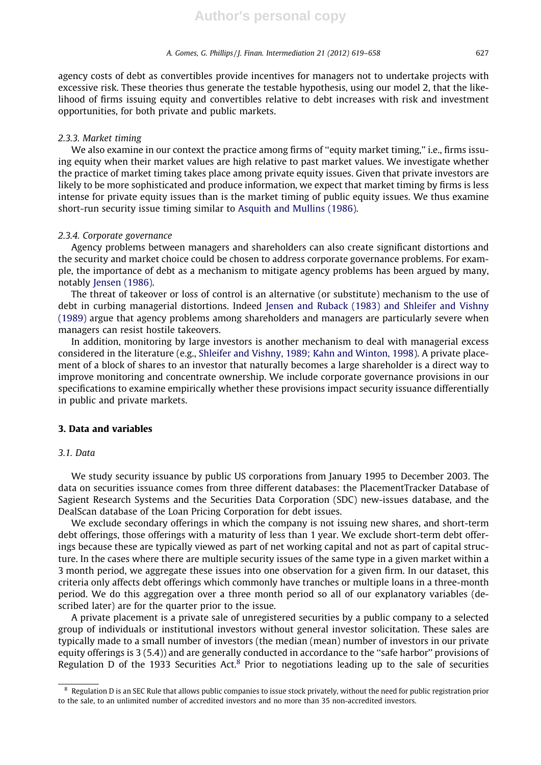agency costs of debt as convertibles provide incentives for managers not to undertake projects with excessive risk. These theories thus generate the testable hypothesis, using our model 2, that the likelihood of firms issuing equity and convertibles relative to debt increases with risk and investment opportunities, for both private and public markets.

## 2.3.3. Market timing

We also examine in our context the practice among firms of "equity market timing," i.e., firms issuing equity when their market values are high relative to past market values. We investigate whether the practice of market timing takes place among private equity issues. Given that private investors are likely to be more sophisticated and produce information, we expect that market timing by firms is less intense for private equity issues than is the market timing of public equity issues. We thus examine short-run security issue timing similar to Asquith and Mullins (1986).

# 2.3.4. Corporate governance

Agency problems between managers and shareholders can also create significant distortions and the security and market choice could be chosen to address corporate governance problems. For example, the importance of debt as a mechanism to mitigate agency problems has been argued by many, notably Jensen (1986).

The threat of takeover or loss of control is an alternative (or substitute) mechanism to the use of debt in curbing managerial distortions. Indeed Jensen and Ruback (1983) and Shleifer and Vishny (1989) argue that agency problems among shareholders and managers are particularly severe when managers can resist hostile takeovers.

In addition, monitoring by large investors is another mechanism to deal with managerial excess considered in the literature (e.g., Shleifer and Vishny, 1989; Kahn and Winton, 1998). A private placement of a block of shares to an investor that naturally becomes a large shareholder is a direct way to improve monitoring and concentrate ownership. We include corporate governance provisions in our specifications to examine empirically whether these provisions impact security issuance differentially in public and private markets.

# 3. Data and variables

# 3.1. Data

We study security issuance by public US corporations from January 1995 to December 2003. The data on securities issuance comes from three different databases: the PlacementTracker Database of Sagient Research Systems and the Securities Data Corporation (SDC) new-issues database, and the DealScan database of the Loan Pricing Corporation for debt issues.

We exclude secondary offerings in which the company is not issuing new shares, and short-term debt offerings, those offerings with a maturity of less than 1 year. We exclude short-term debt offerings because these are typically viewed as part of net working capital and not as part of capital structure. In the cases where there are multiple security issues of the same type in a given market within a 3 month period, we aggregate these issues into one observation for a given firm. In our dataset, this criteria only affects debt offerings which commonly have tranches or multiple loans in a three-month period. We do this aggregation over a three month period so all of our explanatory variables (described later) are for the quarter prior to the issue.

A private placement is a private sale of unregistered securities by a public company to a selected group of individuals or institutional investors without general investor solicitation. These sales are typically made to a small number of investors (the median (mean) number of investors in our private equity offerings is 3 (5.4)) and are generally conducted in accordance to the ''safe harbor'' provisions of Regulation D of the 1933 Securities Act.<sup>8</sup> Prior to negotiations leading up to the sale of securities

<sup>8</sup> Regulation D is an SEC Rule that allows public companies to issue stock privately, without the need for public registration prior to the sale, to an unlimited number of accredited investors and no more than 35 non-accredited investors.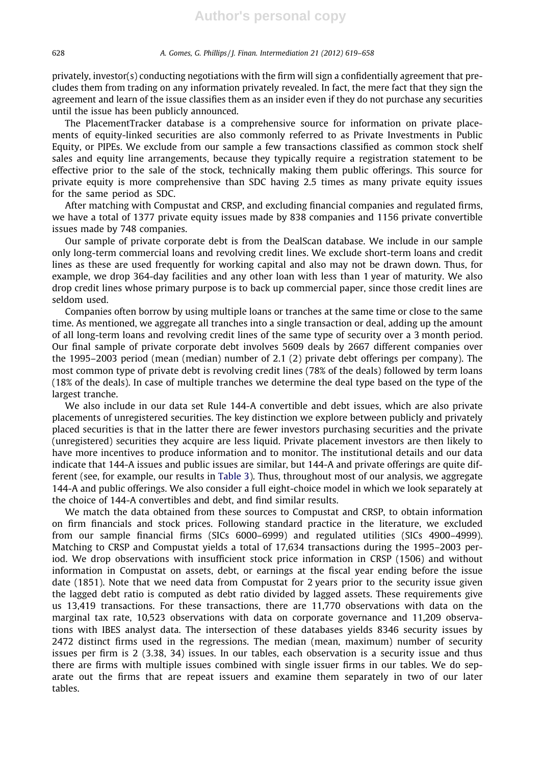privately, investor(s) conducting negotiations with the firm will sign a confidentially agreement that precludes them from trading on any information privately revealed. In fact, the mere fact that they sign the agreement and learn of the issue classifies them as an insider even if they do not purchase any securities until the issue has been publicly announced.

The PlacementTracker database is a comprehensive source for information on private placements of equity-linked securities are also commonly referred to as Private Investments in Public Equity, or PIPEs. We exclude from our sample a few transactions classified as common stock shelf sales and equity line arrangements, because they typically require a registration statement to be effective prior to the sale of the stock, technically making them public offerings. This source for private equity is more comprehensive than SDC having 2.5 times as many private equity issues for the same period as SDC.

After matching with Compustat and CRSP, and excluding financial companies and regulated firms, we have a total of 1377 private equity issues made by 838 companies and 1156 private convertible issues made by 748 companies.

Our sample of private corporate debt is from the DealScan database. We include in our sample only long-term commercial loans and revolving credit lines. We exclude short-term loans and credit lines as these are used frequently for working capital and also may not be drawn down. Thus, for example, we drop 364-day facilities and any other loan with less than 1 year of maturity. We also drop credit lines whose primary purpose is to back up commercial paper, since those credit lines are seldom used.

Companies often borrow by using multiple loans or tranches at the same time or close to the same time. As mentioned, we aggregate all tranches into a single transaction or deal, adding up the amount of all long-term loans and revolving credit lines of the same type of security over a 3 month period. Our final sample of private corporate debt involves 5609 deals by 2667 different companies over the 1995–2003 period (mean (median) number of 2.1 (2) private debt offerings per company). The most common type of private debt is revolving credit lines (78% of the deals) followed by term loans (18% of the deals). In case of multiple tranches we determine the deal type based on the type of the largest tranche.

We also include in our data set Rule 144-A convertible and debt issues, which are also private placements of unregistered securities. The key distinction we explore between publicly and privately placed securities is that in the latter there are fewer investors purchasing securities and the private (unregistered) securities they acquire are less liquid. Private placement investors are then likely to have more incentives to produce information and to monitor. The institutional details and our data indicate that 144-A issues and public issues are similar, but 144-A and private offerings are quite different (see, for example, our results in Table 3). Thus, throughout most of our analysis, we aggregate 144-A and public offerings. We also consider a full eight-choice model in which we look separately at the choice of 144-A convertibles and debt, and find similar results.

We match the data obtained from these sources to Compustat and CRSP, to obtain information on firm financials and stock prices. Following standard practice in the literature, we excluded from our sample financial firms (SICs 6000–6999) and regulated utilities (SICs 4900–4999). Matching to CRSP and Compustat yields a total of 17,634 transactions during the 1995–2003 period. We drop observations with insufficient stock price information in CRSP (1506) and without information in Compustat on assets, debt, or earnings at the fiscal year ending before the issue date (1851). Note that we need data from Compustat for 2 years prior to the security issue given the lagged debt ratio is computed as debt ratio divided by lagged assets. These requirements give us 13,419 transactions. For these transactions, there are 11,770 observations with data on the marginal tax rate, 10,523 observations with data on corporate governance and 11,209 observations with IBES analyst data. The intersection of these databases yields 8346 security issues by 2472 distinct firms used in the regressions. The median (mean, maximum) number of security issues per firm is 2 (3.38, 34) issues. In our tables, each observation is a security issue and thus there are firms with multiple issues combined with single issuer firms in our tables. We do separate out the firms that are repeat issuers and examine them separately in two of our later tables.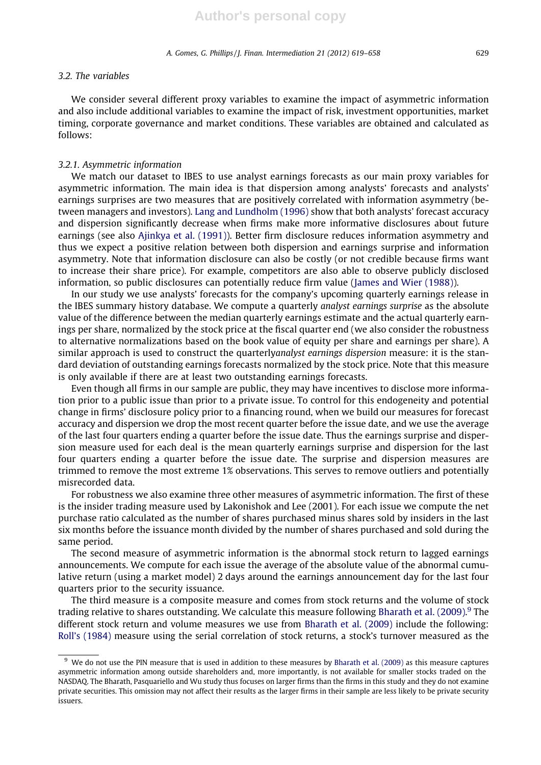### 3.2. The variables

We consider several different proxy variables to examine the impact of asymmetric information and also include additional variables to examine the impact of risk, investment opportunities, market timing, corporate governance and market conditions. These variables are obtained and calculated as follows:

### 3.2.1. Asymmetric information

We match our dataset to IBES to use analyst earnings forecasts as our main proxy variables for asymmetric information. The main idea is that dispersion among analysts' forecasts and analysts' earnings surprises are two measures that are positively correlated with information asymmetry (between managers and investors). Lang and Lundholm (1996) show that both analysts' forecast accuracy and dispersion significantly decrease when firms make more informative disclosures about future earnings (see also Ajinkya et al. (1991)). Better firm disclosure reduces information asymmetry and thus we expect a positive relation between both dispersion and earnings surprise and information asymmetry. Note that information disclosure can also be costly (or not credible because firms want to increase their share price). For example, competitors are also able to observe publicly disclosed information, so public disclosures can potentially reduce firm value (James and Wier (1988)).

In our study we use analysts' forecasts for the company's upcoming quarterly earnings release in the IBES summary history database. We compute a quarterly analyst earnings surprise as the absolute value of the difference between the median quarterly earnings estimate and the actual quarterly earnings per share, normalized by the stock price at the fiscal quarter end (we also consider the robustness to alternative normalizations based on the book value of equity per share and earnings per share). A similar approach is used to construct the quarterlyanalyst earnings dispersion measure: it is the standard deviation of outstanding earnings forecasts normalized by the stock price. Note that this measure is only available if there are at least two outstanding earnings forecasts.

Even though all firms in our sample are public, they may have incentives to disclose more information prior to a public issue than prior to a private issue. To control for this endogeneity and potential change in firms' disclosure policy prior to a financing round, when we build our measures for forecast accuracy and dispersion we drop the most recent quarter before the issue date, and we use the average of the last four quarters ending a quarter before the issue date. Thus the earnings surprise and dispersion measure used for each deal is the mean quarterly earnings surprise and dispersion for the last four quarters ending a quarter before the issue date. The surprise and dispersion measures are trimmed to remove the most extreme 1% observations. This serves to remove outliers and potentially misrecorded data.

For robustness we also examine three other measures of asymmetric information. The first of these is the insider trading measure used by Lakonishok and Lee (2001). For each issue we compute the net purchase ratio calculated as the number of shares purchased minus shares sold by insiders in the last six months before the issuance month divided by the number of shares purchased and sold during the same period.

The second measure of asymmetric information is the abnormal stock return to lagged earnings announcements. We compute for each issue the average of the absolute value of the abnormal cumulative return (using a market model) 2 days around the earnings announcement day for the last four quarters prior to the security issuance.

The third measure is a composite measure and comes from stock returns and the volume of stock trading relative to shares outstanding. We calculate this measure following Bharath et al. (2009). <sup>9</sup> The different stock return and volume measures we use from Bharath et al. (2009) include the following: Roll's (1984) measure using the serial correlation of stock returns, a stock's turnover measured as the

 $9\,$  We do not use the PIN measure that is used in addition to these measures by Bharath et al. (2009) as this measure captures asymmetric information among outside shareholders and, more importantly, is not available for smaller stocks traded on the NASDAQ. The Bharath, Pasquariello and Wu study thus focuses on larger firms than the firms in this study and they do not examine private securities. This omission may not affect their results as the larger firms in their sample are less likely to be private security issuers.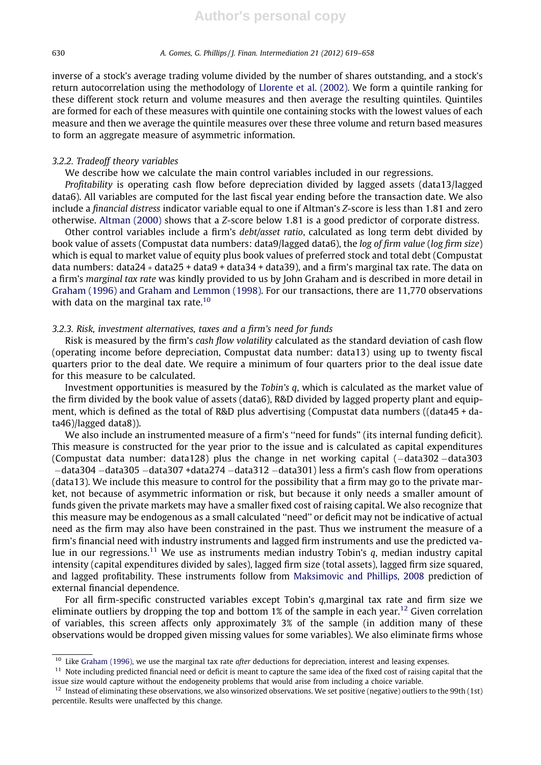inverse of a stock's average trading volume divided by the number of shares outstanding, and a stock's return autocorrelation using the methodology of Llorente et al. (2002). We form a quintile ranking for these different stock return and volume measures and then average the resulting quintiles. Quintiles are formed for each of these measures with quintile one containing stocks with the lowest values of each measure and then we average the quintile measures over these three volume and return based measures to form an aggregate measure of asymmetric information.

# 3.2.2. Tradeoff theory variables

We describe how we calculate the main control variables included in our regressions.

Profitability is operating cash flow before depreciation divided by lagged assets (data13/lagged data6). All variables are computed for the last fiscal year ending before the transaction date. We also include a financial distress indicator variable equal to one if Altman's Z-score is less than 1.81 and zero otherwise. Altman (2000) shows that a Z-score below 1.81 is a good predictor of corporate distress.

Other control variables include a firm's debt/asset ratio, calculated as long term debt divided by book value of assets (Compustat data numbers: data9/lagged data6), the log of firm value (log firm size) which is equal to market value of equity plus book values of preferred stock and total debt (Compustat data numbers: data24  $*$  data25 + data9 + data34 + data39), and a firm's marginal tax rate. The data on a firm's marginal tax rate was kindly provided to us by John Graham and is described in more detail in Graham (1996) and Graham and Lemmon (1998). For our transactions, there are 11,770 observations with data on the marginal tax rate.<sup>10</sup>

# 3.2.3. Risk, investment alternatives, taxes and a firm's need for funds

Risk is measured by the firm's cash flow volatility calculated as the standard deviation of cash flow (operating income before depreciation, Compustat data number: data13) using up to twenty fiscal quarters prior to the deal date. We require a minimum of four quarters prior to the deal issue date for this measure to be calculated.

Investment opportunities is measured by the Tobin's q, which is calculated as the market value of the firm divided by the book value of assets (data6), R&D divided by lagged property plant and equipment, which is defined as the total of R&D plus advertising (Compustat data numbers ((data45 + data46)/lagged data8)).

We also include an instrumented measure of a firm's "need for funds" (its internal funding deficit). This measure is constructed for the year prior to the issue and is calculated as capital expenditures (Compustat data number: data128) plus the change in net working capital (–data302–data303 —data304 —data305 —data307 +data274 —data312 —data301) less a firm's cash flow from operations (data13). We include this measure to control for the possibility that a firm may go to the private market, not because of asymmetric information or risk, but because it only needs a smaller amount of funds given the private markets may have a smaller fixed cost of raising capital. We also recognize that this measure may be endogenous as a small calculated ''need'' or deficit may not be indicative of actual need as the firm may also have been constrained in the past. Thus we instrument the measure of a firm's financial need with industry instruments and lagged firm instruments and use the predicted value in our regressions.<sup>11</sup> We use as instruments median industry Tobin's q, median industry capital intensity (capital expenditures divided by sales), lagged firm size (total assets), lagged firm size squared, and lagged profitability. These instruments follow from Maksimovic and Phillips, 2008 prediction of external financial dependence.

For all firm-specific constructed variables except Tobin's q,marginal tax rate and firm size we eliminate outliers by dropping the top and bottom 1% of the sample in each year.<sup>12</sup> Given correlation of variables, this screen affects only approximately 3% of the sample (in addition many of these observations would be dropped given missing values for some variables). We also eliminate firms whose

 $10$  Like Graham (1996), we use the marginal tax rate after deductions for depreciation, interest and leasing expenses.

 $11$  Note including predicted financial need or deficit is meant to capture the same idea of the fixed cost of raising capital that the issue size would capture without the endogeneity problems that would arise from including a choice variable.

 $12$  Instead of eliminating these observations, we also winsorized observations. We set positive (negative) outliers to the 99th (1st) percentile. Results were unaffected by this change.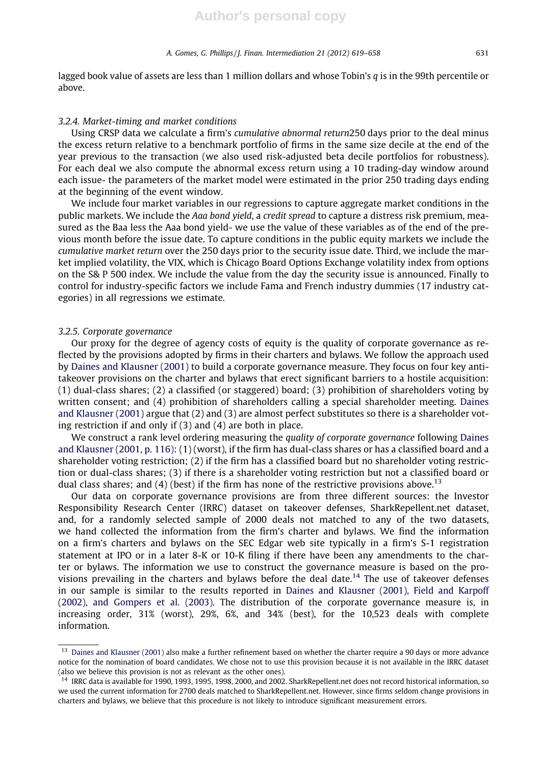lagged book value of assets are less than 1 million dollars and whose Tobin's q is in the 99th percentile or above.

### 3.2.4. Market-timing and market conditions

Using CRSP data we calculate a firm's cumulative abnormal return250 days prior to the deal minus the excess return relative to a benchmark portfolio of firms in the same size decile at the end of the year previous to the transaction (we also used risk-adjusted beta decile portfolios for robustness). For each deal we also compute the abnormal excess return using a 10 trading-day window around each issue- the parameters of the market model were estimated in the prior 250 trading days ending at the beginning of the event window.

We include four market variables in our regressions to capture aggregate market conditions in the public markets. We include the Aaa bond yield, a credit spread to capture a distress risk premium, measured as the Baa less the Aaa bond yield- we use the value of these variables as of the end of the previous month before the issue date. To capture conditions in the public equity markets we include the cumulative market return over the 250 days prior to the security issue date. Third, we include the market implied volatility, the VIX, which is Chicago Board Options Exchange volatility index from options on the S& P 500 index. We include the value from the day the security issue is announced. Finally to control for industry-specific factors we include Fama and French industry dummies (17 industry categories) in all regressions we estimate.

### 3.2.5. Corporate governance

Our proxy for the degree of agency costs of equity is the quality of corporate governance as reflected by the provisions adopted by firms in their charters and bylaws. We follow the approach used by Daines and Klausner (2001) to build a corporate governance measure. They focus on four key antitakeover provisions on the charter and bylaws that erect significant barriers to a hostile acquisition: (1) dual-class shares; (2) a classified (or staggered) board; (3) prohibition of shareholders voting by written consent; and (4) prohibition of shareholders calling a special shareholder meeting. Daines and Klausner (2001) argue that (2) and (3) are almost perfect substitutes so there is a shareholder voting restriction if and only if (3) and (4) are both in place.

We construct a rank level ordering measuring the quality of corporate governance following Daines and Klausner (2001, p. 116): (1) (worst), if the firm has dual-class shares or has a classified board and a shareholder voting restriction; (2) if the firm has a classified board but no shareholder voting restriction or dual-class shares; (3) if there is a shareholder voting restriction but not a classified board or dual class shares; and (4) (best) if the firm has none of the restrictive provisions above.<sup>13</sup>

Our data on corporate governance provisions are from three different sources: the Investor Responsibility Research Center (IRRC) dataset on takeover defenses, SharkRepellent.net dataset, and, for a randomly selected sample of 2000 deals not matched to any of the two datasets, we hand collected the information from the firm's charter and bylaws. We find the information on a firm's charters and bylaws on the SEC Edgar web site typically in a firm's S-1 registration statement at IPO or in a later 8-K or 10-K filing if there have been any amendments to the charter or bylaws. The information we use to construct the governance measure is based on the provisions prevailing in the charters and bylaws before the deal date.<sup>14</sup> The use of takeover defenses in our sample is similar to the results reported in Daines and Klausner (2001), Field and Karpoff (2002), and Gompers et al. (2003). The distribution of the corporate governance measure is, in increasing order, 31% (worst), 29%, 6%, and 34% (best), for the 10,523 deals with complete information.

<sup>&</sup>lt;sup>13</sup> Daines and Klausner (2001) also make a further refinement based on whether the charter require a 90 days or more advance notice for the nomination of board candidates. We chose not to use this provision because it is not available in the IRRC dataset (also we believe this provision is not as relevant as the other ones).

<sup>&</sup>lt;sup>14</sup> IRRC data is available for 1990, 1993, 1995, 1998, 2000, and 2002. SharkRepellent.net does not record historical information, so we used the current information for 2700 deals matched to SharkRepellent.net. However, since firms seldom change provisions in charters and bylaws, we believe that this procedure is not likely to introduce significant measurement errors.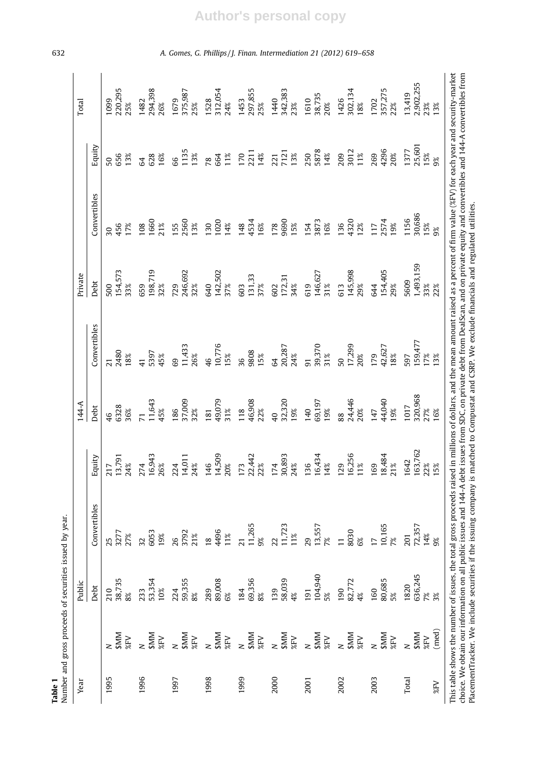| Year  |                             | Public                     |                            |         | $144-A$         |                 | Private   |                 |        | Total     |
|-------|-----------------------------|----------------------------|----------------------------|---------|-----------------|-----------------|-----------|-----------------|--------|-----------|
|       |                             | Debt                       | Convertibles               | Equity  | Debt            | Convertibles    | Debt      | Convertibles    | Equity |           |
| 1995  |                             | 210<br>38,735              | 25                         | 217     | 46              | $\overline{21}$ | 500       | $\overline{30}$ | 50     | 1099      |
|       | <b>SMM</b>                  |                            | 3277                       | 13,791  | 6328            | 2480            | 154,573   | 456             | 656    | 220,295   |
|       | %FV                         |                            | 27%                        | 24%     | 36%             | 18%             | 33%       | 17%             | 13%    | 25%       |
| 1996  | $\frac{N}{2}$               | 233                        | $\frac{32}{6053}$          | 274     | $\overline{71}$ | $\frac{4}{1}$   | 659       | 108             | S4     | 1482      |
|       |                             | 53,354                     |                            | 16,943  | 11,643          | 5397            | 198,719   | 1660            | 628    | 294,398   |
|       |                             | 10%                        |                            | 26%     | 45%             | 45%             | 32%       | 21%             | 16%    | 26%       |
| 1997  | $\frac{N}{2}$<br>SMM<br>%FV |                            | 26<br>3792<br>21%          | 224     | 186             | 69              | 729       | 155             | 89     | 1679      |
|       |                             | 224<br>59,355<br>8%        |                            | 14,011  | 37,009          | 11,433          | 246,692   | 2560            | 1135   | 375,987   |
|       |                             |                            |                            | 24%     | 32%             | 26%             | 32%       | 13%             | 13%    | 25%       |
| 1998  | $\frac{N}{2}$<br>SMM<br>%FV | $\frac{289}{89,008}$       |                            | 146     | 181             | 46              | 640       | 130             | 78     | 1528      |
|       |                             |                            |                            | 14,509  | 49,079          | 10,776          | 142,502   | 1020            | 664    | 312,054   |
|       |                             |                            | 18<br>4496<br>11%          | 20%     | 31%             | 15%             | 37%       | 14%             | 11%    | 24%       |
| 1999  |                             |                            |                            | 173     | 118             | 36              | 603       | 148             | 170    | 1453      |
|       |                             |                            |                            | 22,442  | 46,908          | 9808            | 131,33    | 4534            | 2211   | 297,855   |
|       | $\frac{N}{\$MM}$            | $\frac{184}{69,356}$       | 11,265<br>9%               | 22%     | 22%             | 15%             | 37%       | 16%             | 14%    | 25%       |
| 2000  | $\overline{z}$              | 139                        |                            | 174     | $\overline{40}$ | 64              | 602       | 178             | 221    | 1440      |
|       | SMM<br>%FV                  | 58,039<br>4%               | 11,723<br>11%              | 30,893  | 32,320          | 20,287          | 172,31    | 9690            | 7121   | 342,383   |
|       |                             |                            |                            | 24%     | 19%             | 24%             | 34%       | 15%             | 13%    | 23%       |
| 2001  | $\overline{z}$              | 191<br>104,940<br>5%       | 29<br>13,557<br>7%         | 136     | 140             | $\overline{5}$  | 619       | 154             | 250    | 1610      |
|       |                             |                            |                            | 16,434  | 69,197          | 39,370          | 146,627   | 3873            | 5878   | 38,735    |
|       | SMM<br>%FV                  |                            |                            | 14%     | 19%             | 31%             | 31%       | 16%             | 14%    | 20%       |
| 2002  | $N$<br>SMM<br>$\%$ FV       | $\frac{190}{82,772}$       | $\frac{11}{8030}$          | 129     | 88              | 50              | 613       | 136             | 209    | 1426      |
|       |                             |                            |                            | 16,256  | 24,446          | 17,299          | 145,998   | 4320            | 3012   | 302,134   |
|       |                             |                            |                            | 11%     | 20%             | 20%             | 29%       | 12%             | 11%    | 18%       |
| 2003  | $\frac{N}{2}$<br>SMM<br>%FV | $\frac{160}{80,685}$<br>5% | $\frac{17}{10,165}$<br>7%  | 169     | 147             | 179             | 644       | 117             | 269    | 1702      |
|       |                             |                            |                            | 18,484  | 44,040          | 42,627          | 154,405   | 2574            | 4296   | 357,275   |
|       |                             |                            |                            | 21%     | 19%             | 18%             | 29%       | 19%             | 20%    | 22%       |
| Total | $\frac{N}{2}$               |                            |                            | 1642    | 1017            | 597             | 5609      | 1156            | 1377   | 13,419    |
|       |                             | 1820<br>636,245            |                            | 163,762 | 320,968         | 159,477         | 1,493,159 | 30,686          | 25,601 | 2,902,255 |
|       | $\%$ FV                     | 7%<br>3%                   | 201<br>72,357<br>14%<br>9% | 22%     | 27%             | 17%             | 33%       | 15%             | 15%    | 23%       |
| %FV   | (med)                       |                            |                            | 15%     | 16%             | 3%              | 22%       | $9\%$           | 9%     | 13%       |

**Author's personal copy**

632 A. Gomes, G. Phillips / J. Finan. Intermediation 21 (2012) 619–658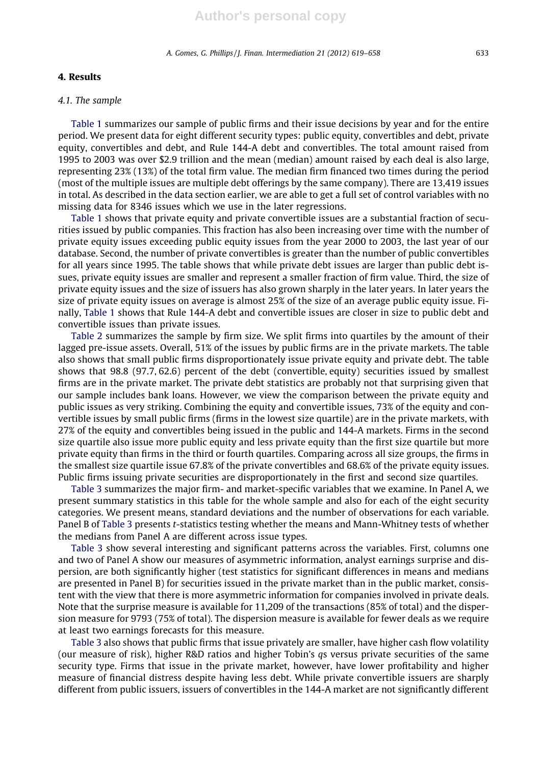# 4. Results

# 4.1. The sample

Table 1 summarizes our sample of public firms and their issue decisions by year and for the entire period. We present data for eight different security types: public equity, convertibles and debt, private equity, convertibles and debt, and Rule 144-A debt and convertibles. The total amount raised from 1995 to 2003 was over \$2.9 trillion and the mean (median) amount raised by each deal is also large, representing 23% (13%) of the total firm value. The median firm financed two times during the period (most of the multiple issues are multiple debt offerings by the same company). There are 13,419 issues in total. As described in the data section earlier, we are able to get a full set of control variables with no missing data for 8346 issues which we use in the later regressions.

Table 1 shows that private equity and private convertible issues are a substantial fraction of securities issued by public companies. This fraction has also been increasing over time with the number of private equity issues exceeding public equity issues from the year 2000 to 2003, the last year of our database. Second, the number of private convertibles is greater than the number of public convertibles for all years since 1995. The table shows that while private debt issues are larger than public debt issues, private equity issues are smaller and represent a smaller fraction of firm value. Third, the size of private equity issues and the size of issuers has also grown sharply in the later years. In later years the size of private equity issues on average is almost 25% of the size of an average public equity issue. Finally, Table 1 shows that Rule 144-A debt and convertible issues are closer in size to public debt and convertible issues than private issues.

Table 2 summarizes the sample by firm size. We split firms into quartiles by the amount of their lagged pre-issue assets. Overall, 51% of the issues by public firms are in the private markets. The table also shows that small public firms disproportionately issue private equity and private debt. The table shows that 98.8 (97.7, 62.6) percent of the debt (convertible, equity) securities issued by smallest firms are in the private market. The private debt statistics are probably not that surprising given that our sample includes bank loans. However, we view the comparison between the private equity and public issues as very striking. Combining the equity and convertible issues, 73% of the equity and convertible issues by small public firms (firms in the lowest size quartile) are in the private markets, with 27% of the equity and convertibles being issued in the public and 144-A markets. Firms in the second size quartile also issue more public equity and less private equity than the first size quartile but more private equity than firms in the third or fourth quartiles. Comparing across all size groups, the firms in the smallest size quartile issue 67.8% of the private convertibles and 68.6% of the private equity issues. Public firms issuing private securities are disproportionately in the first and second size quartiles.

Table 3 summarizes the major firm- and market-specific variables that we examine. In Panel A, we present summary statistics in this table for the whole sample and also for each of the eight security categories. We present means, standard deviations and the number of observations for each variable. Panel B of Table 3 presents t-statistics testing whether the means and Mann-Whitney tests of whether the medians from Panel A are different across issue types.

Table 3 show several interesting and significant patterns across the variables. First, columns one and two of Panel A show our measures of asymmetric information, analyst earnings surprise and dispersion, are both significantly higher (test statistics for significant differences in means and medians are presented in Panel B) for securities issued in the private market than in the public market, consistent with the view that there is more asymmetric information for companies involved in private deals. Note that the surprise measure is available for 11,209 of the transactions (85% of total) and the dispersion measure for 9793 (75% of total). The dispersion measure is available for fewer deals as we require at least two earnings forecasts for this measure.

Table 3 also shows that public firms that issue privately are smaller, have higher cash flow volatility (our measure of risk), higher R&D ratios and higher Tobin's qs versus private securities of the same security type. Firms that issue in the private market, however, have lower profitability and higher measure of financial distress despite having less debt. While private convertible issuers are sharply different from public issuers, issuers of convertibles in the 144-A market are not significantly different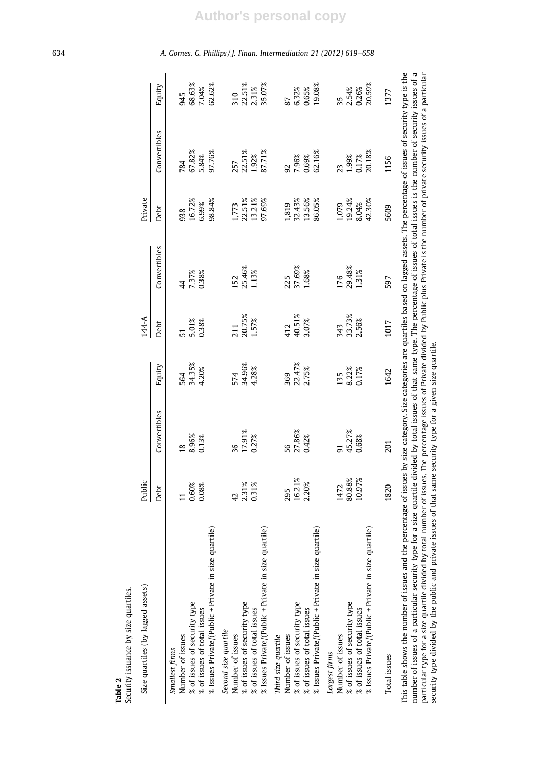| Security issuance by size quartiles.                                                                                                                                                                                                                                                                                                                                                                                                                                                                                                                                                                                                                                                                           |                 |               |                |                 |               |         |                |                 |
|----------------------------------------------------------------------------------------------------------------------------------------------------------------------------------------------------------------------------------------------------------------------------------------------------------------------------------------------------------------------------------------------------------------------------------------------------------------------------------------------------------------------------------------------------------------------------------------------------------------------------------------------------------------------------------------------------------------|-----------------|---------------|----------------|-----------------|---------------|---------|----------------|-----------------|
| Size quartiles (by lagged assets)                                                                                                                                                                                                                                                                                                                                                                                                                                                                                                                                                                                                                                                                              | Public          |               |                | 144-A           |               | Private |                |                 |
|                                                                                                                                                                                                                                                                                                                                                                                                                                                                                                                                                                                                                                                                                                                | Debt            | Convertibles  | Equity         | Debt            | Convertibles  | Debt    | Convertibles   | Equity          |
| Smallest firms                                                                                                                                                                                                                                                                                                                                                                                                                                                                                                                                                                                                                                                                                                 |                 |               |                |                 |               |         |                |                 |
| Number of issues                                                                                                                                                                                                                                                                                                                                                                                                                                                                                                                                                                                                                                                                                               | $\overline{a}$  | $\frac{8}{2}$ | 564            | 51              | $\frac{4}{4}$ | 938     | 784            | 945             |
| % of issues of security type                                                                                                                                                                                                                                                                                                                                                                                                                                                                                                                                                                                                                                                                                   | 0.60%           | 8.96%         | 34.35%         | 5.01%           | 7.37%         | 16.72%  | 67.82%         | 68.63%          |
| % of issues of total issues                                                                                                                                                                                                                                                                                                                                                                                                                                                                                                                                                                                                                                                                                    | 0.08%           | 0.13%         | 4.20%          | 0.38%           | 0.38%         | 6.99%   | 5.84%          | 7.04%           |
| % Issues Private/(Public + Private in size quartile)                                                                                                                                                                                                                                                                                                                                                                                                                                                                                                                                                                                                                                                           |                 |               |                |                 |               | 98.84%  | 97.76%         | 62.62%          |
| Second size quartile                                                                                                                                                                                                                                                                                                                                                                                                                                                                                                                                                                                                                                                                                           |                 |               |                |                 |               |         |                |                 |
| Number of issues                                                                                                                                                                                                                                                                                                                                                                                                                                                                                                                                                                                                                                                                                               | $\overline{42}$ | 36            | 574            |                 | 152           | 1,773   | 257            | $\frac{310}{5}$ |
| % of issues of security type                                                                                                                                                                                                                                                                                                                                                                                                                                                                                                                                                                                                                                                                                   | 2.31%           | 17.91%        | 34.96%         | 211<br>20.75%   | 25.46%        | 22.51%  | 22.51%         | 22.51%          |
| % of issues of total issues                                                                                                                                                                                                                                                                                                                                                                                                                                                                                                                                                                                                                                                                                    | 0.31%           | 0.27%         | 4.28%          | 1.57%           | 1.13%         | 13.21%  | 1.92%          | 2.31%           |
| % Issues Private/(Public + Private in size quartile)                                                                                                                                                                                                                                                                                                                                                                                                                                                                                                                                                                                                                                                           |                 |               |                |                 |               | 97.69%  | 87.71%         | 35.07%          |
| Third size quartile                                                                                                                                                                                                                                                                                                                                                                                                                                                                                                                                                                                                                                                                                            |                 |               |                |                 |               |         |                |                 |
| Number of issues                                                                                                                                                                                                                                                                                                                                                                                                                                                                                                                                                                                                                                                                                               | 295             | 56            | 369            | 412             | 225           | 1,819   |                | 87              |
| % of issues of security type                                                                                                                                                                                                                                                                                                                                                                                                                                                                                                                                                                                                                                                                                   | 16.21%          | 27.86%        | 22.47%         | 40.51%          | 37.69%        | 32.43%  | 7.96%          | 6.32%           |
| % of issues of total issues                                                                                                                                                                                                                                                                                                                                                                                                                                                                                                                                                                                                                                                                                    | 2.20%           | 0.42%         | 2.75%          | 3.07%           | 1.68%         | 13.56%  | 0.69%          | 0.65%           |
| % Issues Private/(Public + Private in size quartile)                                                                                                                                                                                                                                                                                                                                                                                                                                                                                                                                                                                                                                                           |                 |               |                |                 |               | 86.05%  | 62.16%         | 19.08%          |
| Largest firms                                                                                                                                                                                                                                                                                                                                                                                                                                                                                                                                                                                                                                                                                                  |                 |               |                |                 |               |         |                |                 |
| Number of issues                                                                                                                                                                                                                                                                                                                                                                                                                                                                                                                                                                                                                                                                                               | 1472            | 51            | 135            | 343             | 176           | 1,079   | 23             | 35              |
| % of issues of security type                                                                                                                                                                                                                                                                                                                                                                                                                                                                                                                                                                                                                                                                                   | 80.88%          | 45.27%        | 8.22%<br>0.17% | 33.73%<br>2.56% | 29.48%        | 19.24%  | 1.99%<br>0.17% | 2.54%           |
| % of issues of total issues                                                                                                                                                                                                                                                                                                                                                                                                                                                                                                                                                                                                                                                                                    | 10.97%          | 0.68%         |                |                 | 1.31%         | 8.04%   |                | 0.26%           |
| % Issues Private/(Public + Private in size quartile)                                                                                                                                                                                                                                                                                                                                                                                                                                                                                                                                                                                                                                                           |                 |               |                |                 |               | 42.30%  | 20.18%         | 20.59%          |
| Total issues                                                                                                                                                                                                                                                                                                                                                                                                                                                                                                                                                                                                                                                                                                   | 1820            | 201           | 1642           | 1017            | 597           | 5609    | 1156           | 1377            |
| This table shows the number of issues and the percentage of issues by size category. Size categories are quartiles based on lagged assets. The percentage of issues of security type is the<br>number of issues of a particular security type for a size quartile divided by total issues of that same type. The percentage of issues of total issues is the number of security issues of a<br>particular type for a size quartile divided by total number of issues. The percentage issues of Private divided by Public plus Private is the number of private security issues of a particular<br>security type divided by the public and private issues of that same security type for a given size quartile. |                 |               |                |                 |               |         |                |                 |
|                                                                                                                                                                                                                                                                                                                                                                                                                                                                                                                                                                                                                                                                                                                |                 |               |                |                 |               |         |                |                 |

**Author's personal copy**

634 A. Gomes, G. Phillips / J. Finan. Intermediation 21 (2012) 619–658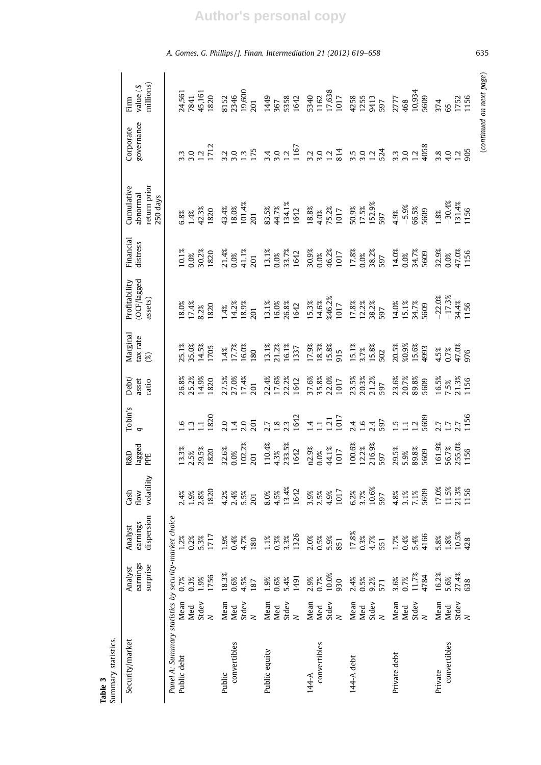| Summary statistics.<br>Table 3                                       |                                     |                                 |                                       |                                   |                                   |                                                                 |                                  |                                 |                                         |                                  |                                                   |                           |                                   |
|----------------------------------------------------------------------|-------------------------------------|---------------------------------|---------------------------------------|-----------------------------------|-----------------------------------|-----------------------------------------------------------------|----------------------------------|---------------------------------|-----------------------------------------|----------------------------------|---------------------------------------------------|---------------------------|-----------------------------------|
| Security/market                                                      |                                     | earnings<br>surprise<br>Analyst | dispersion<br>earnings<br>Analyst     | volatility<br>Cash<br>flow        | lagged<br>R&D<br>PPE              | Tobin's<br>p                                                    | Debt/<br>asset<br>ratio          | Marginal<br>tax rate<br>(%)     | (OCF/lagged<br>Profitability<br>assets) | Financial<br>distress            | retum prior<br>Cumulative<br>abnormal<br>250 days | governance<br>Corporate   | millions)<br>value $($ \$<br>Firm |
| Panel A: Summary statistics by security-market choice<br>Public debt | Mean<br>Stdev<br>Med<br>$\geq$      | 1756<br>0.3%<br>1.9%            | 1717<br>0.2%<br>5.3%                  | 1820<br>1.9%<br>2.8%<br>2.4%      | 29.5%<br>3.3%<br>1820<br>2.5%     | 820<br>ڥ<br>$\omega$<br>$\overline{\phantom{a}}$                | 26.8%<br>25.2%<br>14.9%<br>1820  | 5.1%<br>15.0%<br>14.5%<br>1705  | 17.4%<br>8.0%<br>820<br>8.2%            | 0.1%<br>30.2%<br>1820<br>$0.0\%$ | 42.3%<br>1820<br>1.4%<br>5.8%                     | 1712<br>1.2<br>3.3<br>3.0 | 24,561<br>45,161<br>1820<br>7841  |
| convertibles<br>Public                                               | Mean<br>Stdev<br>$N$<br>Med         | 18.3%<br>0.6%<br>4.5%<br>187    | 1.9%<br>0.4%<br>4.7%<br>180           | 2.4%<br>4.2%<br>5.5%<br>201       | 102.2%<br>32.6%<br>0.0%<br>201    | <b>201</b><br>2.0<br>2.0<br>4                                   | 27.5%<br>27.0%<br>17.4%<br>201   | 17.7%<br>16.0%<br>4%<br>80      | 14.2%<br>18.9%<br>$-4%$<br>201          | 21.4%<br>41.1%<br>0.0%<br>201    | 101.4%<br>43.4%<br>18.0%<br>201                   | 175<br>3.2<br>3.0<br>1.3  | 19,600<br>2346<br>8152<br>201     |
| Public equity                                                        | Mean<br>Stdev<br>Med<br>$\geq$      | 1491<br>1.9%<br>5.4%<br>0.6%    | 1326<br>0.3%<br>3.3%<br>$1.1\%$       | 13.4%<br>1642<br>8.0%<br>4.5%     | 110.4%<br>233.5%<br>1642<br>4.3%  | 1642<br>2.3<br>$\overline{\mathbf{8}}$<br>2.7                   | 17.6%<br>22.2%<br>22.4%<br>1642  | 3.1%<br>21.2%<br>16.1%<br>337   | 3.1%<br>16.0%<br>26.8%<br>642           | 33.7%<br>3.1%<br>1642<br>0.0%    | 134.1%<br>83.5%<br>44.7%<br>1642                  | 1167<br>3.4<br>3.0<br>1.2 | 1449<br>5358<br>1642<br>367       |
| convertibles<br>144-A                                                | Mean<br>Stdev $\overline{N}$<br>Med | 10.0%<br>0.7%<br>2.9%<br>930    | $2.0%$<br>$0.5%$<br>5.9%<br>851       | 1017<br>3.9%<br>2.5%<br>4.9%      | n2.9%<br>44.1%<br>1017<br>0.0%    | 017<br>1.21<br>$\div$ $\overline{\phantom{0}}$                  | 37.6%<br>35.8%<br>22.0%<br>1017  | 17.9%<br>18.3%<br>15.8%<br>915  | %46.2%<br>5.3%<br>14.6%<br>1017         | 46.2%<br>30.9%<br>1017<br>0.0%   | 18.8%<br>75.2%<br>1017<br>4.0%                    | 814<br>3.2<br>3.0<br>1.2  | 17,638<br>5340<br>1162<br>1017    |
| 144-A debt                                                           | Mean<br>Med<br>Stdev<br>N           | $0.5%$<br>9.2%<br>2.4%<br>571   | 17.8%<br>$0.3%$<br>4.7%<br>551        | 10.6%<br>$6.2%$<br>3.7%<br>597    | 100.6%<br>216.9%<br>12.2%<br>597  | 597<br>2.4<br>$\overline{6}$<br>2.4                             | 23.5%<br>20.3%<br>21.2%<br>597   | 15.1%<br>5.8%<br>3.7%<br>502    | 17.8%<br>12.2%<br>38.2%<br>597          | 38.2%<br>17.8%<br>0.0%<br>597    | 152.9%<br>50.9%<br>17.5%<br>597                   | 524<br>$3,0,0,1$<br>$1,2$ | 4258<br>1255<br>9413<br>597       |
| Private debt                                                         | Mean<br>Stdev $\frac{N}{N}$<br>Med  | 11.7%<br>4784<br>3.6%<br>0.7%   | 4166<br>1.7%<br>0.4%<br>5.4%          | 5609<br>4.8%<br>3.1%<br>7.1%      | 29.5%<br>89.8%<br>5609<br>5.9%    | 5609<br>$\overline{5}$<br>$\ddot{1}$<br>$\overline{\mathbf{u}}$ | 23.6%<br>20.7%<br>89.8%<br>5609  | 20.5%<br>%0.9%<br>15.6%<br>4993 | 5.1%<br>34.7%<br>14.0%<br>5609          | 14.0%<br>34.7%<br>5609<br>0.0%   | $-5.9%$<br>66.5%<br>5609<br>4.9%                  | 4058<br>1.2<br>3.3<br>3.0 | 10,934<br>5609<br>2777<br>468     |
| convertibles<br>Private                                              | Mean<br>Stdev<br>Med<br>$\geq$      | 16.2%<br>27.4%<br>5.6%<br>638   | $\frac{1.8\%}{10.5\%}$<br>5.8%<br>428 | $11.5%$<br>21.3%<br>17.0%<br>1156 | 161.9%<br>56.7%<br>255.0%<br>1156 | 1156<br>2.7<br>2.7<br>$\overline{C}$                            | 16.5%<br>$7.5%$<br>21.3%<br>1156 | 47.0%<br>4.5%<br>0.7%<br>976    | $-22.0%$<br>$-17.3%$<br>34.4%<br>1156   | 32.9%<br>47.0%<br>1156<br>0.0%   | $-30.4%$<br>131.4%<br>1156<br>1.8%                | 905<br>3.8<br>4.0<br>1.2  | 1752<br>1156<br>374<br>65         |

# **Author's personal copy**

A. Gomes, G. Phillips / J. Finan. Intermediation 21 (2012) 619-658 635

(continued on next page)

 $\left( {continued\ on\ next\ page} \right)$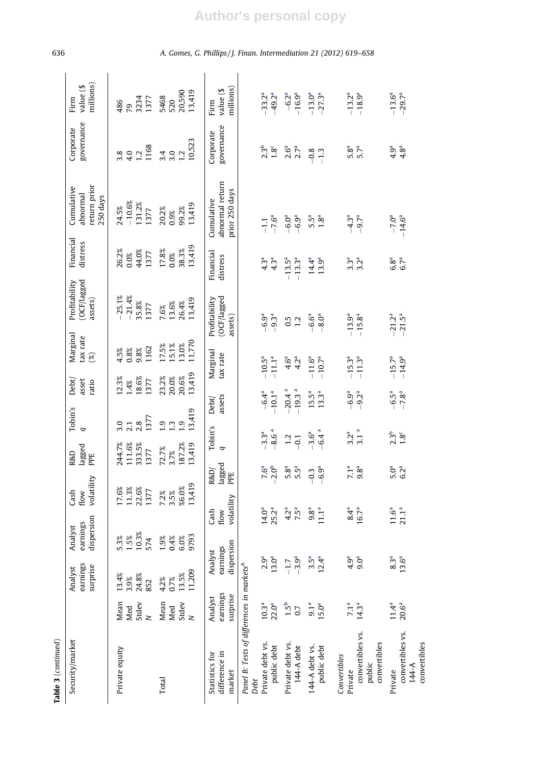| Table 3 (continued)                                                   |                                        |                                       |                                       |                                                 |                                      |                                                              |                                        |                                      |                                         |                                        |                                                    |                                             |                                 |
|-----------------------------------------------------------------------|----------------------------------------|---------------------------------------|---------------------------------------|-------------------------------------------------|--------------------------------------|--------------------------------------------------------------|----------------------------------------|--------------------------------------|-----------------------------------------|----------------------------------------|----------------------------------------------------|---------------------------------------------|---------------------------------|
| Security/market                                                       |                                        | earnings<br>surprise<br>Analyst       | dispersion<br>earnings<br>Analyst     | volatility<br>Cash<br>flow                      | lagged<br>R&D<br>PPE                 | Tobin's<br>P                                                 | Debt/<br>asset<br>ratio                | Marginal<br>tax rate<br>(%)          | (OCF/lagged<br>Profitability<br>assets) | Financial<br>distress                  | return prior<br>Cumulative<br>abnormal<br>250 days | governance<br>Corporate                     | millions)<br>value (\$<br>Firm  |
| Private equity                                                        | Stdev<br>Mean<br>Med<br>$\geq$         | 24.8%<br>13.4%<br>3.9%<br>852         | 10.3%<br>$1.5\%$<br>5.3%<br>574       | 11.3%<br>22.6%<br>17.6%<br>1377                 | 111.6%<br>333.5%<br>244.7%<br>1377   | 1377<br>2.8<br>$\frac{0}{2.1}$                               | 12.3%<br>18.6%<br>1377<br>1.4%         | 1162<br>9.8%<br>0.8%<br>4.5%         | $-21.4%$<br>$-25.1%$<br>35.8%<br>1377   | 44.0%<br>26.2%<br>1377<br>0.0%         | $-10.6%$<br>131.2%<br>24.5%<br>1377                | 1168<br>1.2<br>$3.0$<br>4.0                 | 3234<br>1377<br>486<br>79       |
| Total                                                                 | Mean<br>Stdev<br>Med<br>$\geq$         | 11,209<br>13.5%<br>4.2%<br>0.7%       | 9793<br>1.9%<br>$0.4\%$<br>6.0%       | 13,419<br>%6.0%<br>7.2%<br>3.5%                 | 187.2%<br>13,419<br>72.7%<br>3.7%    | თ<br>13,419<br>$\frac{1}{1}$ $\frac{3}{1}$<br>$\overline{0}$ | 13,419<br>20.6%<br>23.2%<br>20.0%      | 11,770<br>5.1%<br>$3.0\%$<br>17.5%   | 13,419<br>13.6%<br>26.4%<br>7.6%        | 13,419<br>17.8%<br>38.3%<br>0.0%       | 13,419<br>20.2%<br>99.2%<br>0.9%                   | 10,523<br>$3.0$<br>$3.0$<br>$\overline{12}$ | 20,590<br>13,419<br>5468<br>520 |
| difference in<br>Statistics for<br>market                             | earnings<br>surprise<br>Analyst        | dispersion<br>earnings<br>Analyst     | Cash<br>flow                          | lagged<br>R&D/<br>PPE<br>volatility             | Tobin's<br>p                         | assets<br>Debt/                                              |                                        | Marginal<br>tax rate                 | (OCF/lagged<br>Profitability<br>assets) | Financial<br>distress                  | abnormal return<br>prior 250 days<br>Cumulative    | governance<br>Corporate                     | millions)<br>value (\$<br>Firm  |
| Panel B: Tests of differences in markets <sup>A</sup><br>Debt         |                                        |                                       |                                       |                                                 |                                      |                                                              |                                        |                                      |                                         |                                        |                                                    |                                             |                                 |
| Private debt vs.<br>public debt                                       | 22.0 <sup>a</sup><br>10.3 <sup>a</sup> | 13.0 <sup>a</sup><br>2.9 <sup>a</sup> | 25.2 <sup>a</sup><br>$14.0^{a}$       | $7.6^{a}$<br>-2.0 <sup>b</sup>                  | $-3.3a$<br>8.6                       | $-10.1a$<br>đ                                                | $-6.4a$                                | $-11.1a$<br>$-10.5^{a}$              | $-9.3a$<br>$-6.9a$                      | 4.3 <sup>a</sup><br>4.3 <sup>a</sup>   | $-7.6^{a}$<br>$-1.1$                               | 2.3 <sup>b</sup><br>$1.8^c$                 | $-33.2a$<br>$-49.2a$            |
| Private debt vs.<br>144-A debt                                        | 1.5 <sup>b</sup><br>0.7                | $-3.9a$<br>$-1.7$                     | $4.2^a$<br>7.5 <sup>a</sup>           | $\begin{array}{c}\n5.5^a \\ 5.5^a\n\end{array}$ | $1.2\,$<br>$-0.1$                    | $-19.3$<br>20.4                                              | œ                                      | 4.2 <sup>a</sup><br>4.6 <sup>a</sup> | $0.5$<br>1.2                            | $-13.3^{a}$<br>$-13.5^{a}$             | $-6.9^{\rm a}$<br>$-6.0^{\rm a}$                   | 2.6 <sup>a</sup><br>2.7 <sup>a</sup>        | $-6.2^{a}$<br>$-16.9^{a}$       |
| 144-A debt vs.<br>public debt                                         | 9.1 <sup>a</sup><br>15.0 <sup>a</sup>  | 3.5 <sup>a</sup><br>12.4 <sup>a</sup> | 11.1 <sup>a</sup><br>9.8 <sup>a</sup> | $-0.3$<br>$-6.9$ <sup>a</sup>                   | $-6.4$ <sup>a</sup><br>$-3.6^{a}$    |                                                              | 15.5 <sup>a</sup><br>13.3 <sup>a</sup> | $-11.6^{a}$<br>$-10.7^{a}$           | $-6.6^{\circ}$<br>$-8.0^{\rm a}$        | 14.4 <sup>a</sup><br>13.9 <sup>a</sup> | 5.5 <sup>a</sup><br>1.8 <sup>a</sup>               | $-0.8$<br>$-1.3$                            | $-13.0^{a}$<br>$-27.3^{a}$      |
| convertibles vs.<br>convertibles<br>Convertibles<br>public<br>Private | 7.1 <sup>a</sup><br>$14.3^{a}$         | 4.9 <sup>a</sup><br>$9.0^{a}$         | 8.4 <sup>a</sup><br>16.7 <sup>a</sup> | $7.\overline{1}^{a}$<br>9.8 $^{a}$              | 3.2 <sup>a</sup>                     | 3.1 <sup>a</sup>                                             | $-6.9a$<br>$-9.2^{a}$                  | $-15.3a$<br>$-11.3a$                 | $-13.9a$<br>$-15.8^{a}$                 | 3.3 <sup>a</sup><br>3.2 <sup>a</sup>   | $-4.3a$<br>$-9.7a$                                 | 5.8ª<br>5.7 <sup>a</sup>                    | $-13.2a$<br>$-18.9^{a}$         |
| convertibles vs.<br>convertibles<br>144-A<br>Private                  | $11.4^{a}$<br>$20.6^{a}$               | $8.3^{a}$<br>13.6 <sup>a</sup>        | $11.6a$<br>$21.1a$                    | $5.0a$<br>$6.2a$                                | 2.3 <sup>b</sup><br>1.8 <sup>c</sup> |                                                              | $-6.5a$<br>$-7.8^{a}$                  | $-15.7^{a}$<br>$-14.9^{a}$           | $-21.2^{a}$<br>$-21.5^{a}$              | $6.8^{a}$<br>$6.7^{a}$                 | $-14.6^{a}$<br>$-7.0^{a}$                          | 4.8 <sup>a</sup><br>4.9 <sup>a</sup>        | $-13.6^{a}$<br>$-29.7^{a}$      |

# **Author's personal copy**

636 A. Gomes, G. Phillips / J. Finan. Intermediation 21 (2012) 619–658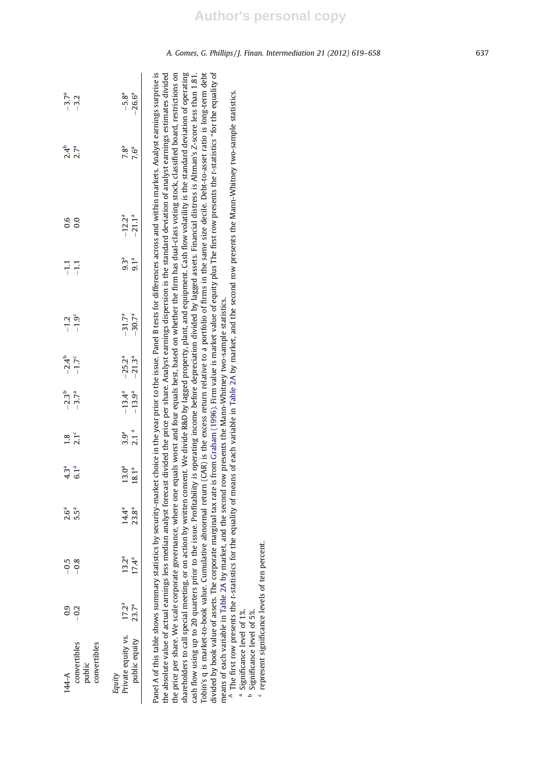| convertibles<br>convertibles<br>public | $-0.2$            | $-0.8$            | 5.5 <sup>a</sup>  | 6.1 <sup>a</sup>  | $2.1^c$          | $-3.7a$             | $-1.7^c$ | $-1.9^c$ | $-1.1$           | 0.0         | 2.7 <sup>a</sup> | $-3.2$      |
|----------------------------------------|-------------------|-------------------|-------------------|-------------------|------------------|---------------------|----------|----------|------------------|-------------|------------------|-------------|
| Private equity vs.<br>Equity           | 17.2 <sup>a</sup> | 13.2 <sup>a</sup> | 14.4 <sup>a</sup> | $13.0^{a}$        | 3.9 <sup>a</sup> | $-13.4^a$ $-25.2^a$ |          | $-31.7a$ | 9.3 <sup>a</sup> | $-12.2^{a}$ | 7.8 <sup>a</sup> | $-5.8^{a}$  |
| public equity                          | 23.7 <sup>a</sup> | $17.4^{a}$        | 23.8 <sup>a</sup> | 18.1 <sup>a</sup> | 2.1 <sup>a</sup> | $-13.9a$ $-21.3a$   |          | $-30.7a$ | 9.1 <sup>a</sup> | $-21.1a$    | 7.6 <sup>a</sup> | $-26.6^{a}$ |

 $\overline{a}$ is Altinan's Z-score less than 1.81. Tobin's q is market-to-book value. Cumulative abnormal return (CAR) is the excess return relative to a portfolio of firms in the same size decile. Debt-to-asset ratio is long-term debt divided by book value of assets. The corporate marginal tax rate is from Graham (1996). Firm value is market value of equity plus The first row presents the t-statistics "for the equality of the price per share. We scale corporate governance, where one equals worst and four equals best, based on whether the firm has dual-class voting stock, classified board, restrictions on shareholders to call special meeting, or on action by written consent. We divide R&D by lagged property, plant, and equipment. Cash flow volatility is the standard deviation of operating Tobin's q is market-to-book value. Cumulative abnormal return (CAR) is the excess return relative to a portfolio of firms in the same size decile. Debt-to-asset ratio is long-term debt divided by book value of assets. The corporate marginal tax rate is from Graham (1996). Firm value is market value of equity plus The first row presents the t-statistics ''for the equality of the absolute value of actual earnings less median analyst forecast divided the price per share. Analyst earnings dispersion is the standard deviation of analyst earnings estimates divided cash flow using up to 20 quarters prior to the issue. Profitability is operating income before depreciation divided by lagged assets. Financial distress is Altman's Z-score less than 1.81.  $\frac{1}{2}$ dooclo, Filidiillidi cash flow using up to 20 quarters prior to the issue. Profitability is operating income before depreciation divided by lagged  $\frac{1}{2}$ . means of each variable in Table 2A by market, and the second row presents the Mann-Whitney two-sample statistics. ā i i i is

 $^{\wedge}$  The first row presents the t-statistics for the equality of means of each variable in Table 2A by market, and the second row presents the Mann-Whitney two-sample statistics. means of each variable in Table 2A by market, and the second row presents the Mann-Whitney two-sample statistics.<br>^ The first row presents the t-statistics for the equality of means of each variable in Table 2A by market,

- 
- $\frac{a}{b}$  Significance level of 1%.<br>b Significance level of 5%.
- <sup>c</sup> represent significance levels of ten percent. represent significance levels of ten percent.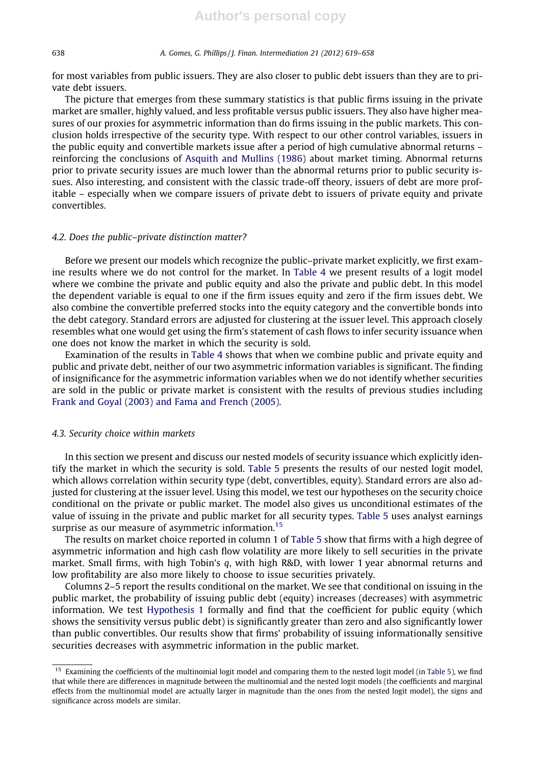for most variables from public issuers. They are also closer to public debt issuers than they are to private debt issuers.

The picture that emerges from these summary statistics is that public firms issuing in the private market are smaller, highly valued, and less profitable versus public issuers. They also have higher measures of our proxies for asymmetric information than do firms issuing in the public markets. This conclusion holds irrespective of the security type. With respect to our other control variables, issuers in the public equity and convertible markets issue after a period of high cumulative abnormal returns – reinforcing the conclusions of Asquith and Mullins (1986) about market timing. Abnormal returns prior to private security issues are much lower than the abnormal returns prior to public security issues. Also interesting, and consistent with the classic trade-off theory, issuers of debt are more profitable – especially when we compare issuers of private debt to issuers of private equity and private convertibles.

# 4.2. Does the public–private distinction matter?

Before we present our models which recognize the public–private market explicitly, we first examine results where we do not control for the market. In Table 4 we present results of a logit model where we combine the private and public equity and also the private and public debt. In this model the dependent variable is equal to one if the firm issues equity and zero if the firm issues debt. We also combine the convertible preferred stocks into the equity category and the convertible bonds into the debt category. Standard errors are adjusted for clustering at the issuer level. This approach closely resembles what one would get using the firm's statement of cash flows to infer security issuance when one does not know the market in which the security is sold.

Examination of the results in Table 4 shows that when we combine public and private equity and public and private debt, neither of our two asymmetric information variables is significant. The finding of insignificance for the asymmetric information variables when we do not identify whether securities are sold in the public or private market is consistent with the results of previous studies including Frank and Goyal (2003) and Fama and French (2005).

### 4.3. Security choice within markets

In this section we present and discuss our nested models of security issuance which explicitly identify the market in which the security is sold. Table 5 presents the results of our nested logit model, which allows correlation within security type (debt, convertibles, equity). Standard errors are also adjusted for clustering at the issuer level. Using this model, we test our hypotheses on the security choice conditional on the private or public market. The model also gives us unconditional estimates of the value of issuing in the private and public market for all security types. Table 5 uses analyst earnings surprise as our measure of asymmetric information.<sup>15</sup>

The results on market choice reported in column 1 of Table 5 show that firms with a high degree of asymmetric information and high cash flow volatility are more likely to sell securities in the private market. Small firms, with high Tobin's q, with high R&D, with lower 1 year abnormal returns and low profitability are also more likely to choose to issue securities privately.

Columns 2–5 report the results conditional on the market. We see that conditional on issuing in the public market, the probability of issuing public debt (equity) increases (decreases) with asymmetric information. We test Hypothesis 1 formally and find that the coefficient for public equity (which shows the sensitivity versus public debt) is significantly greater than zero and also significantly lower than public convertibles. Our results show that firms' probability of issuing informationally sensitive securities decreases with asymmetric information in the public market.

<sup>&</sup>lt;sup>15</sup> Examining the coefficients of the multinomial logit model and comparing them to the nested logit model (in Table 5), we find that while there are differences in magnitude between the multinomial and the nested logit models (the coefficients and marginal effects from the multinomial model are actually larger in magnitude than the ones from the nested logit model), the signs and significance across models are similar.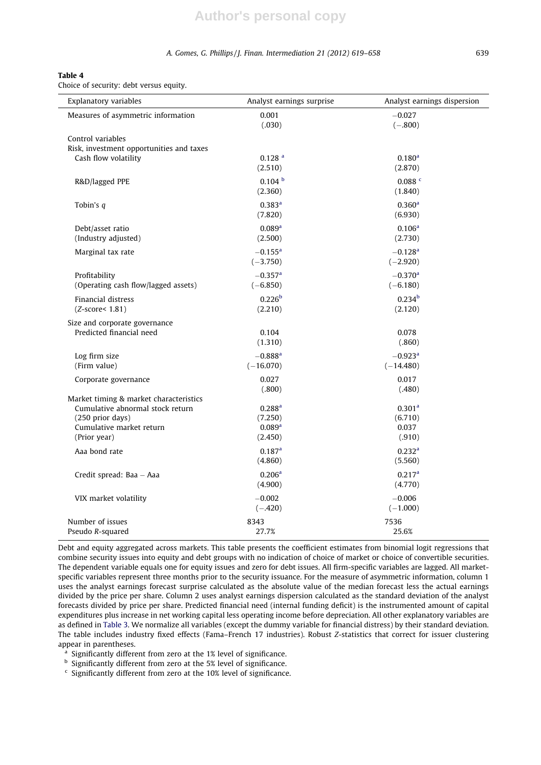# **Author's personal copy**

### A. Gomes, G. Phillips / J. Finan. Intermediation 21 (2012) 619-658 639

### Table 4

Choice of security: debt versus equity.

| Explanatory variables                                                                                                                      | Analyst earnings surprise                                      | Analyst earnings dispersion                      |
|--------------------------------------------------------------------------------------------------------------------------------------------|----------------------------------------------------------------|--------------------------------------------------|
| Measures of asymmetric information                                                                                                         | 0.001<br>(.030)                                                | $-0.027$<br>$(-.800)$                            |
| Control variables<br>Risk, investment opportunities and taxes<br>Cash flow volatility                                                      | $0.128$ <sup>a</sup><br>(2.510)                                | 0.180 <sup>a</sup><br>(2.870)                    |
| R&D/lagged PPE                                                                                                                             | 0.104 <sup>b</sup><br>(2.360)                                  | $0.088$ $c$<br>(1.840)                           |
| Tobin's $q$                                                                                                                                | 0.383 <sup>a</sup><br>(7.820)                                  | 0.360 <sup>a</sup><br>(6.930)                    |
| Debt/asset ratio<br>(Industry adjusted)                                                                                                    | 0.089 <sup>a</sup><br>(2.500)                                  | 0.106 <sup>a</sup><br>(2.730)                    |
| Marginal tax rate                                                                                                                          | $-0.155$ <sup>a</sup><br>$(-3.750)$                            | $-0.128$ <sup>a</sup><br>$(-2.920)$              |
| Profitability<br>(Operating cash flow/lagged assets)                                                                                       | $-0.357$ <sup>a</sup><br>$(-6.850)$                            | $-0.370$ <sup>a</sup><br>$(-6.180)$              |
| Financial distress<br>$(Z-score < 1.81)$                                                                                                   | 0.226 <sup>b</sup><br>(2.210)                                  | 0.234 <sup>b</sup><br>(2.120)                    |
| Size and corporate governance<br>Predicted financial need                                                                                  | 0.104<br>(1.310)                                               | 0.078<br>(.860)                                  |
| Log firm size<br>(Firm value)                                                                                                              | $-0.888$ <sup>a</sup><br>$(-16.070)$                           | $-0.923$ <sup>a</sup><br>$(-14.480)$             |
| Corporate governance                                                                                                                       | 0.027<br>(.800)                                                | 0.017<br>(.480)                                  |
| Market timing & market characteristics<br>Cumulative abnormal stock return<br>(250 prior days)<br>Cumulative market return<br>(Prior year) | 0.288 <sup>a</sup><br>(7.250)<br>0.089 <sup>a</sup><br>(2.450) | 0.301 <sup>a</sup><br>(6.710)<br>0.037<br>(.910) |
| Aaa bond rate                                                                                                                              | 0.187 <sup>a</sup><br>(4.860)                                  | 0.232 <sup>a</sup><br>(5.560)                    |
| Credit spread: Baa - Aaa                                                                                                                   | 0.206 <sup>a</sup><br>(4.900)                                  | 0.217 <sup>a</sup><br>(4.770)                    |
| VIX market volatility                                                                                                                      | $-0.002$<br>$(-.420)$                                          | $-0.006$<br>$(-1.000)$                           |
| Number of issues<br>Pseudo R-squared                                                                                                       | 8343<br>27.7%                                                  | 7536<br>25.6%                                    |

Debt and equity aggregated across markets. This table presents the coefficient estimates from binomial logit regressions that combine security issues into equity and debt groups with no indication of choice of market or choice of convertible securities. The dependent variable equals one for equity issues and zero for debt issues. All firm-specific variables are lagged. All marketspecific variables represent three months prior to the security issuance. For the measure of asymmetric information, column 1 uses the analyst earnings forecast surprise calculated as the absolute value of the median forecast less the actual earnings divided by the price per share. Column 2 uses analyst earnings dispersion calculated as the standard deviation of the analyst forecasts divided by price per share. Predicted financial need (internal funding deficit) is the instrumented amount of capital expenditures plus increase in net working capital less operating income before depreciation. All other explanatory variables are as defined in Table 3. We normalize all variables (except the dummy variable for financial distress) by their standard deviation. The table includes industry fixed effects (Fama–French 17 industries). Robust Z-statistics that correct for issuer clustering appear in parentheses.

<sup>a</sup> Significantly different from zero at the 1% level of significance.

b Significantly different from zero at the 5% level of significance.

 $\epsilon$  Significantly different from zero at the 10% level of significance.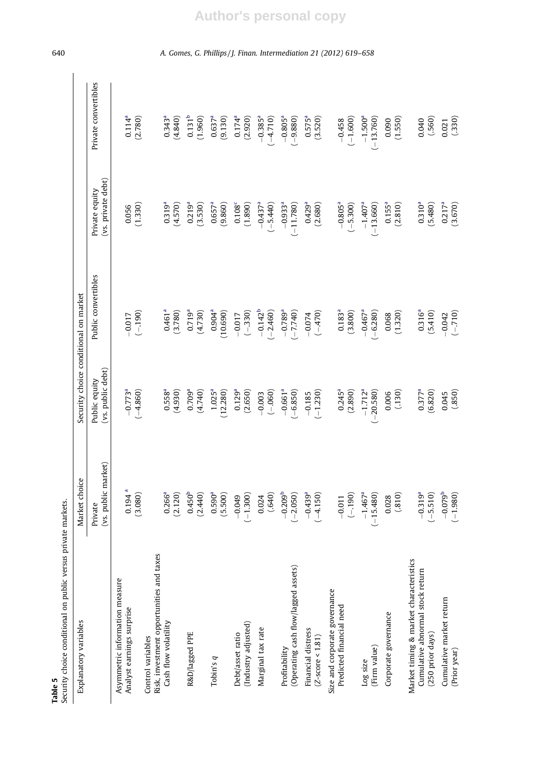| Security choice conditional on public versus private markets.<br>Table 5                       |                                     |                                       |                               |                                      |                               |
|------------------------------------------------------------------------------------------------|-------------------------------------|---------------------------------------|-------------------------------|--------------------------------------|-------------------------------|
| Explanatory variables                                                                          | Market choice                       | Security choice conditional on market |                               |                                      |                               |
|                                                                                                | (vs. public market)<br>Private      | (vs. public debt)<br>Public equity    | Public convertibles           | (vs. private debt)<br>Private equity | Private convertibles          |
| Asymmetric information measure                                                                 | 0.194 <sup>a</sup>                  | $-0.773$ <sup>a</sup>                 | $(-.190)$                     | (1.330)                              | $0.114^{a}$                   |
| Analyst earnings surprise                                                                      | (3.080)                             | $(-4.860)$                            | $-0.017$                      | 0.056                                | (2.780)                       |
| Risk, investment opportunities and taxes<br>Cash flow volatility<br>Control variables          | 0.266 <sup>a</sup><br>(2.120)       | $0.558^{a}$<br>(4.930)                | 0.461 <sup>a</sup><br>(3.780) | $0.319^{a}$<br>(4.570)               | 0.343 <sup>a</sup><br>(4.840) |
| R&D/lagged PPE                                                                                 | $0.450^{b}$                         | 0.709 <sup>a</sup>                    | $0.719^{a}$                   | $0.219^{a}$                          | $0.131^{b}$                   |
|                                                                                                | (2.440)                             | (4.740)                               | (4.730)                       | (3.530)                              | (1.960)                       |
| Tobin's $q$                                                                                    | 0.590 <sup>a</sup>                  | $1.025^{a}$                           | 0.904 <sup>a</sup>            | 0.657 <sup>a</sup>                   | 0.637 <sup>a</sup>            |
|                                                                                                | (5.500)                             | (12.280)                              | (10.690)                      | (9.860)                              | (9.130)                       |
| (Industry adjusted)                                                                            | $(-1.300)$                          | 0.129 <sup>a</sup>                    | $(-330)$                      | $0.108^{\rm c}$                      | 0.174 <sup>a</sup>            |
| Debt/asset ratio                                                                               | $-0.049$                            | (2.650)                               | $-0.017$                      | (1.890)                              | (2.920)                       |
| Marginal tax rate                                                                              | (.640)                              | $(-.060)$                             | $-0.142^{b}$                  | $-0.437$ <sup>a</sup>                | $-0.385^{a}$                  |
|                                                                                                | 0.024                               | $-0.003$                              | $(-2.460)$                    | $(-5.440)$                           | $-4.710$                      |
| (Operating cash flow/lagged assets)                                                            | $-0.209^{b}$                        | $-0.661a$                             | $-0.789$ <sup>a</sup>         | $-0.933$ <sup>a</sup>                | $-0.805a$                     |
| Profitability                                                                                  | $(-2.050)$                          | $-6.850$                              | $(-7.740)$                    | $(-11.780)$                          | $(-9.880)$                    |
| Financial distress                                                                             | $-0.439$ <sup>a</sup>               | $(-1.230)$                            | $(0.4 - 1)$                   | 0.429 <sup>a</sup>                   | $0.575^{a}$                   |
| $(Z-score < 1.81)$                                                                             | $(-4.150)$                          | $-0.185$                              | $-0.074$                      | (2.680)                              | (3.520)                       |
| Size and corporate governance                                                                  | $(-.190)$                           | $0.245^{a}$                           | 0.183 <sup>a</sup>            | $-0.805^{a}$                         | $(-1.600)$                    |
| Predicted financial need                                                                       | $-0.011$                            | (2.890)                               | (3.800)                       | $(-5.300)$                           | $-0.458$                      |
| (Firm value)                                                                                   | $-1.467$ <sup>a</sup>               | $-1.712$ <sup>a</sup>                 | $-0.467$ <sup>a</sup>         | $-1.407$ <sup>a</sup>                | $-1.500a$                     |
| Log size                                                                                       | $(-15.480)$                         | $(-20.580)$                           | $(-6.280)$                    | $(-13.660)$                          | $(-13.760)$                   |
| Corporate governance                                                                           | (.810)                              | (130)                                 | (1.320)                       | $0.155^{a}$                          | (1.550)                       |
|                                                                                                | 0.028                               | 0.006                                 | 0.068                         | (2.810)                              | 0.090                         |
| Market timing & market characteristics<br>Cumulative abnormal stock return<br>(250 prior days) | $-0.319$ <sup>a</sup><br>$(-5.510)$ | $0.377^{a}$<br>(6.820)                | $0.316^{a}$<br>(5.410)        | $0.310^{a}$<br>(5.480)               | (.560)<br>0.040               |
| Cumulative market return                                                                       | $-0.079^{b}$                        | (0.85)                                | $(-.710)$                     | 0.217 <sup>a</sup>                   | (330)                         |
| (Prior year)                                                                                   | $(-1.980)$                          | 0.045                                 | $-0.042$                      | (3.670)                              | 0.021                         |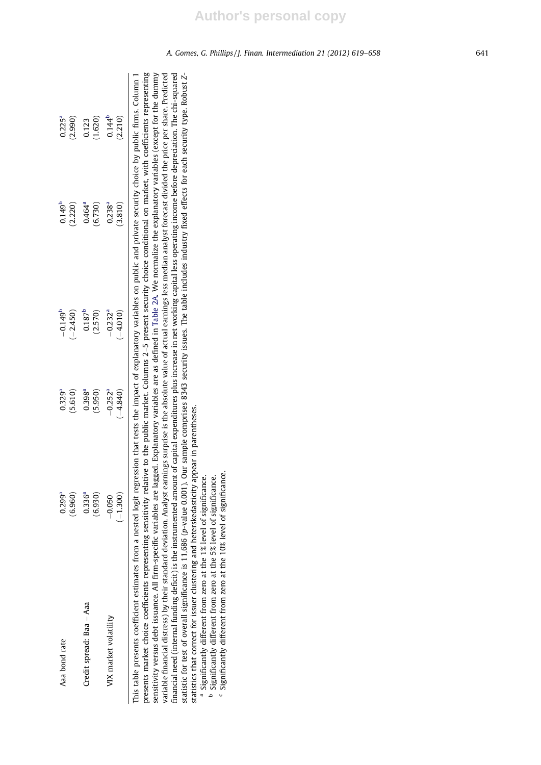presents market choice coefficients representing sensitivity relative to the public market. Columns 2-5 present security choice conditional on market, with coefficients representing variable financial distress) by their standard deviation. Analyst earnings surprise is the absolute value of actual earnings less median analyst forecast divided the price per share. Predicted financial need (internal funding deficit) is the instrumented amount of capital expenditures plus increase in net working capital less operating income before depreciation. The chi-squared This table presents coefficient estimates from a nested logit regression that tests the impact of explanatory variables on public and private security choice by public firms. Column 1 presents market choice coefficients representing sensitivity relative to the public market. Columns 2–5 present security choice conditional on market, with coefficients representing sensitivity versus debt issuance. All firm-specific variables are lagged. Explanatory variables are as defined in Table 2A. We normalize the explanatory variables (except for the dummy sensitivity versus debt issuance. All firm-specific variables are lagged. Explanatory variables are as defined in Table 2A. We normalize the explanatory variables (except for the dummy variable financial distress) by their standard deviation. Analyst earnings surprise is the absolute value of actual earnings less median analyst forecast divided the price per share. Predicted financial need (internal funding deficit) is the instrumented amount of capital expenditures plus increase in net working capital less operating income before depreciation. The chi-squared statistic for test of overall significance is 11,686 (p-value 0.001). Our sample comprises 8343 security issues. The table includes industry fixed effects for each security type. Robust Zstatistic for test of overall significance is 11,686 (p-value 0.001). Our sample comprises 8343 security issues. The table includes industry fixed effects for each security type. Robust Z-This table presents coefficient estimates from a nested logit regression that tests the impact of explanatory variables on public and private security choice by public firms. Column 1 statistics that correct for issuer clustering and heterskedasticity appear in parentheses. statistics that correct for issuer clustering and heterskedasticity appear in parentheses.

<sup>a</sup> Significantly different from zero at the 1% level of significance. <sup>a</sup> Significantly different from zero at the 1% level of significance. b  $\frac{1}{2}$  b  $\frac{1}{2}$  b  $\frac{1}{2}$  b  $\frac{1}{2}$  b  $\frac{1}{2}$  cannot be  $\frac{1}{2}$  and  $\frac{1}{2}$  b  $\frac{1}{2}$  cannot be  $\frac{1}{2}$  b  $\frac{1}{2}$  cannot be  $\$ 

Significantly different from zero at the 5% level of significance.

<sup>b</sup> Significantly different from zero at the 5% level of significance.<br><sup>C</sup> Significantly different from zero at the 10% level of significance. Significantly different from zero at the 10% level of significance.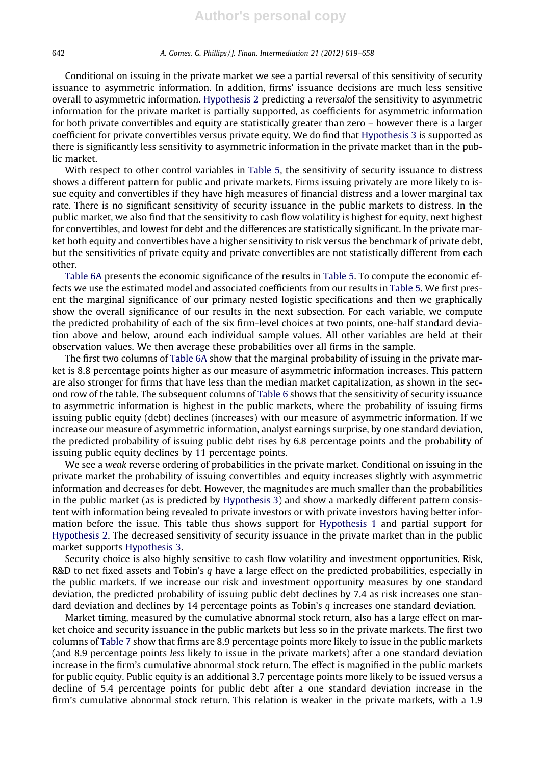Conditional on issuing in the private market we see a partial reversal of this sensitivity of security issuance to asymmetric information. In addition, firms' issuance decisions are much less sensitive overall to asymmetric information. Hypothesis 2 predicting a reversalof the sensitivity to asymmetric information for the private market is partially supported, as coefficients for asymmetric information for both private convertibles and equity are statistically greater than zero – however there is a larger coefficient for private convertibles versus private equity. We do find that Hypothesis 3 is supported as there is significantly less sensitivity to asymmetric information in the private market than in the public market.

With respect to other control variables in Table 5, the sensitivity of security issuance to distress shows a different pattern for public and private markets. Firms issuing privately are more likely to issue equity and convertibles if they have high measures of financial distress and a lower marginal tax rate. There is no significant sensitivity of security issuance in the public markets to distress. In the public market, we also find that the sensitivity to cash flow volatility is highest for equity, next highest for convertibles, and lowest for debt and the differences are statistically significant. In the private market both equity and convertibles have a higher sensitivity to risk versus the benchmark of private debt, but the sensitivities of private equity and private convertibles are not statistically different from each other.

Table 6A presents the economic significance of the results in Table 5. To compute the economic effects we use the estimated model and associated coefficients from our results in Table 5. We first present the marginal significance of our primary nested logistic specifications and then we graphically show the overall significance of our results in the next subsection. For each variable, we compute the predicted probability of each of the six firm-level choices at two points, one-half standard deviation above and below, around each individual sample values. All other variables are held at their observation values. We then average these probabilities over all firms in the sample.

The first two columns of Table 6A show that the marginal probability of issuing in the private market is 8.8 percentage points higher as our measure of asymmetric information increases. This pattern are also stronger for firms that have less than the median market capitalization, as shown in the second row of the table. The subsequent columns of Table 6 shows that the sensitivity of security issuance to asymmetric information is highest in the public markets, where the probability of issuing firms issuing public equity (debt) declines (increases) with our measure of asymmetric information. If we increase our measure of asymmetric information, analyst earnings surprise, by one standard deviation, the predicted probability of issuing public debt rises by 6.8 percentage points and the probability of issuing public equity declines by 11 percentage points.

We see a weak reverse ordering of probabilities in the private market. Conditional on issuing in the private market the probability of issuing convertibles and equity increases slightly with asymmetric information and decreases for debt. However, the magnitudes are much smaller than the probabilities in the public market (as is predicted by Hypothesis 3) and show a markedly different pattern consistent with information being revealed to private investors or with private investors having better information before the issue. This table thus shows support for Hypothesis 1 and partial support for Hypothesis 2. The decreased sensitivity of security issuance in the private market than in the public market supports Hypothesis 3.

Security choice is also highly sensitive to cash flow volatility and investment opportunities. Risk, R&D to net fixed assets and Tobin's  $q$  have a large effect on the predicted probabilities, especially in the public markets. If we increase our risk and investment opportunity measures by one standard deviation, the predicted probability of issuing public debt declines by 7.4 as risk increases one standard deviation and declines by 14 percentage points as Tobin's  $q$  increases one standard deviation.

Market timing, measured by the cumulative abnormal stock return, also has a large effect on market choice and security issuance in the public markets but less so in the private markets. The first two columns of Table 7 show that firms are 8.9 percentage points more likely to issue in the public markets (and 8.9 percentage points less likely to issue in the private markets) after a one standard deviation increase in the firm's cumulative abnormal stock return. The effect is magnified in the public markets for public equity. Public equity is an additional 3.7 percentage points more likely to be issued versus a decline of 5.4 percentage points for public debt after a one standard deviation increase in the firm's cumulative abnormal stock return. This relation is weaker in the private markets, with a 1.9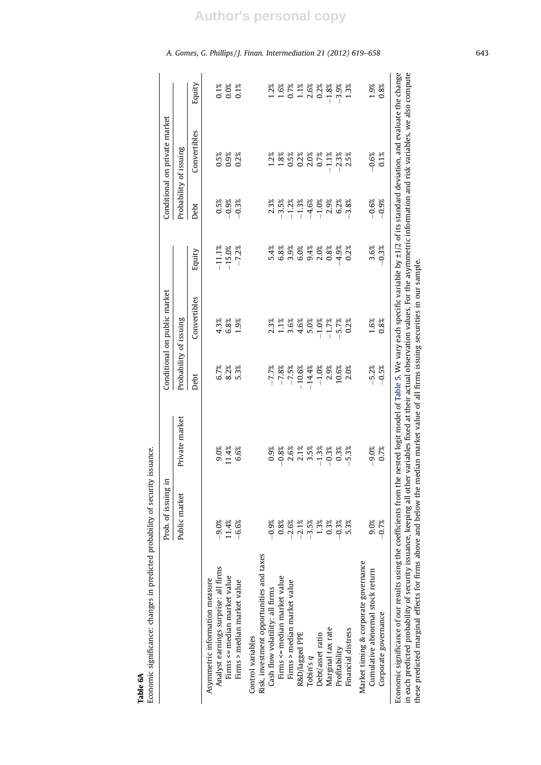|                                                                                                                                                                                                                                                                                                                                                                                               | Prob. of issuing in |                |                        | Conditional on public market |          |         | Conditional on private market |         |
|-----------------------------------------------------------------------------------------------------------------------------------------------------------------------------------------------------------------------------------------------------------------------------------------------------------------------------------------------------------------------------------------------|---------------------|----------------|------------------------|------------------------------|----------|---------|-------------------------------|---------|
|                                                                                                                                                                                                                                                                                                                                                                                               | Public market       | Private market | Probability of issuing |                              |          |         | Probability of issuing        |         |
|                                                                                                                                                                                                                                                                                                                                                                                               |                     |                | Debt                   | Convertibles                 | Equity   | Debt    | Convertibles                  | Equity  |
| Asymmetric information measure                                                                                                                                                                                                                                                                                                                                                                |                     |                |                        |                              |          |         |                               |         |
| Analyst earnings surprise: all firms                                                                                                                                                                                                                                                                                                                                                          | $-9.0%$             | 9.0%           | 6.7%                   | 4.3%                         | $-11.1%$ | 0.5%    | 0.5%                          | 0.1%    |
| Firms <= median market value                                                                                                                                                                                                                                                                                                                                                                  | 11.4%               | 11.4%          | 8.2%                   | 6.8%                         | $-15.0%$ | $-0.9%$ | 0.9%                          | 0.0%    |
| Firms > median market value                                                                                                                                                                                                                                                                                                                                                                   | $-6.6%$             | 6.6%           | 5.3%                   | 1.9%                         | $-7.2%$  | $-0.3%$ | 0.2%                          | 0.1%    |
| Control variables                                                                                                                                                                                                                                                                                                                                                                             |                     |                |                        |                              |          |         |                               |         |
| Risk, investment opportunities and taxes                                                                                                                                                                                                                                                                                                                                                      |                     |                |                        |                              |          |         |                               |         |
| Cash flow volatility: all firms                                                                                                                                                                                                                                                                                                                                                               | $-0.9%$             | 0.9%           | $-7.7%$                | 2.3%                         | 5.4%     | 2.3%    | 1.2%                          | 1.2%    |
| Firms <= median market value                                                                                                                                                                                                                                                                                                                                                                  | 0.8%                | 0.8%           | $-7.8%$                | 1.1%                         | 6.8%     | $-3.5%$ | 1.8%                          | 1.6%    |
| Firms > median market value                                                                                                                                                                                                                                                                                                                                                                   | $-2.6%$             | 2.6%           | $-7.5%$                | 3.6%                         | 3.9%     | $-1.2%$ | 0.5%                          | 0.7%    |
| R&D/lagged PPE                                                                                                                                                                                                                                                                                                                                                                                | $-2.1%$             | $2.1\%$        | $-10.6%$               | 4.6%                         | 6.0%     | $-1.3%$ | 0.2%                          | 1.1%    |
| Tobin's $q$                                                                                                                                                                                                                                                                                                                                                                                   | $-3.5%$             | 3.5%           | $-14.4%$               | 5.0%                         | 9.4%     | $-4.6%$ | $2.0\%$                       | 2.6%    |
| Debt/asset ratio                                                                                                                                                                                                                                                                                                                                                                              | 1.3%                | $-1.3%$        | $-1.0%$                | $-1.0%$                      | 2.0%     | $-1.0%$ | 0.7%                          | 0.2%    |
| Marginal tax rate                                                                                                                                                                                                                                                                                                                                                                             | 0.3%                | $-0.3%$        | 2.9%                   | $-1.7%$                      | 0.8%     | 2.9%    | $-1.1%$                       | $-1.8%$ |
| Profitability                                                                                                                                                                                                                                                                                                                                                                                 | $-0.3%$             | 0.3%           | 10.6%                  | $-5.7%$                      | $-4.9%$  | 6.2%    | 2.3%                          | $-3.9%$ |
| Financial distress                                                                                                                                                                                                                                                                                                                                                                            | 5.3%                | 5.3%           | 2.0%                   | 0.2%                         | 0.2%     | 3.8%    | 2.5%                          | 1.3%    |
| Market timing & corporate governance                                                                                                                                                                                                                                                                                                                                                          |                     |                |                        |                              |          |         |                               |         |
| Cumulative abnormal stock return                                                                                                                                                                                                                                                                                                                                                              | 9.0%                | $-9.0%$        | $-5.2%$                | 1.6%                         | 3.6%     | $-0.6%$ | $-0.6%$                       | 1.9%    |
| Corporate governance                                                                                                                                                                                                                                                                                                                                                                          | $-0.7%$             | 0.7%           | $-0.5%$                | 0.8%                         | $-0.3%$  | $-0.9%$ | 0.1%                          | 0.8%    |
| Economic significance of our results using the coefficients from the nested logit model of Table 5. We vary each specific variable by ±1/2 of its standard deviation, and evaluate the change<br>in each predicted probability of security issuance, keeping all other variables fixed at their actual observation values. For the asymmetric information and risk variables, we also compute |                     |                |                        |                              |          |         |                               |         |
| these predicted marginal effects for firms above and below the median market value of all firms issuing securities in our sample.                                                                                                                                                                                                                                                             |                     |                |                        |                              |          |         |                               |         |
|                                                                                                                                                                                                                                                                                                                                                                                               |                     |                |                        |                              |          |         |                               |         |

Table 6A<br>Economic significance: changes in predicted probability of security issuance. Economic significance: changes in predicted probability of security issuance.

# **Author's personal copy**

A. Gomes, G. Phillips / J. Finan. Intermediation 21 (2012) 619-658 643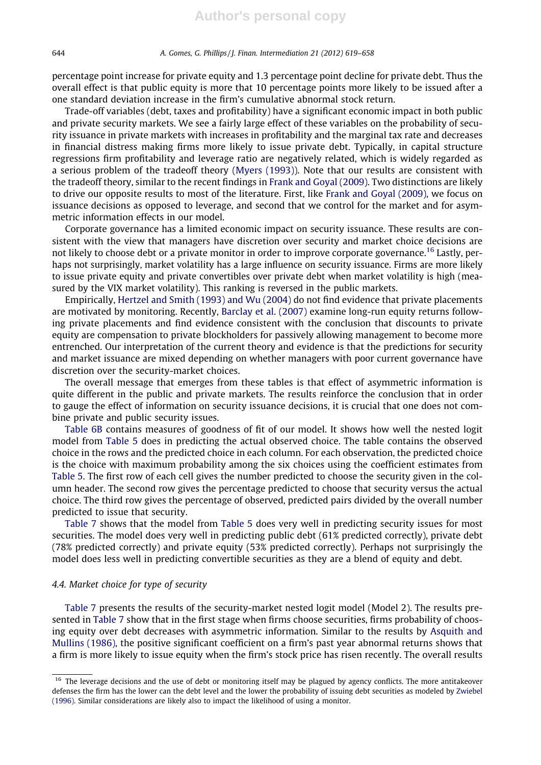percentage point increase for private equity and 1.3 percentage point decline for private debt. Thus the overall effect is that public equity is more that 10 percentage points more likely to be issued after a one standard deviation increase in the firm's cumulative abnormal stock return.

Trade-off variables (debt, taxes and profitability) have a significant economic impact in both public and private security markets. We see a fairly large effect of these variables on the probability of security issuance in private markets with increases in profitability and the marginal tax rate and decreases in financial distress making firms more likely to issue private debt. Typically, in capital structure regressions firm profitability and leverage ratio are negatively related, which is widely regarded as a serious problem of the tradeoff theory (Myers (1993)). Note that our results are consistent with the tradeoff theory, similar to the recent findings in Frank and Goyal (2009). Two distinctions are likely to drive our opposite results to most of the literature. First, like Frank and Goyal (2009), we focus on issuance decisions as opposed to leverage, and second that we control for the market and for asymmetric information effects in our model.

Corporate governance has a limited economic impact on security issuance. These results are consistent with the view that managers have discretion over security and market choice decisions are not likely to choose debt or a private monitor in order to improve corporate governance.<sup>16</sup> Lastly, perhaps not surprisingly, market volatility has a large influence on security issuance. Firms are more likely to issue private equity and private convertibles over private debt when market volatility is high (measured by the VIX market volatility). This ranking is reversed in the public markets.

Empirically, Hertzel and Smith (1993) and Wu (2004) do not find evidence that private placements are motivated by monitoring. Recently, Barclay et al. (2007) examine long-run equity returns following private placements and find evidence consistent with the conclusion that discounts to private equity are compensation to private blockholders for passively allowing management to become more entrenched. Our interpretation of the current theory and evidence is that the predictions for security and market issuance are mixed depending on whether managers with poor current governance have discretion over the security-market choices.

The overall message that emerges from these tables is that effect of asymmetric information is quite different in the public and private markets. The results reinforce the conclusion that in order to gauge the effect of information on security issuance decisions, it is crucial that one does not combine private and public security issues.

Table 6B contains measures of goodness of fit of our model. It shows how well the nested logit model from Table 5 does in predicting the actual observed choice. The table contains the observed choice in the rows and the predicted choice in each column. For each observation, the predicted choice is the choice with maximum probability among the six choices using the coefficient estimates from Table 5. The first row of each cell gives the number predicted to choose the security given in the column header. The second row gives the percentage predicted to choose that security versus the actual choice. The third row gives the percentage of observed, predicted pairs divided by the overall number predicted to issue that security.

Table 7 shows that the model from Table 5 does very well in predicting security issues for most securities. The model does very well in predicting public debt (61% predicted correctly), private debt (78% predicted correctly) and private equity (53% predicted correctly). Perhaps not surprisingly the model does less well in predicting convertible securities as they are a blend of equity and debt.

### 4.4. Market choice for type of security

Table 7 presents the results of the security-market nested logit model (Model 2). The results presented in Table 7 show that in the first stage when firms choose securities, firms probability of choosing equity over debt decreases with asymmetric information. Similar to the results by Asquith and Mullins (1986), the positive significant coefficient on a firm's past year abnormal returns shows that a firm is more likely to issue equity when the firm's stock price has risen recently. The overall results

<sup>&</sup>lt;sup>16</sup> The leverage decisions and the use of debt or monitoring itself may be plagued by agency conflicts. The more antitakeover defenses the firm has the lower can the debt level and the lower the probability of issuing debt securities as modeled by Zwiebel (1996). Similar considerations are likely also to impact the likelihood of using a monitor.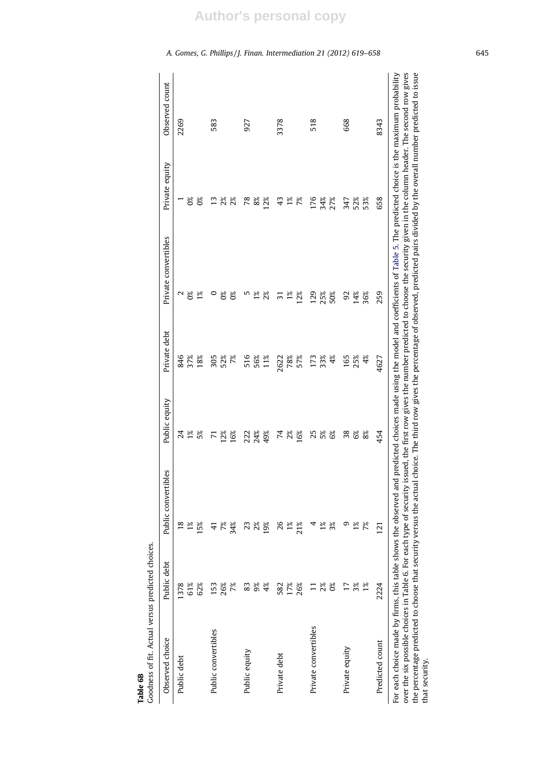| Observed choice                                                                    | Public debt     | Sə<br>Public convertibl | Public equity  | Private debt      | Private convertibles                                                                                                                                                                                                                                                                                                                                                                                                                                                                                               | Private equity | Observed count |
|------------------------------------------------------------------------------------|-----------------|-------------------------|----------------|-------------------|--------------------------------------------------------------------------------------------------------------------------------------------------------------------------------------------------------------------------------------------------------------------------------------------------------------------------------------------------------------------------------------------------------------------------------------------------------------------------------------------------------------------|----------------|----------------|
| Public debt                                                                        | 61%<br>1378     | $\frac{8}{18}$<br>$1\%$ | $1\%$          | 846<br>37%        | $\sim$<br>്റ്                                                                                                                                                                                                                                                                                                                                                                                                                                                                                                      | $\delta$       | 2269           |
|                                                                                    | 62%             | 15%                     | 5%             | 18%               | $1\%$                                                                                                                                                                                                                                                                                                                                                                                                                                                                                                              | $0\%$          |                |
| Public convertibles                                                                | 153             | 41                      | $\overline{7}$ | 305               | $\circ$                                                                                                                                                                                                                                                                                                                                                                                                                                                                                                            | 13             | 583            |
|                                                                                    | 26%             | 7%                      | 12%            | 52%               | $\frac{8}{3}$                                                                                                                                                                                                                                                                                                                                                                                                                                                                                                      |                |                |
|                                                                                    | 7%              | 34%                     | 16%            | 7%                | ്റ്                                                                                                                                                                                                                                                                                                                                                                                                                                                                                                                | $2%$<br>$2%$   |                |
| Public equity                                                                      | 83              | 23                      | 222            |                   | m                                                                                                                                                                                                                                                                                                                                                                                                                                                                                                                  | 78             | 927            |
|                                                                                    | $9\%$           | 2%                      | 24%            | $\frac{516}{56%}$ | $1\%$                                                                                                                                                                                                                                                                                                                                                                                                                                                                                                              | $8\%$          |                |
|                                                                                    | 4%              | 19%                     | 49%            |                   | 2%                                                                                                                                                                                                                                                                                                                                                                                                                                                                                                                 | 12%            |                |
| Private debt                                                                       | 582             | 26                      |                | 2622              | ్గ                                                                                                                                                                                                                                                                                                                                                                                                                                                                                                                 | $\frac{3}{4}$  | 3378           |
|                                                                                    | 17%             | $1\%$                   | $74$ $8$       | $78%$<br>57%      | $1\%$                                                                                                                                                                                                                                                                                                                                                                                                                                                                                                              | 188            |                |
|                                                                                    | 26%             | 21%                     | 16%            |                   | 12%                                                                                                                                                                                                                                                                                                                                                                                                                                                                                                                |                |                |
| Private convertibles                                                               | $\overline{1}$  |                         | 25             |                   | 129                                                                                                                                                                                                                                                                                                                                                                                                                                                                                                                | 176            | 518            |
|                                                                                    | 2%              | $1\%$                   | 5%             | 173<br>33%        | 25%                                                                                                                                                                                                                                                                                                                                                                                                                                                                                                                | 34%            |                |
|                                                                                    | $\delta$        | 3%                      | 6%             | $\frac{8}{3}$     | 50%                                                                                                                                                                                                                                                                                                                                                                                                                                                                                                                | 27%            |                |
| Private equity                                                                     | $\overline{17}$ | თ                       | 38             | 165               | 95                                                                                                                                                                                                                                                                                                                                                                                                                                                                                                                 | 347            | 668            |
|                                                                                    | 3%              | $1\%$                   | $6\%$          | 25%               | 14%                                                                                                                                                                                                                                                                                                                                                                                                                                                                                                                | 52%            |                |
|                                                                                    | $1\%$           | 7%                      | 8%             | 4%                | 36%                                                                                                                                                                                                                                                                                                                                                                                                                                                                                                                | 53%            |                |
| Predicted count                                                                    | 2224            | 121                     | 454            | 4627              | 259                                                                                                                                                                                                                                                                                                                                                                                                                                                                                                                | 658            | 8343           |
| For each choice made by firms, this table shows the observed and<br>that security. |                 |                         |                |                   | over the six possible choices in Table 6. For each type of security issued, the first row gives the number predicted to choose the security given in the column header. The second row gives<br>the percentage predicted to choose that security versus the actual choice. The third row gives the percentage of observed, predicted pairs divided by the overall number predicted to issue<br>predicted choices made using the model and coefficients of Table 5. The predicted choice is the maximum probability |                |                |

Table 6B<br>Goodness of fit. Actual versus predicted choices. Goodness of fit. Actual versus predicted choices.

A. Gomes, G. Phillips / J. Finan. Intermediation 21 (2012) 619-658 645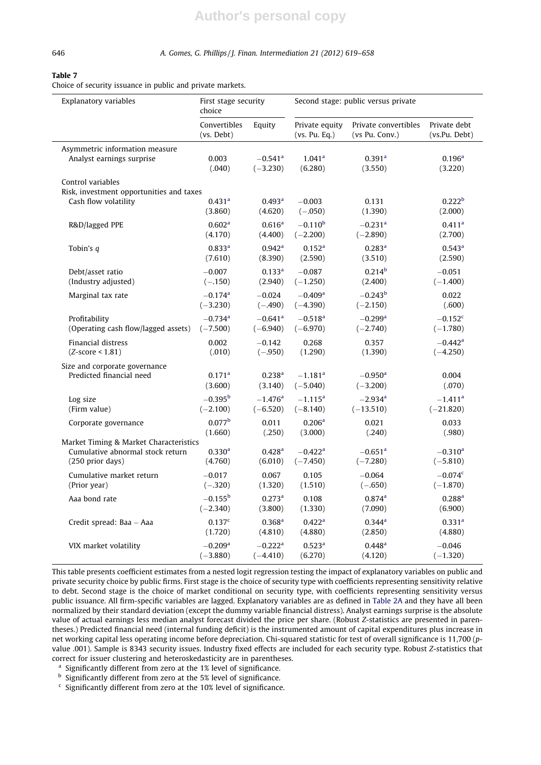### Table 7

Choice of security issuance in public and private markets.

| Explanatory variables                                                                          | First stage security<br>choice |                               |                                     | Second stage: public versus private    |                                     |
|------------------------------------------------------------------------------------------------|--------------------------------|-------------------------------|-------------------------------------|----------------------------------------|-------------------------------------|
|                                                                                                | Convertibles<br>(vs. Debt)     | Equity                        | Private equity<br>(vs. Pu. Eq.)     | Private convertibles<br>(vs Pu. Conv.) | Private debt<br>(vs.Pu. Debt)       |
| Asymmetric information measure                                                                 | 0.003                          | $-0.541$ <sup>a</sup>         | 1.041 <sup>a</sup>                  | 0.391 <sup>a</sup>                     | 0.196 <sup>a</sup>                  |
| Analyst earnings surprise                                                                      | (.040)                         | $(-3.230)$                    | (6.280)                             | (3.550)                                | (3.220)                             |
| Control variables                                                                              |                                |                               |                                     |                                        |                                     |
| Risk, investment opportunities and taxes                                                       |                                |                               |                                     |                                        |                                     |
| Cash flow volatility                                                                           | 0.431 <sup>a</sup>             | 0.493 <sup>a</sup>            | $-0.003$                            | 0.131                                  | 0.222 <sup>b</sup>                  |
|                                                                                                | (3.860)                        | (4.620)                       | $(-.050)$                           | (1.390)                                | (2.000)                             |
| R&D/lagged PPE                                                                                 | 0.602 <sup>a</sup>             | 0.616 <sup>a</sup>            | $-0.110^{b}$                        | $-0.231$ <sup>a</sup>                  | 0.411 <sup>a</sup>                  |
|                                                                                                | (4.170)                        | (4.400)                       | $(-2.200)$                          | $(-2.890)$                             | (2.700)                             |
| Tobin's $q$                                                                                    | 0.833 <sup>a</sup>             | 0.942 <sup>a</sup>            | 0.152 <sup>a</sup>                  | 0.283 <sup>a</sup>                     | 0.543 <sup>a</sup>                  |
|                                                                                                | (7.610)                        | (8.390)                       | (2.590)                             | (3.510)                                | (2.590)                             |
| Debt/asset ratio                                                                               | $-0.007$                       | 0.133 <sup>a</sup>            | $-0.087$                            | 0.214 <sup>b</sup>                     | $-0.051$                            |
| (Industry adjusted)                                                                            | $(-.150)$                      | (2.940)                       | $(-1.250)$                          | (2.400)                                | $(-1.400)$                          |
| Marginal tax rate                                                                              | $-0.174$ <sup>a</sup>          | $-0.024$                      | $-0.409$ <sup>a</sup>               | $-0.243^b$                             | 0.022                               |
|                                                                                                | $(-3.230)$                     | $(-.490)$                     | $(-4.390)$                          | $(-2.150)$                             | (.600)                              |
| Profitability                                                                                  | $-0.734$ <sup>a</sup>          | $-0.641$ <sup>a</sup>         | $-0.518$ <sup>a</sup>               | $-0.299$ <sup>a</sup>                  | $-0.152$ <sup>c</sup>               |
| (Operating cash flow/lagged assets)                                                            | $(-7.500)$                     | $(-6.940)$                    | $(-6.970)$                          | $(-2.740)$                             | $(-1.780)$                          |
| Financial distress                                                                             | 0.002                          | $-0.142$                      | 0.268                               | 0.357                                  | $-0.442$ <sup>a</sup>               |
| $(Z-score < 1.81)$                                                                             | (.010)                         | $(-.950)$                     | (1.290)                             | (1.390)                                | $(-4.250)$                          |
| Size and corporate governance                                                                  | 0.171 <sup>a</sup>             | 0.238 <sup>a</sup>            | $-1.181$ <sup>a</sup>               | $-0.950$ <sup>a</sup>                  | 0.004                               |
| Predicted financial need                                                                       | (3.600)                        | (3.140)                       | $(-5.040)$                          | $(-3.200)$                             | (.070)                              |
| Log size                                                                                       | $-0.395b$                      | $-1.476$ <sup>a</sup>         | $-1.115^{\rm a}$                    | $-2.934$ <sup>a</sup>                  | $-1.411$ <sup>a</sup>               |
| (Firm value)                                                                                   | $(-2.100)$                     | $(-6.520)$                    | $(-8.140)$                          | $(-13.510)$                            | $(-21.820)$                         |
| Corporate governance                                                                           | 0.077 <sup>b</sup>             | 0.011                         | 0.206 <sup>a</sup>                  | 0.021                                  | 0.033                               |
|                                                                                                | (1.660)                        | (.250)                        | (3.000)                             | (.240)                                 | (.980)                              |
| Market Timing & Market Characteristics<br>Cumulative abnormal stock return<br>(250 prior days) | 0.330 <sup>a</sup><br>(4.760)  | 0.428 <sup>a</sup><br>(6.010) | $-0.422$ <sup>a</sup><br>$(-7.450)$ | $-0.651$ <sup>a</sup><br>$(-7.280)$    | $-0.310$ <sup>a</sup><br>$(-5.810)$ |
| Cumulative market return                                                                       | $-0.017$                       | 0.067                         | 0.105                               | $-0.064$                               | $-0.074$ <sup>c</sup>               |
| (Prior year)                                                                                   | $(-.320)$                      | (1.320)                       | (1.510)                             | $(-.650)$                              | $(-1.870)$                          |
| Aaa bond rate                                                                                  | $-0.155^{\rm b}$               | 0.273 <sup>a</sup>            | 0.108                               | 0.874 <sup>a</sup>                     | 0.288 <sup>a</sup>                  |
|                                                                                                | $(-2.340)$                     | (3.800)                       | (1.330)                             | (7.090)                                | (6.900)                             |
| Credit spread: Baa - Aaa                                                                       | 0.137 <sup>c</sup>             | 0.368 <sup>a</sup>            | 0.422 <sup>a</sup>                  | $0.344$ <sup>a</sup>                   | 0.331 <sup>a</sup>                  |
|                                                                                                | (1.720)                        | (4.810)                       | (4.880)                             | (2.850)                                | (4.880)                             |
| VIX market volatility                                                                          | $-0.209$ <sup>a</sup>          | $-0.222$ <sup>a</sup>         | 0.523 <sup>a</sup>                  | 0.448 <sup>a</sup>                     | $-0.046$                            |
|                                                                                                | $(-3.880)$                     | $(-4.410)$                    | (6.270)                             | (4.120)                                | $(-1.320)$                          |

This table presents coefficient estimates from a nested logit regression testing the impact of explanatory variables on public and private security choice by public firms. First stage is the choice of security type with coefficients representing sensitivity relative to debt. Second stage is the choice of market conditional on security type, with coefficients representing sensitivity versus public issuance. All firm-specific variables are lagged. Explanatory variables are as defined in Table 2A and they have all been normalized by their standard deviation (except the dummy variable financial distress). Analyst earnings surprise is the absolute value of actual earnings less median analyst forecast divided the price per share. (Robust Z-statistics are presented in parentheses.) Predicted financial need (internal funding deficit) is the instrumented amount of capital expenditures plus increase in net working capital less operating income before depreciation. Chi-squared statistic for test of overall significance is 11,700 (pvalue .001). Sample is 8343 security issues. Industry fixed effects are included for each security type. Robust Z-statistics that correct for issuer clustering and heteroskedasticity are in parentheses.

<sup>a</sup> Significantly different from zero at the 1% level of significance.

**b** Significantly different from zero at the 5% level of significance.

 $\epsilon$  Significantly different from zero at the 10% level of significance.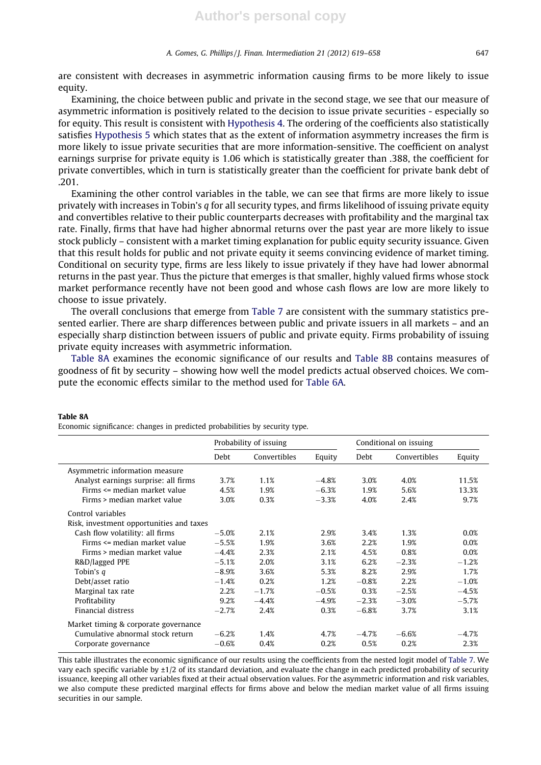are consistent with decreases in asymmetric information causing firms to be more likely to issue equity.

Examining, the choice between public and private in the second stage, we see that our measure of asymmetric information is positively related to the decision to issue private securities - especially so for equity. This result is consistent with Hypothesis 4. The ordering of the coefficients also statistically satisfies Hypothesis 5 which states that as the extent of information asymmetry increases the firm is more likely to issue private securities that are more information-sensitive. The coefficient on analyst earnings surprise for private equity is 1.06 which is statistically greater than .388, the coefficient for private convertibles, which in turn is statistically greater than the coefficient for private bank debt of .201.

Examining the other control variables in the table, we can see that firms are more likely to issue privately with increases in Tobin's q for all security types, and firms likelihood of issuing private equity and convertibles relative to their public counterparts decreases with profitability and the marginal tax rate. Finally, firms that have had higher abnormal returns over the past year are more likely to issue stock publicly – consistent with a market timing explanation for public equity security issuance. Given that this result holds for public and not private equity it seems convincing evidence of market timing. Conditional on security type, firms are less likely to issue privately if they have had lower abnormal returns in the past year. Thus the picture that emerges is that smaller, highly valued firms whose stock market performance recently have not been good and whose cash flows are low are more likely to choose to issue privately.

The overall conclusions that emerge from Table 7 are consistent with the summary statistics presented earlier. There are sharp differences between public and private issuers in all markets – and an especially sharp distinction between issuers of public and private equity. Firms probability of issuing private equity increases with asymmetric information.

Table 8A examines the economic significance of our results and Table 8B contains measures of goodness of fit by security – showing how well the model predicts actual observed choices. We compute the economic effects similar to the method used for Table 6A.

|                                          |         | Probability of issuing |          |         | Conditional on issuing |         |
|------------------------------------------|---------|------------------------|----------|---------|------------------------|---------|
|                                          | Debt    | Convertibles           | Equity   | Debt    | Convertibles           | Equity  |
| Asymmetric information measure           |         |                        |          |         |                        |         |
| Analyst earnings surprise: all firms     | 3.7%    | 1.1%                   | $-4.8\%$ | 3.0%    | 4.0%                   | 11.5%   |
| $Firms \leq m$ edian market value        | 4.5%    | 1.9%                   | $-6.3%$  | 1.9%    | 5.6%                   | 13.3%   |
| Firms > median market value              | 3.0%    | 0.3%                   | $-3.3%$  | 4.0%    | 2.4%                   | 9.7%    |
| Control variables                        |         |                        |          |         |                        |         |
| Risk, investment opportunities and taxes |         |                        |          |         |                        |         |
| Cash flow volatility: all firms          | $-5.0%$ | 2.1%                   | 2.9%     | 3.4%    | 1.3%                   | 0.0%    |
| Firms <= median market value             | $-5.5%$ | 1.9%                   | 3.6%     | 2.2%    | 1.9%                   | 0.0%    |
| Firms > median market value              | $-4.4%$ | 2.3%                   | 2.1%     | 4.5%    | 0.8%                   | 0.0%    |
| R&D/lagged PPE                           | $-5.1%$ | 2.0%                   | 3.1%     | 6.2%    | $-2.3%$                | $-1.2%$ |
| Tobin's q                                | $-8.9%$ | 3.6%                   | 5.3%     | 8.2%    | 2.9%                   | 1.7%    |
| Debt/asset ratio                         | $-1.4%$ | 0.2%                   | 1.2%     | $-0.8%$ | 2.2%                   | $-1.0%$ |
| Marginal tax rate                        | 2.2%    | $-1.7%$                | $-0.5%$  | 0.3%    | $-2.5%$                | $-4.5%$ |
| Profitability                            | 9.2%    | $-4.4%$                | $-4.9%$  | $-2.3%$ | $-3.0%$                | $-5.7%$ |
| Financial distress                       | $-2.7%$ | 2.4%                   | 0.3%     | $-6.8%$ | 3.7%                   | 3.1%    |
| Market timing & corporate governance     |         |                        |          |         |                        |         |
| Cumulative abnormal stock return         | $-6.2%$ | 1.4%                   | 4.7%     | $-4.7%$ | $-6.6%$                | $-4.7%$ |
| Corporate governance                     | $-0.6%$ | 0.4%                   | 0.2%     | 0.5%    | 0.2%                   | 2.3%    |

Economic significance: changes in predicted probabilities by security type.

Table 8A

This table illustrates the economic significance of our results using the coefficients from the nested logit model of Table 7. We vary each specific variable by ±1/2 of its standard deviation, and evaluate the change in each predicted probability of security issuance, keeping all other variables fixed at their actual observation values. For the asymmetric information and risk variables, we also compute these predicted marginal effects for firms above and below the median market value of all firms issuing securities in our sample.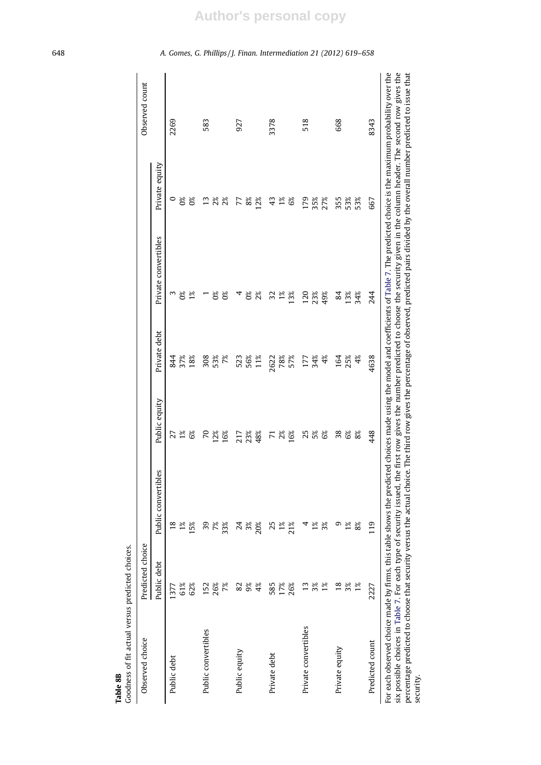| Goodness of fit actual versus predicted choices. |                  |                     |               |
|--------------------------------------------------|------------------|---------------------|---------------|
| Observed choice                                  | Predicted choice |                     |               |
|                                                  | Public debt      | Public convertibles | Public equity |
| Public debt                                      | 1377             |                     |               |
|                                                  | 61%              |                     | $\frac{8}{5}$ |
|                                                  | 605              | 15%                 | δş            |

Table 8B

| Observed choice      | Predicted choice |                         |                   |                      |                      |                   | Observed count |
|----------------------|------------------|-------------------------|-------------------|----------------------|----------------------|-------------------|----------------|
|                      | Public debt      | tibles<br>Public conver | Public equity     | Private debt         | Private convertibles | Private equity    |                |
| Public debt          | 1377             | $\overline{8}$          |                   |                      | m                    |                   | 2269           |
|                      | 61%              | $1\%$                   | $\frac{27}{18}$   | 84<br>37<br>38<br>18 | ୪ଁ                   | ೆ ಜಿ ಜಿ           |                |
|                      | 62%              | 15%                     | 6%                |                      | $1\%$                |                   |                |
| Public convertibles  | 152              | 39                      | $\overline{C}$    | 308                  |                      |                   | 583            |
|                      | 26%              | 7%                      | 12%               | 53%                  | ്റ്                  | 1388              |                |
|                      | 7%               | 33%                     | 16%               | 7%                   | ്റ്                  |                   |                |
| Public equity        |                  | 24                      |                   |                      | 4                    |                   | 927            |
|                      | $\frac{8}{9}$    | 3%                      | 217<br>23%<br>48% | 523<br>56%<br>11%    | ്റ്                  | 77<br>8%          |                |
|                      | 4%               | 20%                     |                   |                      | 2%                   | 12%               |                |
| Private debt         | 585              | 25                      | $\overline{r}$    |                      | 32                   | 43                | 3378           |
|                      | 17%<br>26%       |                         | 2%                |                      | $1\%$                | $1\%$<br>6%       |                |
|                      |                  | $\frac{18}{218}$        | 16%               | 2622<br>78%<br>57%   | 13%                  |                   |                |
| Private convertibles | 13               |                         |                   | 177<br>34%<br>4%     |                      |                   | 518            |
|                      | $3\%$            | $1\%$                   | 25<br>5%          |                      | 12%<br>23%           | 179<br>35%<br>27% |                |
|                      | $1\%$            | 3%                      | 6%                |                      |                      |                   |                |
| Private equity       | $\frac{8}{18}$   | თ                       | 38                |                      | 84                   |                   | 668            |
|                      | 3%               | $1\%$                   | $6\%$             | 164<br>25%           | 13%<br>34%           | $3588$<br>$538$   |                |
|                      | $1\%$            | 8%                      | 8%                | $\frac{8}{3}$        |                      |                   |                |
| Predicted count      | 2227             | 119                     | 448               | 4638                 | 244                  | 667               | 8343           |
|                      |                  |                         |                   |                      |                      |                   |                |

six possible choices in Table 7. For each type of security issued, the first row gives the number predicted to choose the security given in the column header. The second row gives the percentage predicted to choose these t For each observed choice made by firms, this table shows the predicted choices made using the model and coefficients of Table 7. The predicted choice is the maximum probability over the<br>cive monith a boice in Table 2 Der a For each observed choice made by firms, this table shows the predicted choices made using the model and coefficients of Table 7. The predicted choice is the maximum probability over the six possible choices in Table 7. For each type of security issued, the first row gives the number predicted to choose the security given in the column header. The second row gives the percentage predicted to choose that security versus the actual choice. The third row gives the percentage of observed, predicted pairs divided by the overall number predicted to issue that

# **Author's personal copy**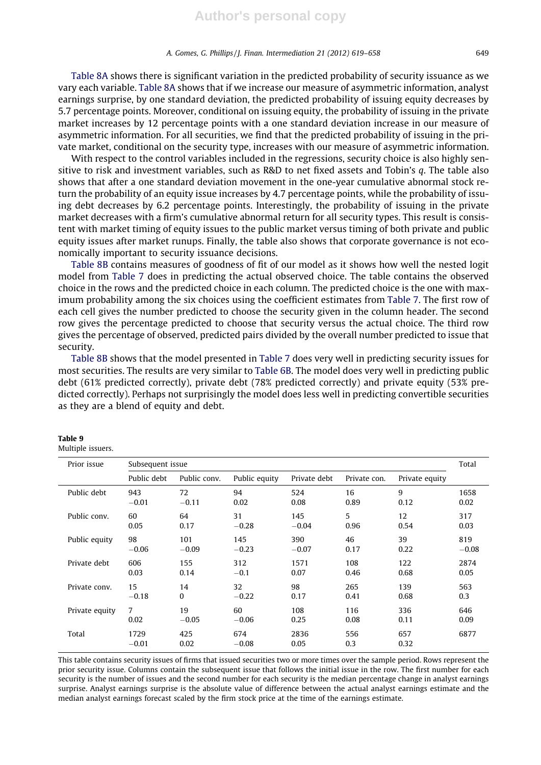Table 8A shows there is significant variation in the predicted probability of security issuance as we vary each variable. Table 8A shows that if we increase our measure of asymmetric information, analyst earnings surprise, by one standard deviation, the predicted probability of issuing equity decreases by 5.7 percentage points. Moreover, conditional on issuing equity, the probability of issuing in the private market increases by 12 percentage points with a one standard deviation increase in our measure of asymmetric information. For all securities, we find that the predicted probability of issuing in the private market, conditional on the security type, increases with our measure of asymmetric information.

With respect to the control variables included in the regressions, security choice is also highly sensitive to risk and investment variables, such as R&D to net fixed assets and Tobin's q. The table also shows that after a one standard deviation movement in the one-year cumulative abnormal stock return the probability of an equity issue increases by 4.7 percentage points, while the probability of issuing debt decreases by 6.2 percentage points. Interestingly, the probability of issuing in the private market decreases with a firm's cumulative abnormal return for all security types. This result is consistent with market timing of equity issues to the public market versus timing of both private and public equity issues after market runups. Finally, the table also shows that corporate governance is not economically important to security issuance decisions.

Table 8B contains measures of goodness of fit of our model as it shows how well the nested logit model from Table 7 does in predicting the actual observed choice. The table contains the observed choice in the rows and the predicted choice in each column. The predicted choice is the one with maximum probability among the six choices using the coefficient estimates from Table 7. The first row of each cell gives the number predicted to choose the security given in the column header. The second row gives the percentage predicted to choose that security versus the actual choice. The third row gives the percentage of observed, predicted pairs divided by the overall number predicted to issue that security.

Table 8B shows that the model presented in Table 7 does very well in predicting security issues for most securities. The results are very similar to Table 6B. The model does very well in predicting public debt (61% predicted correctly), private debt (78% predicted correctly) and private equity (53% predicted correctly). Perhaps not surprisingly the model does less well in predicting convertible securities as they are a blend of equity and debt.

| Prior issue    | Subsequent issue |              |                |              |              |                | Total   |
|----------------|------------------|--------------|----------------|--------------|--------------|----------------|---------|
|                | Public debt      | Public conv. | Public equity  | Private debt | Private con. | Private equity |         |
| Public debt    | 943              | 72           | 94             | 524          | 16           | 9              | 1658    |
|                | $-0.01$          | $-0.11$      | 0.02           | 0.08         | 0.89         | 0.12           | 0.02    |
| Public conv.   | 60               | 64           | 31             | 145          | 5            | 12             | 317     |
|                | 0.05             | 0.17         | $-0.28$        | $-0.04$      | 0.96         | 0.54           | 0.03    |
| Public equity  | 98               | 101          | 145            | 390          | 46           | 39             | 819     |
|                | $-0.06$          | $-0.09$      | $-0.23$        | $-0.07$      | 0.17         | 0.22           | $-0.08$ |
| Private debt   | 606              | 155          | 312            | 1571         | 108          | 122            | 2874    |
|                | 0.03             | 0.14         | $-0.1$         | 0.07         | 0.46         | 0.68           | 0.05    |
| Private conv.  | 15               | 14           | 32             | 98           | 265          | 139            | 563     |
|                | $-0.18$          | 0            | $-0.22$        | 0.17         | 0.41         | 0.68           | 0.3     |
| Private equity | 7                | 19           | 60             | 108          | 116          | 336            | 646     |
|                | 0.02             | $-0.05$      | $-0.06$        | 0.25         | 0.08         | 0.11           | 0.09    |
| Total          | 1729<br>$-0.01$  | 425<br>0.02  | 674<br>$-0.08$ | 2836<br>0.05 | 556<br>0.3   | 657<br>0.32    | 6877    |

# Table 9

Multiple issuers.

This table contains security issues of firms that issued securities two or more times over the sample period. Rows represent the prior security issue. Columns contain the subsequent issue that follows the initial issue in the row. The first number for each security is the number of issues and the second number for each security is the median percentage change in analyst earnings surprise. Analyst earnings surprise is the absolute value of difference between the actual analyst earnings estimate and the median analyst earnings forecast scaled by the firm stock price at the time of the earnings estimate.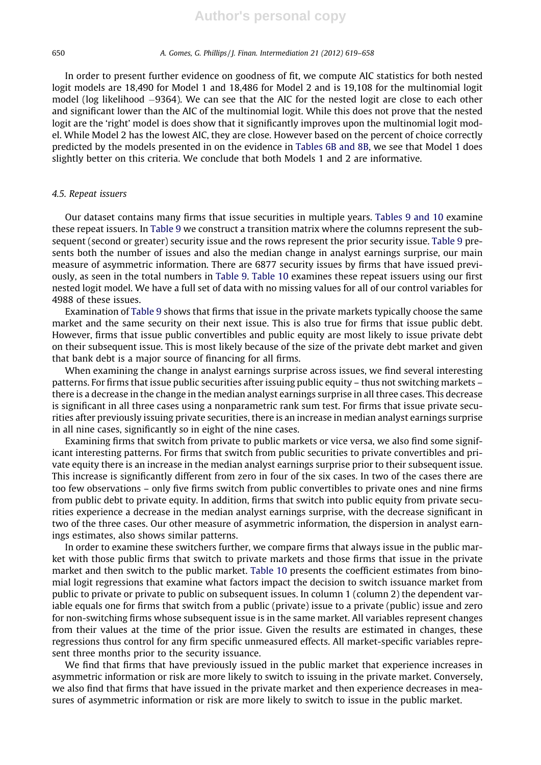In order to present further evidence on goodness of fit, we compute AIC statistics for both nested logit models are 18,490 for Model 1 and 18,486 for Model 2 and is 19,108 for the multinomial logit model (log likelihood -9364). We can see that the AIC for the nested logit are close to each other and significant lower than the AIC of the multinomial logit. While this does not prove that the nested logit are the 'right' model is does show that it significantly improves upon the multinomial logit model. While Model 2 has the lowest AIC, they are close. However based on the percent of choice correctly predicted by the models presented in on the evidence in Tables 6B and 8B, we see that Model 1 does slightly better on this criteria. We conclude that both Models 1 and 2 are informative.

# 4.5. Repeat issuers

Our dataset contains many firms that issue securities in multiple years. Tables 9 and 10 examine these repeat issuers. In Table 9 we construct a transition matrix where the columns represent the subsequent (second or greater) security issue and the rows represent the prior security issue. Table 9 presents both the number of issues and also the median change in analyst earnings surprise, our main measure of asymmetric information. There are 6877 security issues by firms that have issued previously, as seen in the total numbers in Table 9. Table 10 examines these repeat issuers using our first nested logit model. We have a full set of data with no missing values for all of our control variables for 4988 of these issues.

Examination of Table 9 shows that firms that issue in the private markets typically choose the same market and the same security on their next issue. This is also true for firms that issue public debt. However, firms that issue public convertibles and public equity are most likely to issue private debt on their subsequent issue. This is most likely because of the size of the private debt market and given that bank debt is a major source of financing for all firms.

When examining the change in analyst earnings surprise across issues, we find several interesting patterns. For firms that issue public securities after issuing public equity – thus not switching markets – there is a decrease in the change in the median analyst earnings surprise in all three cases. This decrease is significant in all three cases using a nonparametric rank sum test. For firms that issue private securities after previously issuing private securities, there is an increase in median analyst earnings surprise in all nine cases, significantly so in eight of the nine cases.

Examining firms that switch from private to public markets or vice versa, we also find some significant interesting patterns. For firms that switch from public securities to private convertibles and private equity there is an increase in the median analyst earnings surprise prior to their subsequent issue. This increase is significantly different from zero in four of the six cases. In two of the cases there are too few observations – only five firms switch from public convertibles to private ones and nine firms from public debt to private equity. In addition, firms that switch into public equity from private securities experience a decrease in the median analyst earnings surprise, with the decrease significant in two of the three cases. Our other measure of asymmetric information, the dispersion in analyst earnings estimates, also shows similar patterns.

In order to examine these switchers further, we compare firms that always issue in the public market with those public firms that switch to private markets and those firms that issue in the private market and then switch to the public market. Table 10 presents the coefficient estimates from binomial logit regressions that examine what factors impact the decision to switch issuance market from public to private or private to public on subsequent issues. In column 1 (column 2) the dependent variable equals one for firms that switch from a public (private) issue to a private (public) issue and zero for non-switching firms whose subsequent issue is in the same market. All variables represent changes from their values at the time of the prior issue. Given the results are estimated in changes, these regressions thus control for any firm specific unmeasured effects. All market-specific variables represent three months prior to the security issuance.

We find that firms that have previously issued in the public market that experience increases in asymmetric information or risk are more likely to switch to issuing in the private market. Conversely, we also find that firms that have issued in the private market and then experience decreases in measures of asymmetric information or risk are more likely to switch to issue in the public market.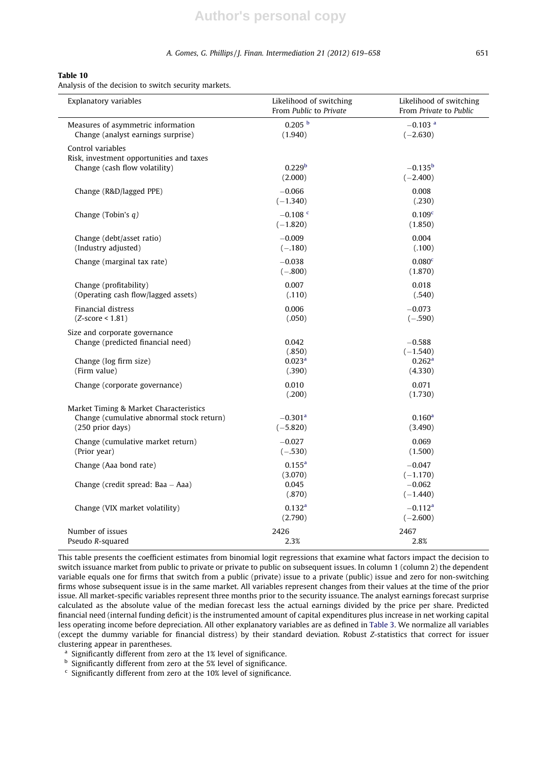### Table 10

Analysis of the decision to switch security markets.

| Explanatory variables                                                                                             | Likelihood of switching<br>From Public to Private | Likelihood of switching<br>From Private to Public |
|-------------------------------------------------------------------------------------------------------------------|---------------------------------------------------|---------------------------------------------------|
| Measures of asymmetric information<br>Change (analyst earnings surprise)                                          | 0.205 <sup>b</sup><br>(1.940)                     | $-0.103$ <sup>a</sup><br>$(-2.630)$               |
| Control variables<br>Risk, investment opportunities and taxes<br>Change (cash flow volatility)                    | 0.229 <sup>b</sup><br>(2.000)                     | $-0.135^{\rm b}$<br>$(-2.400)$                    |
| Change (R&D/lagged PPE)                                                                                           | $-0.066$<br>$(-1.340)$                            | 0.008<br>(.230)                                   |
| Change (Tobin's $q$ )                                                                                             | $-0.108$ <sup>c</sup><br>$(-1.820)$               | 0.109 <sup>c</sup><br>(1.850)                     |
| Change (debt/asset ratio)<br>(Industry adjusted)                                                                  | $-0.009$<br>$(-.180)$                             | 0.004<br>(.100)                                   |
| Change (marginal tax rate)                                                                                        | $-0.038$<br>$(-.800)$                             | 0.080 <sup>c</sup><br>(1.870)                     |
| Change (profitability)<br>(Operating cash flow/lagged assets)                                                     | 0.007<br>(.110)                                   | 0.018<br>(.540)                                   |
| Financial distress<br>$(Z-score < 1.81)$                                                                          | 0.006<br>(.050)                                   | $-0.073$<br>$(-.590)$                             |
| Size and corporate governance<br>Change (predicted financial need)                                                | 0.042<br>(.850)                                   | $-0.588$<br>$(-1.540)$                            |
| Change (log firm size)<br>(Firm value)                                                                            | 0.023 <sup>a</sup><br>(.390)                      | $0.262$ <sup>a</sup><br>(4.330)                   |
| Change (corporate governance)                                                                                     | 0.010<br>(.200)                                   | 0.071<br>(1.730)                                  |
| Market Timing & Market Characteristics<br>Change (cumulative abnormal stock return)<br>$(250 \text{ prior days})$ | $-0.301$ <sup>a</sup><br>$(-5.820)$               | 0.160 <sup>a</sup><br>(3.490)                     |
| Change (cumulative market return)<br>(Prior year)                                                                 | $-0.027$<br>$(-.530)$                             | 0.069<br>(1.500)                                  |
| Change (Aaa bond rate)                                                                                            | 0.155 <sup>a</sup><br>(3.070)                     | $-0.047$<br>$(-1.170)$                            |
| Change (credit spread: Baa – Aaa)                                                                                 | 0.045<br>(.870)                                   | $-0.062$<br>$(-1.440)$                            |
| Change (VIX market volatility)                                                                                    | 0.132 <sup>a</sup><br>(2.790)                     | $-0.112$ <sup>a</sup><br>$(-2.600)$               |
| Number of issues<br>Pseudo R-squared                                                                              | 2426<br>2.3%                                      | 2467<br>2.8%                                      |

This table presents the coefficient estimates from binomial logit regressions that examine what factors impact the decision to switch issuance market from public to private or private to public on subsequent issues. In column 1 (column 2) the dependent variable equals one for firms that switch from a public (private) issue to a private (public) issue and zero for non-switching firms whose subsequent issue is in the same market. All variables represent changes from their values at the time of the prior issue. All market-specific variables represent three months prior to the security issuance. The analyst earnings forecast surprise calculated as the absolute value of the median forecast less the actual earnings divided by the price per share. Predicted financial need (internal funding deficit) is the instrumented amount of capital expenditures plus increase in net working capital less operating income before depreciation. All other explanatory variables are as defined in Table 3. We normalize all variables (except the dummy variable for financial distress) by their standard deviation. Robust Z-statistics that correct for issuer clustering appear in parentheses.

<sup>a</sup> Significantly different from zero at the 1% level of significance.

b Significantly different from zero at the 5% level of significance.

 $\epsilon$  Significantly different from zero at the 10% level of significance.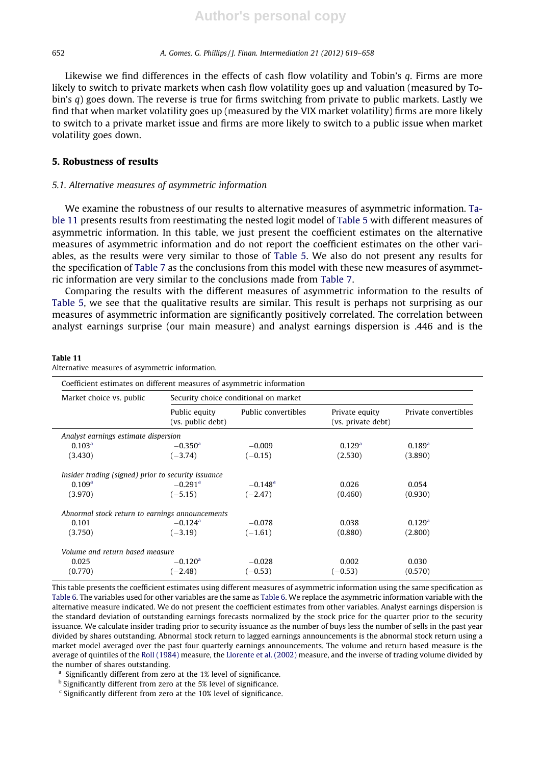Likewise we find differences in the effects of cash flow volatility and Tobin's q. Firms are more likely to switch to private markets when cash flow volatility goes up and valuation (measured by Tobin's q) goes down. The reverse is true for firms switching from private to public markets. Lastly we find that when market volatility goes up (measured by the VIX market volatility) firms are more likely to switch to a private market issue and firms are more likely to switch to a public issue when market volatility goes down.

# 5. Robustness of results

# 5.1. Alternative measures of asymmetric information

We examine the robustness of our results to alternative measures of asymmetric information. Table 11 presents results from reestimating the nested logit model of Table 5 with different measures of asymmetric information. In this table, we just present the coefficient estimates on the alternative measures of asymmetric information and do not report the coefficient estimates on the other variables, as the results were very similar to those of Table 5. We also do not present any results for the specification of Table 7 as the conclusions from this model with these new measures of asymmetric information are very similar to the conclusions made from Table 7.

Comparing the results with the different measures of asymmetric information to the results of Table 5, we see that the qualitative results are similar. This result is perhaps not surprising as our measures of asymmetric information are significantly positively correlated. The correlation between analyst earnings surprise (our main measure) and analyst earnings dispersion is .446 and is the

| Market choice vs. public                            |                                    | Security choice conditional on market |                                      |                      |
|-----------------------------------------------------|------------------------------------|---------------------------------------|--------------------------------------|----------------------|
|                                                     | Public equity<br>(vs. public debt) | Public convertibles                   | Private equity<br>(vs. private debt) | Private convertibles |
| Analyst earnings estimate dispersion                |                                    |                                       |                                      |                      |
| 0.103 <sup>a</sup>                                  | $-0.350$ <sup>a</sup>              | $-0.009$                              | 0.129 <sup>a</sup>                   | 0.189 <sup>a</sup>   |
| (3.430)                                             | $(-3.74)$                          | $(-0.15)$                             | (2.530)                              | (3.890)              |
| Insider trading (signed) prior to security issuance |                                    |                                       |                                      |                      |
| 0.109 <sup>a</sup>                                  | $-0.291$ <sup>a</sup>              | $-0.148$ <sup>a</sup>                 | 0.026                                | 0.054                |
| (3.970)                                             | $(-5.15)$                          | $(-2.47)$                             | (0.460)                              | (0.930)              |
| Abnormal stock return to earnings announcements     |                                    |                                       |                                      |                      |
| 0.101                                               | $-0.124$ <sup>a</sup>              | $-0.078$                              | 0.038                                | 0.129 <sup>a</sup>   |
| (3.750)                                             | $(-3.19)$                          | $(-1.61)$                             | (0.880)                              | (2.800)              |
| Volume and return based measure                     |                                    |                                       |                                      |                      |
| 0.025                                               | $-0.120a$                          | $-0.028$                              | 0.002                                | 0.030                |
| (0.770)                                             | $(-2.48)$                          | $(-0.53)$                             | $(-0.53)$                            | (0.570)              |

### Table 11

Alternative measures of asymmetric information.

This table presents the coefficient estimates using different measures of asymmetric information using the same specification as Table 6. The variables used for other variables are the same as Table 6. We replace the asymmetric information variable with the alternative measure indicated. We do not present the coefficient estimates from other variables. Analyst earnings dispersion is the standard deviation of outstanding earnings forecasts normalized by the stock price for the quarter prior to the security issuance. We calculate insider trading prior to security issuance as the number of buys less the number of sells in the past year divided by shares outstanding. Abnormal stock return to lagged earnings announcements is the abnormal stock return using a market model averaged over the past four quarterly earnings announcements. The volume and return based measure is the average of quintiles of the Roll (1984) measure, the Llorente et al. (2002) measure, and the inverse of trading volume divided by the number of shares outstanding.

<sup>a</sup> Significantly different from zero at the 1% level of significance.

<sup>b</sup> Significantly different from zero at the 5% level of significance.

 $\epsilon$  Significantly different from zero at the 10% level of significance.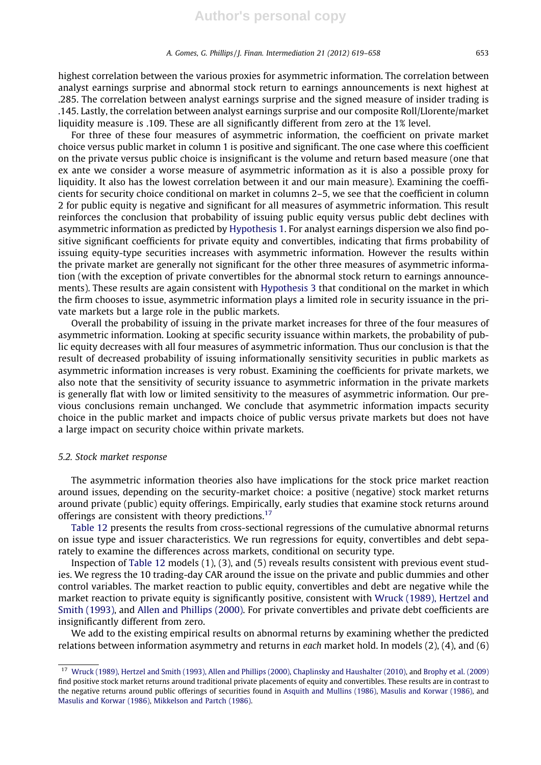highest correlation between the various proxies for asymmetric information. The correlation between analyst earnings surprise and abnormal stock return to earnings announcements is next highest at .285. The correlation between analyst earnings surprise and the signed measure of insider trading is .145. Lastly, the correlation between analyst earnings surprise and our composite Roll/Llorente/market liquidity measure is .109. These are all significantly different from zero at the 1% level.

For three of these four measures of asymmetric information, the coefficient on private market choice versus public market in column 1 is positive and significant. The one case where this coefficient on the private versus public choice is insignificant is the volume and return based measure (one that ex ante we consider a worse measure of asymmetric information as it is also a possible proxy for liquidity. It also has the lowest correlation between it and our main measure). Examining the coefficients for security choice conditional on market in columns 2–5, we see that the coefficient in column 2 for public equity is negative and significant for all measures of asymmetric information. This result reinforces the conclusion that probability of issuing public equity versus public debt declines with asymmetric information as predicted by Hypothesis 1. For analyst earnings dispersion we also find positive significant coefficients for private equity and convertibles, indicating that firms probability of issuing equity-type securities increases with asymmetric information. However the results within the private market are generally not significant for the other three measures of asymmetric information (with the exception of private convertibles for the abnormal stock return to earnings announcements). These results are again consistent with Hypothesis 3 that conditional on the market in which the firm chooses to issue, asymmetric information plays a limited role in security issuance in the private markets but a large role in the public markets.

Overall the probability of issuing in the private market increases for three of the four measures of asymmetric information. Looking at specific security issuance within markets, the probability of public equity decreases with all four measures of asymmetric information. Thus our conclusion is that the result of decreased probability of issuing informationally sensitivity securities in public markets as asymmetric information increases is very robust. Examining the coefficients for private markets, we also note that the sensitivity of security issuance to asymmetric information in the private markets is generally flat with low or limited sensitivity to the measures of asymmetric information. Our previous conclusions remain unchanged. We conclude that asymmetric information impacts security choice in the public market and impacts choice of public versus private markets but does not have a large impact on security choice within private markets.

### 5.2. Stock market response

The asymmetric information theories also have implications for the stock price market reaction around issues, depending on the security-market choice: a positive (negative) stock market returns around private (public) equity offerings. Empirically, early studies that examine stock returns around offerings are consistent with theory predictions.<sup>17</sup>

Table 12 presents the results from cross-sectional regressions of the cumulative abnormal returns on issue type and issuer characteristics. We run regressions for equity, convertibles and debt separately to examine the differences across markets, conditional on security type.

Inspection of Table 12 models (1), (3), and (5) reveals results consistent with previous event studies. We regress the 10 trading-day CAR around the issue on the private and public dummies and other control variables. The market reaction to public equity, convertibles and debt are negative while the market reaction to private equity is significantly positive, consistent with Wruck (1989), Hertzel and Smith (1993), and Allen and Phillips (2000). For private convertibles and private debt coefficients are insignificantly different from zero.

We add to the existing empirical results on abnormal returns by examining whether the predicted relations between information asymmetry and returns in each market hold. In models  $(2)$ ,  $(4)$ , and  $(6)$ 

<sup>17</sup> Wruck (1989), Hertzel and Smith (1993), Allen and Phillips (2000), Chaplinsky and Haushalter (2010), and Brophy et al. (2009) find positive stock market returns around traditional private placements of equity and convertibles. These results are in contrast to the negative returns around public offerings of securities found in Asquith and Mullins (1986), Masulis and Korwar (1986), and Masulis and Korwar (1986), Mikkelson and Partch (1986).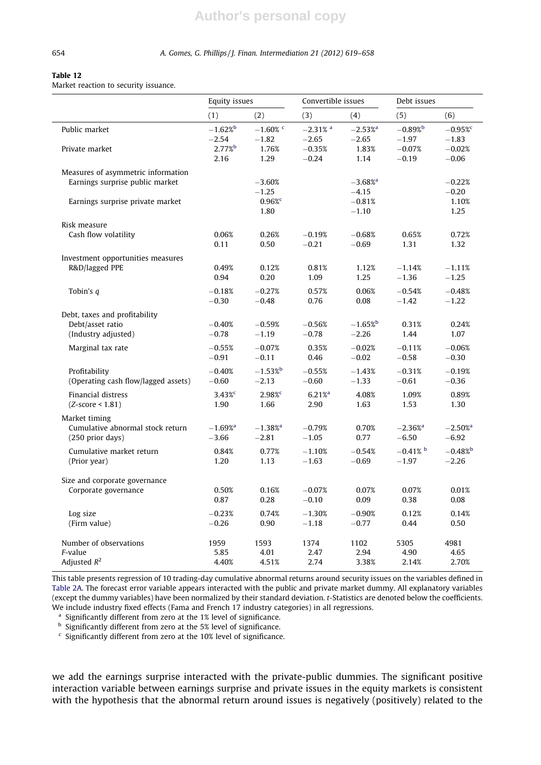### Table 12

Market reaction to security issuance.

|                                                                                                           | Equity issues                        |                                                  | Convertible issues                                       |                                                         | Debt issues                                |                                            |
|-----------------------------------------------------------------------------------------------------------|--------------------------------------|--------------------------------------------------|----------------------------------------------------------|---------------------------------------------------------|--------------------------------------------|--------------------------------------------|
|                                                                                                           | (1)                                  | (2)                                              | (3)                                                      | (4)                                                     | (5)                                        | (6)                                        |
| Public market<br>Private market                                                                           | $-1.62%$<br>$-2.54$<br>2.77%<br>2.16 | $-1.60\%$ $^{\rm c}$<br>$-1.82$<br>1.76%<br>1.29 | $-2.31\%$ <sup>a</sup><br>$-2.65$<br>$-0.35%$<br>$-0.24$ | $-2.53%$ <sup>a</sup><br>$-2.65$<br>1.83%<br>1.14       | $-0.89%$<br>$-1.97$<br>$-0.07%$<br>$-0.19$ | $-0.95%$<br>$-1.83$<br>$-0.02%$<br>$-0.06$ |
| Measures of asymmetric information<br>Earnings surprise public market<br>Earnings surprise private market |                                      | $-3.60%$<br>$-1.25$<br>0.96%<br>1.80             |                                                          | $-3.68%$ <sup>a</sup><br>$-4.15$<br>$-0.81%$<br>$-1.10$ |                                            | $-0.22%$<br>$-0.20$<br>1.10%<br>1.25       |
| Risk measure                                                                                              | 0.06%                                | 0.26%                                            | $-0.19%$                                                 | $-0.68%$                                                | 0.65%                                      | 0.72%                                      |
| Cash flow volatility                                                                                      | 0.11                                 | 0.50                                             | $-0.21$                                                  | $-0.69$                                                 | 1.31                                       | 1.32                                       |
| Investment opportunities measures                                                                         | 0.49%                                | 0.12%                                            | 0.81%                                                    | 1.12%                                                   | $-1.14%$                                   | $-1.11%$                                   |
| R&D/lagged PPE                                                                                            | 0.94                                 | 0.20                                             | 1.09                                                     | 1.25                                                    | $-1.36$                                    | $-1.25$                                    |
| Tobin's q                                                                                                 | $-0.18%$                             | $-0.27%$                                         | 0.57%                                                    | 0.06%                                                   | $-0.54%$                                   | $-0.48%$                                   |
|                                                                                                           | $-0.30$                              | $-0.48$                                          | 0.76                                                     | 0.08                                                    | $-1.42$                                    | $-1.22$                                    |
| Debt, taxes and profitability                                                                             | $-0.40%$                             | $-0.59%$                                         | $-0.56%$                                                 | $-1.65%$                                                | 0.31%                                      | 0.24%                                      |
| Debt/asset ratio                                                                                          | $-0.78$                              | $-1.19$                                          | $-0.78$                                                  | $-2.26$                                                 | 1.44                                       | 1.07                                       |
| (Industry adjusted)                                                                                       | $-0.55%$                             | $-0.07%$                                         | 0.35%                                                    | $-0.02%$                                                | $-0.11%$                                   | $-0.06%$                                   |
| Marginal tax rate                                                                                         | $-0.91$                              | $-0.11$                                          | 0.46                                                     | $-0.02$                                                 | $-0.58$                                    | $-0.30$                                    |
| Profitability                                                                                             | $-0.40%$                             | $-1.53%$                                         | $-0.55%$                                                 | $-1.43%$                                                | $-0.31%$                                   | $-0.19%$                                   |
| (Operating cash flow/lagged assets)                                                                       | $-0.60$                              | $-2.13$                                          | $-0.60$                                                  | $-1.33$                                                 | $-0.61$                                    | $-0.36$                                    |
| Financial distress                                                                                        | 3.43%                                | 2.98%                                            | $6.21%$ <sup>a</sup>                                     | 4.08%                                                   | 1.09%                                      | 0.89%                                      |
| $(Z-score < 1.81)$                                                                                        | 1.90                                 | 1.66                                             | 2.90                                                     | 1.63                                                    | 1.53                                       | 1.30                                       |
| Market timing<br>Cumulative abnormal stock return<br>(250 prior days)                                     | $-1.69%$ <sup>a</sup><br>$-3.66$     | $-1.38%$ <sup>a</sup><br>$-2.81$                 | $-0.79%$<br>$-1.05$                                      | 0.70%<br>0.77                                           | $-2.36%$ <sup>a</sup><br>$-6.50$           | $-2.50\%$ <sup>a</sup><br>$-6.92$          |
| Cumulative market return                                                                                  | 0.84%                                | 0.77%                                            | $-1.10%$                                                 | $-0.54%$                                                | $-0.41\%$ b                                | $-0.48%$                                   |
| (Prior year)                                                                                              | 1.20                                 | 1.13                                             | $-1.63$                                                  | $-0.69$                                                 | $-1.97$                                    | $-2.26$                                    |
| Size and corporate governance                                                                             | 0.50%                                | 0.16%                                            | $-0.07%$                                                 | 0.07%                                                   | 0.07%                                      | 0.01%                                      |
| Corporate governance                                                                                      | 0.87                                 | $0.28\,$                                         | $-0.10$                                                  | 0.09                                                    | $0.38\,$                                   | $0.08\,$                                   |
| Log size                                                                                                  | $-0.23%$                             | 0.74%                                            | $-1.30%$                                                 | $-0.90%$                                                | 0.12%                                      | 0.14%                                      |
| (Firm value)                                                                                              | $-0.26$                              | 0.90                                             | $-1.18$                                                  | $-0.77$                                                 | 0.44                                       | 0.50                                       |
| Number of observations                                                                                    | 1959                                 | 1593                                             | 1374                                                     | 1102                                                    | 5305                                       | 4981                                       |
| F-value                                                                                                   | 5.85                                 | 4.01                                             | 2.47                                                     | 2.94                                                    | 4.90                                       | 4.65                                       |
| Adjusted $R^2$                                                                                            | 4.40%                                | 4.51%                                            | 2.74                                                     | 3.38%                                                   | 2.14%                                      | 2.70%                                      |

This table presents regression of 10 trading-day cumulative abnormal returns around security issues on the variables defined in Table 2A. The forecast error variable appears interacted with the public and private market dummy. All explanatory variables (except the dummy variables) have been normalized by their standard deviation. t-Statistics are denoted below the coefficients. We include industry fixed effects (Fama and French 17 industry categories) in all regressions.

<sup>a</sup> Significantly different from zero at the 1% level of significance.

**b** Significantly different from zero at the 5% level of significance.

 $c$  Significantly different from zero at the 10% level of significance.

we add the earnings surprise interacted with the private-public dummies. The significant positive interaction variable between earnings surprise and private issues in the equity markets is consistent with the hypothesis that the abnormal return around issues is negatively (positively) related to the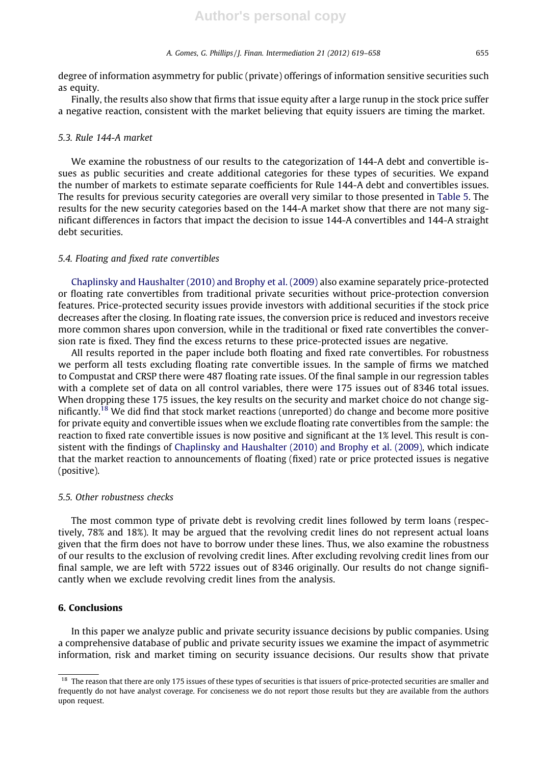degree of information asymmetry for public (private) offerings of information sensitive securities such as equity.

Finally, the results also show that firms that issue equity after a large runup in the stock price suffer a negative reaction, consistent with the market believing that equity issuers are timing the market.

# 5.3. Rule 144-A market

We examine the robustness of our results to the categorization of 144-A debt and convertible issues as public securities and create additional categories for these types of securities. We expand the number of markets to estimate separate coefficients for Rule 144-A debt and convertibles issues. The results for previous security categories are overall very similar to those presented in Table 5. The results for the new security categories based on the 144-A market show that there are not many significant differences in factors that impact the decision to issue 144-A convertibles and 144-A straight debt securities.

### 5.4. Floating and fixed rate convertibles

Chaplinsky and Haushalter (2010) and Brophy et al. (2009) also examine separately price-protected or floating rate convertibles from traditional private securities without price-protection conversion features. Price-protected security issues provide investors with additional securities if the stock price decreases after the closing. In floating rate issues, the conversion price is reduced and investors receive more common shares upon conversion, while in the traditional or fixed rate convertibles the conversion rate is fixed. They find the excess returns to these price-protected issues are negative.

All results reported in the paper include both floating and fixed rate convertibles. For robustness we perform all tests excluding floating rate convertible issues. In the sample of firms we matched to Compustat and CRSP there were 487 floating rate issues. Of the final sample in our regression tables with a complete set of data on all control variables, there were 175 issues out of 8346 total issues. When dropping these 175 issues, the key results on the security and market choice do not change significantly.18 We did find that stock market reactions (unreported) do change and become more positive for private equity and convertible issues when we exclude floating rate convertibles from the sample: the reaction to fixed rate convertible issues is now positive and significant at the 1% level. This result is consistent with the findings of Chaplinsky and Haushalter (2010) and Brophy et al. (2009), which indicate that the market reaction to announcements of floating (fixed) rate or price protected issues is negative (positive).

## 5.5. Other robustness checks

The most common type of private debt is revolving credit lines followed by term loans (respectively, 78% and 18%). It may be argued that the revolving credit lines do not represent actual loans given that the firm does not have to borrow under these lines. Thus, we also examine the robustness of our results to the exclusion of revolving credit lines. After excluding revolving credit lines from our final sample, we are left with 5722 issues out of 8346 originally. Our results do not change significantly when we exclude revolving credit lines from the analysis.

# 6. Conclusions

In this paper we analyze public and private security issuance decisions by public companies. Using a comprehensive database of public and private security issues we examine the impact of asymmetric information, risk and market timing on security issuance decisions. Our results show that private

<sup>&</sup>lt;sup>18</sup> The reason that there are only 175 issues of these types of securities is that issuers of price-protected securities are smaller and frequently do not have analyst coverage. For conciseness we do not report those results but they are available from the authors upon request.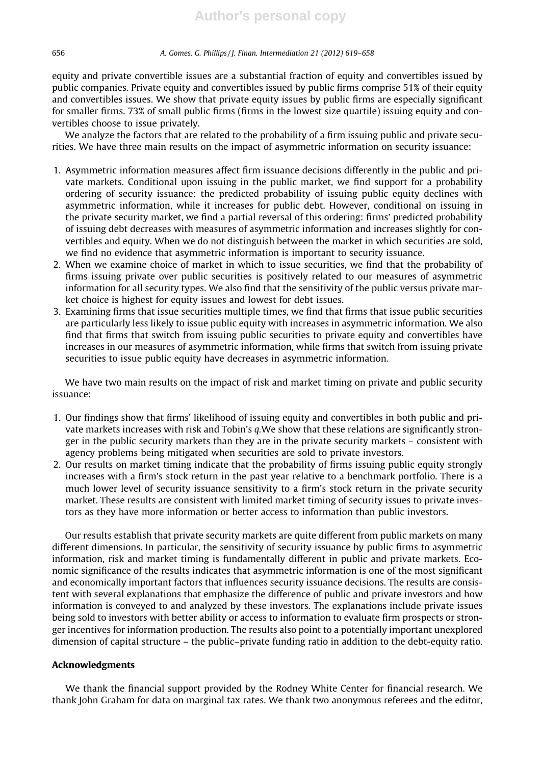equity and private convertible issues are a substantial fraction of equity and convertibles issued by public companies. Private equity and convertibles issued by public firms comprise 51% of their equity and convertibles issues. We show that private equity issues by public firms are especially significant for smaller firms. 73% of small public firms (firms in the lowest size quartile) issuing equity and convertibles choose to issue privately.

We analyze the factors that are related to the probability of a firm issuing public and private securities. We have three main results on the impact of asymmetric information on security issuance:

- 1. Asymmetric information measures affect firm issuance decisions differently in the public and private markets. Conditional upon issuing in the public market, we find support for a probability ordering of security issuance: the predicted probability of issuing public equity declines with asymmetric information, while it increases for public debt. However, conditional on issuing in the private security market, we find a partial reversal of this ordering: firms' predicted probability of issuing debt decreases with measures of asymmetric information and increases slightly for convertibles and equity. When we do not distinguish between the market in which securities are sold, we find no evidence that asymmetric information is important to security issuance.
- 2. When we examine choice of market in which to issue securities, we find that the probability of firms issuing private over public securities is positively related to our measures of asymmetric information for all security types. We also find that the sensitivity of the public versus private market choice is highest for equity issues and lowest for debt issues.
- 3. Examining firms that issue securities multiple times, we find that firms that issue public securities are particularly less likely to issue public equity with increases in asymmetric information. We also find that firms that switch from issuing public securities to private equity and convertibles have increases in our measures of asymmetric information, while firms that switch from issuing private securities to issue public equity have decreases in asymmetric information.

We have two main results on the impact of risk and market timing on private and public security issuance:

- 1. Our findings show that firms' likelihood of issuing equity and convertibles in both public and private markets increases with risk and Tobin's q.We show that these relations are significantly stronger in the public security markets than they are in the private security markets – consistent with agency problems being mitigated when securities are sold to private investors.
- 2. Our results on market timing indicate that the probability of firms issuing public equity strongly increases with a firm's stock return in the past year relative to a benchmark portfolio. There is a much lower level of security issuance sensitivity to a firm's stock return in the private security market. These results are consistent with limited market timing of security issues to private investors as they have more information or better access to information than public investors.

Our results establish that private security markets are quite different from public markets on many different dimensions. In particular, the sensitivity of security issuance by public firms to asymmetric information, risk and market timing is fundamentally different in public and private markets. Economic significance of the results indicates that asymmetric information is one of the most significant and economically important factors that influences security issuance decisions. The results are consistent with several explanations that emphasize the difference of public and private investors and how information is conveyed to and analyzed by these investors. The explanations include private issues being sold to investors with better ability or access to information to evaluate firm prospects or stronger incentives for information production. The results also point to a potentially important unexplored dimension of capital structure – the public–private funding ratio in addition to the debt-equity ratio.

# Acknowledgments

We thank the financial support provided by the Rodney White Center for financial research. We thank John Graham for data on marginal tax rates. We thank two anonymous referees and the editor,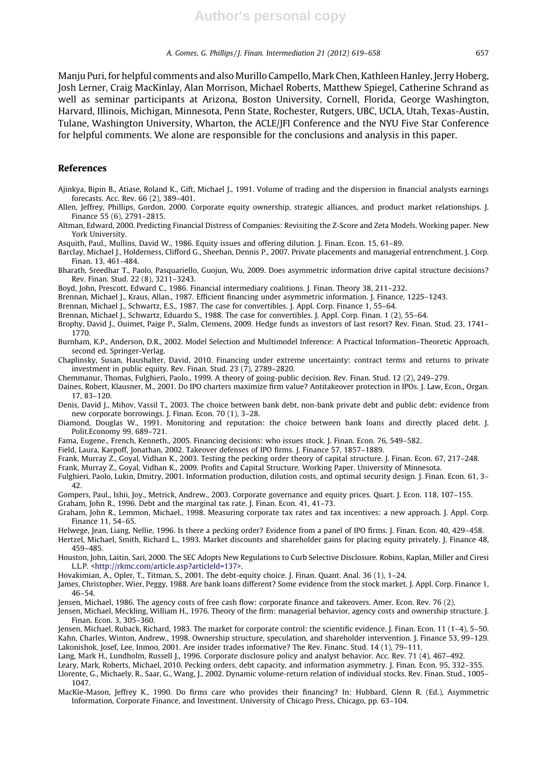Manju Puri, for helpful comments and also Murillo Campello, Mark Chen, Kathleen Hanley, Jerry Hoberg, Josh Lerner, Craig MacKinlay, Alan Morrison, Michael Roberts, Matthew Spiegel, Catherine Schrand as well as seminar participants at Arizona, Boston University, Cornell, Florida, George Washington, Harvard, Illinois, Michigan, Minnesota, Penn State, Rochester, Rutgers, UBC, UCLA, Utah, Texas-Austin, Tulane, Washington University, Wharton, the ACLE/JFI Conference and the NYU Five Star Conference for helpful comments. We alone are responsible for the conclusions and analysis in this paper.

### References

Ajinkya, Bipin B., Atiase, Roland K., Gift, Michael J., 1991. Volume of trading and the dispersion in financial analysts earnings forecasts. Acc. Rev. 66 (2), 389–401.

Allen, Jeffrey, Phillips, Gordon, 2000. Corporate equity ownership, strategic alliances, and product market relationships. J. Finance 55 (6), 2791–2815.

Altman, Edward, 2000. Predicting Financial Distress of Companies: Revisiting the Z-Score and Zeta Models. Working paper. New York University.

Asquith, Paul., Mullins, David W., 1986. Equity issues and offering dilution. J. Finan. Econ. 15, 61–89.

Barclay, Michael J., Holderness, Clifford G., Sheehan, Dennis P., 2007. Private placements and managerial entrenchment. J. Corp. Finan. 13, 461–484.

Bharath, Sreedhar T., Paolo, Pasquariello, Guojun, Wu, 2009. Does asymmetric information drive capital structure decisions? Rev. Finan. Stud. 22 (8), 3211–3243.

Boyd, John, Prescott, Edward C., 1986. Financial intermediary coalitions. J. Finan. Theory 38, 211–232.

Brennan, Michael J., Kraus, Allan., 1987. Efficient financing under asymmetric information. J. Finance, 1225–1243.

Brennan, Michael J., Schwartz, E.S., 1987. The case for convertibles. J. Appl. Corp. Finance 1, 55–64.

Brennan, Michael J., Schwartz, Eduardo S., 1988. The case for convertibles. J. Appl. Corp. Finan. 1 (2), 55–64.

Brophy, David J., Ouimet, Paige P., Sialm, Clemens, 2009. Hedge funds as investors of last resort? Rev. Finan. Stud. 23, 1741– 1770.

Burnham, K.P., Anderson, D.R., 2002. Model Selection and Multimodel Inference: A Practical Information–Theoretic Approach, second ed. Springer-Verlag.

Chaplinsky, Susan, Haushalter, David, 2010. Financing under extreme uncertainty: contract terms and returns to private investment in public equity. Rev. Finan. Stud. 23 (7), 2789–2820.

Chemmanur, Thomas, Fulghieri, Paolo., 1999. A theory of going-public decision. Rev. Finan. Stud. 12 (2), 249–279.

Daines, Robert, Klausner, M., 2001. Do IPO charters maximize firm value? Antitakeover protection in IPOs. J. Law, Econ., Organ. 17, 83–120.

Denis, David J., Mihov, Vassil T., 2003. The choice between bank debt, non-bank private debt and public debt: evidence from new corporate borrowings. J. Finan. Econ. 70 (1), 3–28.

Diamond, Douglas W., 1991. Monitoring and reputation: the choice between bank loans and directly placed debt. J. Polit.Economy 99, 689–721.

Fama, Eugene., French, Kenneth., 2005. Financing decisions: who issues stock. J. Finan. Econ. 76, 549–582.

Field, Laura, Karpoff, Jonathan, 2002. Takeover defenses of IPO firms. J. Finance 57, 1857–1889.

Frank, Murray Z., Goyal, Vidhan K., 2003. Testing the pecking order theory of capital structure. J. Finan. Econ. 67, 217–248.

Frank, Murray Z., Goyal, Vidhan K., 2009. Profits and Capital Structure. Working Paper. University of Minnesota.

Fulghieri, Paolo, Lukin, Dmitry, 2001. Information production, dilution costs, and optimal security design. J. Finan. Econ. 61, 3– 42.

Gompers, Paul., Ishii, Joy., Metrick, Andrew., 2003. Corporate governance and equity prices. Quart. J. Econ. 118, 107–155.

Graham, John R., 1996. Debt and the marginal tax rate. J. Finan. Econ. 41, 41–73.

Graham, John R., Lemmon, Michael., 1998. Measuring corporate tax rates and tax incentives: a new approach. J. Appl. Corp. Finance 11, 54–65.

Helwege, Jean, Liang, Nellie, 1996. Is there a pecking order? Evidence from a panel of IPO firms. J. Finan. Econ. 40, 429–458.

Hertzel, Michael, Smith, Richard L., 1993. Market discounts and shareholder gains for placing equity privately. J. Finance 48, 459–485.

Houston, John, Laitin, Sari, 2000. The SEC Adopts New Regulations to Curb Selective Disclosure. Robins, Kaplan, Miller and Ciresi L.L.P. <http://rkmc.com/article.asp?articleId=137>.

Hovakimian, A., Opler, T., Titman, S., 2001. The debt-equity choice. J. Finan. Quant. Anal. 36 (1), 1–24.

James, Christopher, Wier, Peggy, 1988. Are bank loans different? Some evidence from the stock market. J. Appl. Corp. Finance 1, 46–54.

Jensen, Michael, 1986. The agency costs of free cash flow: corporate finance and takeovers. Amer. Econ. Rev. 76 (2).

Jensen, Michael, Meckling, William H., 1976. Theory of the firm: managerial behavior, agency costs and ownership structure. J. Finan. Econ. 3, 305–360.

Jensen, Michael, Ruback, Richard, 1983. The market for corporate control: the scientific evidence. J. Finan. Econ. 11 (1–4), 5–50. Kahn, Charles, Winton, Andrew., 1998. Ownership structure, speculation, and shareholder intervention. J. Finance 53, 99–129. Lakonishok, Josef, Lee, Inmoo, 2001. Are insider trades informative? The Rev. Financ. Stud. 14 (1), 79–111.

Lang, Mark H., Lundholm, Russell J., 1996. Corporate disclosure policy and analyst behavior. Acc. Rev. 71 (4), 467–492.

Leary, Mark, Roberts, Michael, 2010. Pecking orders, debt capacity, and information asymmetry. J. Finan. Econ. 95, 332–355.

Llorente, G., Michaely, R., Saar, G., Wang, J., 2002. Dynamic volume-return relation of individual stocks. Rev. Finan. Stud., 1005– 1047.

MacKie-Mason, Jeffrey K., 1990. Do firms care who provides their financing? In: Hubbard, Glenn R. (Ed.), Asymmetric Information, Corporate Finance, and Investment. University of Chicago Press, Chicago, pp. 63–104.